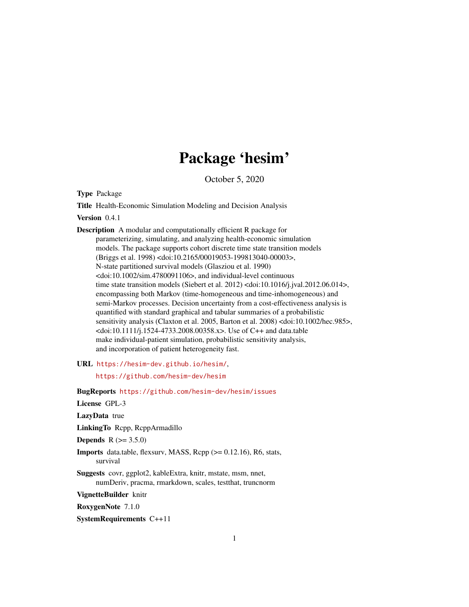# Package 'hesim'

October 5, 2020

<span id="page-0-0"></span>Type Package

Title Health-Economic Simulation Modeling and Decision Analysis

Version 0.4.1

Description A modular and computationally efficient R package for parameterizing, simulating, and analyzing health-economic simulation models. The package supports cohort discrete time state transition models (Briggs et al. 1998) <doi:10.2165/00019053-199813040-00003>, N-state partitioned survival models (Glasziou et al. 1990) <doi:10.1002/sim.4780091106>, and individual-level continuous time state transition models (Siebert et al. 2012) <doi:10.1016/j.jval.2012.06.014>, encompassing both Markov (time-homogeneous and time-inhomogeneous) and semi-Markov processes. Decision uncertainty from a cost-effectiveness analysis is quantified with standard graphical and tabular summaries of a probabilistic sensitivity analysis (Claxton et al. 2005, Barton et al. 2008) <doi:10.1002/hec.985>, <doi:10.1111/j.1524-4733.2008.00358.x>. Use of C++ and data.table make individual-patient simulation, probabilistic sensitivity analysis, and incorporation of patient heterogeneity fast.

URL <https://hesim-dev.github.io/hesim/>,

<https://github.com/hesim-dev/hesim>

BugReports <https://github.com/hesim-dev/hesim/issues>

License GPL-3

LazyData true

LinkingTo Rcpp, RcppArmadillo

**Depends**  $R (= 3.5.0)$ 

- Imports data.table, flexsurv, MASS, Rcpp (>= 0.12.16), R6, stats, survival
- Suggests covr, ggplot2, kableExtra, knitr, mstate, msm, nnet, numDeriv, pracma, rmarkdown, scales, testthat, truncnorm

VignetteBuilder knitr

RoxygenNote 7.1.0

SystemRequirements C++11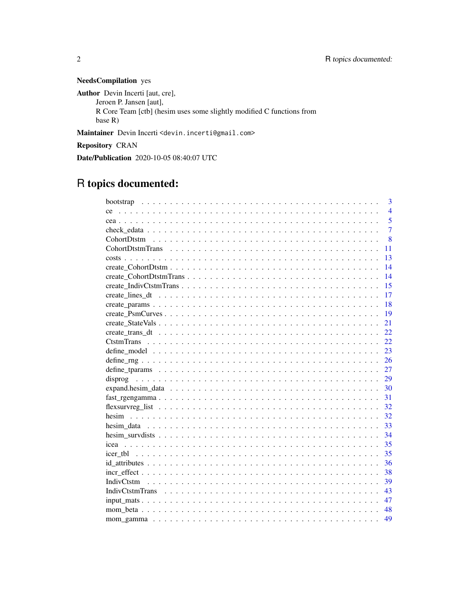# NeedsCompilation yes

Author Devin Incerti [aut, cre], Jeroen P. Jansen [aut], R Core Team [ctb] (hesim uses some slightly modified C functions from base R) Maintainer Devin Incerti <devin.incerti@gmail.com> Repository CRAN Date/Publication 2020-10-05 08:40:07 UTC

# R topics documented:

|                                                                                                                          | 3              |
|--------------------------------------------------------------------------------------------------------------------------|----------------|
|                                                                                                                          | $\overline{4}$ |
| ce.                                                                                                                      |                |
|                                                                                                                          | 5              |
|                                                                                                                          | $\overline{7}$ |
|                                                                                                                          | $\overline{8}$ |
| 11                                                                                                                       |                |
| 13                                                                                                                       |                |
| 14                                                                                                                       |                |
| 14                                                                                                                       |                |
| 15                                                                                                                       |                |
| 17                                                                                                                       |                |
| 18                                                                                                                       |                |
| 19                                                                                                                       |                |
| 21                                                                                                                       |                |
| 22.                                                                                                                      |                |
| 22                                                                                                                       |                |
| 23                                                                                                                       |                |
| 26                                                                                                                       |                |
| 27                                                                                                                       |                |
| 29                                                                                                                       |                |
| 30                                                                                                                       |                |
| $fast\_regengamma \dots \dots \dots \dots \dots \dots \dots \dots \dots \dots \dots \dots \dots \dots \dots \dots$<br>31 |                |
| 32                                                                                                                       |                |
| 32                                                                                                                       |                |
| 33                                                                                                                       |                |
| 34                                                                                                                       |                |
| 35                                                                                                                       |                |
| 35                                                                                                                       |                |
| 36                                                                                                                       |                |
| 38                                                                                                                       |                |
| 39                                                                                                                       |                |
| 43                                                                                                                       |                |
| 47                                                                                                                       |                |
| 48                                                                                                                       |                |
|                                                                                                                          |                |
| 49                                                                                                                       |                |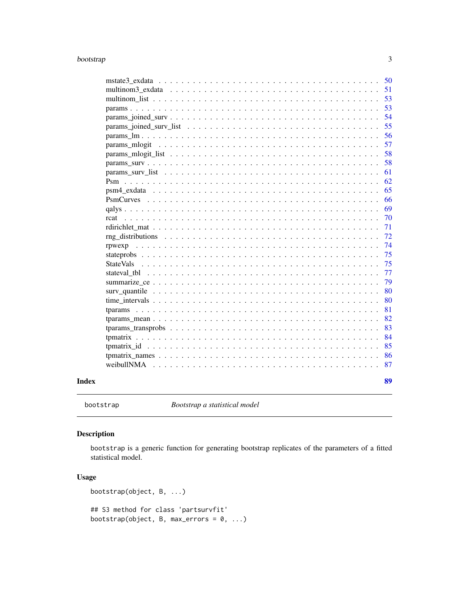#### <span id="page-2-0"></span>bootstrap 3 and 3 and 3 and 3 and 3 and 3 and 3 and 3 and 3 and 3 and 3 and 3 and 3 and 3 and 3 and 3 and 3 and 3 and 3 and 3 and 3 and 3 and 3 and 3 and 3 and 3 and 3 and 3 and 3 and 3 and 3 and 3 and 3 and 3 and 3 and 3

|                                                                                                               |  |  |  |  |  |  |  |  |  |  |  | - 50 |
|---------------------------------------------------------------------------------------------------------------|--|--|--|--|--|--|--|--|--|--|--|------|
|                                                                                                               |  |  |  |  |  |  |  |  |  |  |  | 51   |
|                                                                                                               |  |  |  |  |  |  |  |  |  |  |  | 53   |
|                                                                                                               |  |  |  |  |  |  |  |  |  |  |  | 53   |
|                                                                                                               |  |  |  |  |  |  |  |  |  |  |  | 54   |
|                                                                                                               |  |  |  |  |  |  |  |  |  |  |  | 55   |
|                                                                                                               |  |  |  |  |  |  |  |  |  |  |  | 56   |
|                                                                                                               |  |  |  |  |  |  |  |  |  |  |  | 57   |
|                                                                                                               |  |  |  |  |  |  |  |  |  |  |  | 58   |
|                                                                                                               |  |  |  |  |  |  |  |  |  |  |  | 58   |
| params surv list $\ldots \ldots \ldots \ldots \ldots \ldots \ldots \ldots \ldots \ldots \ldots \ldots \ldots$ |  |  |  |  |  |  |  |  |  |  |  | 61   |
|                                                                                                               |  |  |  |  |  |  |  |  |  |  |  | 62   |
|                                                                                                               |  |  |  |  |  |  |  |  |  |  |  | 65   |
|                                                                                                               |  |  |  |  |  |  |  |  |  |  |  | 66   |
|                                                                                                               |  |  |  |  |  |  |  |  |  |  |  | 69   |
| rcat                                                                                                          |  |  |  |  |  |  |  |  |  |  |  | 70   |
|                                                                                                               |  |  |  |  |  |  |  |  |  |  |  | 71   |
|                                                                                                               |  |  |  |  |  |  |  |  |  |  |  | 72   |
|                                                                                                               |  |  |  |  |  |  |  |  |  |  |  | 74   |
|                                                                                                               |  |  |  |  |  |  |  |  |  |  |  | 75   |
|                                                                                                               |  |  |  |  |  |  |  |  |  |  |  | 75   |
|                                                                                                               |  |  |  |  |  |  |  |  |  |  |  | 77   |
|                                                                                                               |  |  |  |  |  |  |  |  |  |  |  | 79   |
|                                                                                                               |  |  |  |  |  |  |  |  |  |  |  | 80   |
|                                                                                                               |  |  |  |  |  |  |  |  |  |  |  | 80   |
|                                                                                                               |  |  |  |  |  |  |  |  |  |  |  | 81   |
|                                                                                                               |  |  |  |  |  |  |  |  |  |  |  | 82   |
|                                                                                                               |  |  |  |  |  |  |  |  |  |  |  | 83   |
|                                                                                                               |  |  |  |  |  |  |  |  |  |  |  | 84   |
|                                                                                                               |  |  |  |  |  |  |  |  |  |  |  | 85   |
|                                                                                                               |  |  |  |  |  |  |  |  |  |  |  | 86   |
|                                                                                                               |  |  |  |  |  |  |  |  |  |  |  | 87   |
|                                                                                                               |  |  |  |  |  |  |  |  |  |  |  | 89   |

<span id="page-2-1"></span>bootstrap *Bootstrap a statistical model*

# Description

bootstrap is a generic function for generating bootstrap replicates of the parameters of a fitted statistical model.

# Usage

```
bootstrap(object, B, ...)
## S3 method for class 'partsurvfit'
bootstrap(object, B, max_errors = 0, \ldots)
```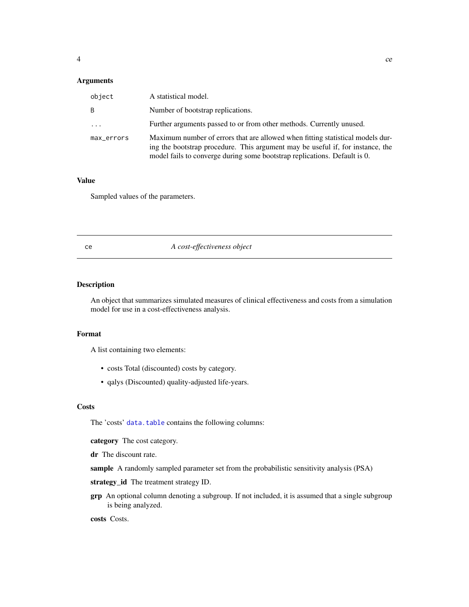#### <span id="page-3-0"></span>Arguments

| object     | A statistical model.                                                                                                                                                                                                                          |
|------------|-----------------------------------------------------------------------------------------------------------------------------------------------------------------------------------------------------------------------------------------------|
| B          | Number of bootstrap replications.                                                                                                                                                                                                             |
| $\cdots$   | Further arguments passed to or from other methods. Currently unused.                                                                                                                                                                          |
| max_errors | Maximum number of errors that are allowed when fitting statistical models dur-<br>ing the bootstrap procedure. This argument may be useful if, for instance, the<br>model fails to converge during some bootstrap replications. Default is 0. |

#### Value

Sampled values of the parameters.

#### ce *A cost-effectiveness object*

# Description

An object that summarizes simulated measures of clinical effectiveness and costs from a simulation model for use in a cost-effectiveness analysis.

#### Format

A list containing two elements:

- costs Total (discounted) costs by category.
- qalys (Discounted) quality-adjusted life-years.

#### **Costs**

The 'costs' [data.table](#page-0-0) contains the following columns:

category The cost category.

dr The discount rate.

sample A randomly sampled parameter set from the probabilistic sensitivity analysis (PSA)

strategy\_id The treatment strategy ID.

grp An optional column denoting a subgroup. If not included, it is assumed that a single subgroup is being analyzed.

costs Costs.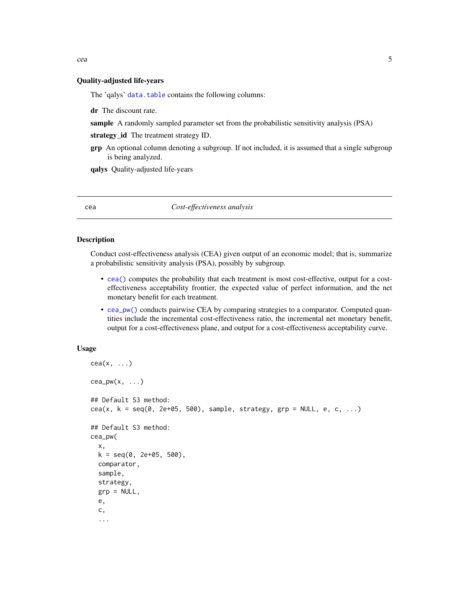<span id="page-4-0"></span>cea 5

#### Quality-adjusted life-years

The 'qalys' [data.table](#page-0-0) contains the following columns:

dr The discount rate.

sample A randomly sampled parameter set from the probabilistic sensitivity analysis (PSA)

strategy\_id The treatment strategy ID.

grp An optional column denoting a subgroup. If not included, it is assumed that a single subgroup is being analyzed.

qalys Quality-adjusted life-years

<span id="page-4-1"></span>cea *Cost-effectiveness analysis*

# <span id="page-4-2"></span>**Description**

Conduct cost-effectiveness analysis (CEA) given output of an economic model; that is, summarize a probabilistic sensitivity analysis (PSA), possibly by subgroup.

- [cea\(\)](#page-4-1) computes the probability that each treatment is most cost-effective, output for a costeffectiveness acceptability frontier, the expected value of perfect information, and the net monetary benefit for each treatment.
- [cea\\_pw\(\)](#page-4-2) conducts pairwise CEA by comparing strategies to a comparator. Computed quantities include the incremental cost-effectiveness ratio, the incremental net monetary benefit, output for a cost-effectiveness plane, and output for a cost-effectiveness acceptability curve.

#### Usage

```
cea(x, \ldots)cea_pw(x, \ldots)## Default S3 method:
cea(x, k = \text{seq}(0, 2e+05, 500), sample, strategy, grp = NULL, e, c, ...)
## Default S3 method:
cea_pw(
  x,
 k = seq(0, 2e+05, 500),
  comparator,
  sample,
  strategy,
  grp = NULL,
  e,
  c,
  ...
```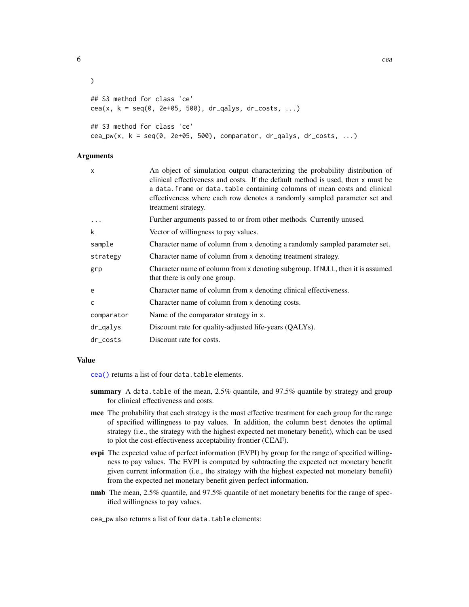```
\mathcal{L}## S3 method for class 'ce'
cea(x, k = seq(0, 2e+05, 500), dr_qalys, dr_costs, ...)
## S3 method for class 'ce'
cea_pw(x, k = \text{seq}(0, 2e+05, 500), comparator, dr_qalys, dr_costs, ...)
```
# Arguments

| x          | An object of simulation output characterizing the probability distribution of<br>clinical effectiveness and costs. If the default method is used, then x must be<br>a data. frame or data. table containing columns of mean costs and clinical<br>effectiveness where each row denotes a randomly sampled parameter set and<br>treatment strategy. |
|------------|----------------------------------------------------------------------------------------------------------------------------------------------------------------------------------------------------------------------------------------------------------------------------------------------------------------------------------------------------|
| $\ddots$   | Further arguments passed to or from other methods. Currently unused.                                                                                                                                                                                                                                                                               |
| k          | Vector of willingness to pay values.                                                                                                                                                                                                                                                                                                               |
| sample     | Character name of column from x denoting a randomly sampled parameter set.                                                                                                                                                                                                                                                                         |
| strategy   | Character name of column from x denoting treatment strategy.                                                                                                                                                                                                                                                                                       |
| grp        | Character name of column from x denoting subgroup. If NULL, then it is assumed<br>that there is only one group.                                                                                                                                                                                                                                    |
| e          | Character name of column from x denoting clinical effectiveness.                                                                                                                                                                                                                                                                                   |
| Ċ          | Character name of column from x denoting costs.                                                                                                                                                                                                                                                                                                    |
| comparator | Name of the comparator strategy in x.                                                                                                                                                                                                                                                                                                              |
| dr_qalys   | Discount rate for quality-adjusted life-years (QALYs).                                                                                                                                                                                                                                                                                             |
| dr_costs   | Discount rate for costs.                                                                                                                                                                                                                                                                                                                           |
|            |                                                                                                                                                                                                                                                                                                                                                    |

#### Value

[cea\(\)](#page-4-1) returns a list of four data.table elements.

- summary A data.table of the mean, 2.5% quantile, and 97.5% quantile by strategy and group for clinical effectiveness and costs.
- mce The probability that each strategy is the most effective treatment for each group for the range of specified willingness to pay values. In addition, the column best denotes the optimal strategy (i.e., the strategy with the highest expected net monetary benefit), which can be used to plot the cost-effectiveness acceptability frontier (CEAF).
- evpi The expected value of perfect information (EVPI) by group for the range of specified willingness to pay values. The EVPI is computed by subtracting the expected net monetary benefit given current information (i.e., the strategy with the highest expected net monetary benefit) from the expected net monetary benefit given perfect information.
- nmb The mean, 2.5% quantile, and 97.5% quantile of net monetary benefits for the range of specified willingness to pay values.

cea\_pw also returns a list of four data.table elements:

 $\epsilon$  6 ceases to be a set of  $\epsilon$  ceases to be a set of  $\epsilon$  ceases to be a set of  $\epsilon$  ceases to be a set of  $\epsilon$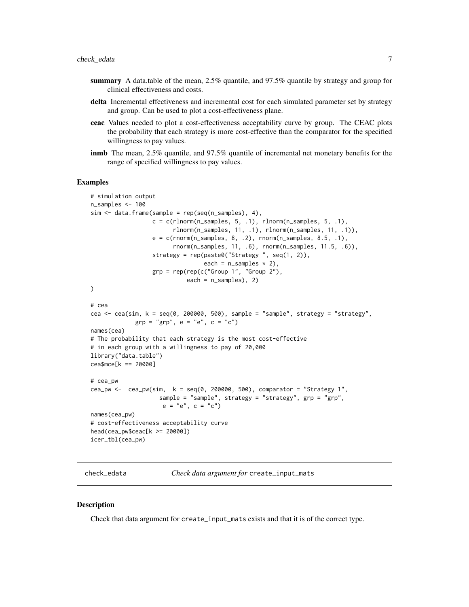- <span id="page-6-0"></span>summary A data.table of the mean, 2.5% quantile, and 97.5% quantile by strategy and group for clinical effectiveness and costs.
- delta Incremental effectiveness and incremental cost for each simulated parameter set by strategy and group. Can be used to plot a cost-effectiveness plane.
- ceac Values needed to plot a cost-effectiveness acceptability curve by group. The CEAC plots the probability that each strategy is more cost-effective than the comparator for the specified willingness to pay values.
- inmb The mean, 2.5% quantile, and 97.5% quantile of incremental net monetary benefits for the range of specified willingness to pay values.

#### Examples

```
# simulation output
n_samples <- 100
sim < data.frame(sample = rep(seq(n_samples), 4),
                  c = c(rlnorm(n_samples, 5, .1), rhorm(n_samples, 5, .1),rlnorm(n_samples, 11, .1), rlnorm(n_samples, 11, .1)),
                  e = c(rnorm(n\_samples, 8, .2), rnorm(n\_samples, 8.5, .1),rnorm(n_samples, 11, .6), rnorm(n_samples, 11.5, .6)),
                  strategy = rep(paste0("Strategy ", seq(1, 2)),
                                 each = n_samples * 2),
                  grp = rep(rep(c("Group 1", "Group 2"),each = n_samples), 2)
)
# cea
cea <- cea(sim, k = seq(0, 200000, 500), sample = "sample", strategy = "strategy",
             grp = "grp", e = "e", c = "c")names(cea)
# The probability that each strategy is the most cost-effective
# in each group with a willingness to pay of 20,000
library("data.table")
cea$mce[k == 20000]
# cea_pw
cea_pw <- cea_pw(sim, k = \text{seq}(0, 200000, 500), comparator = "Strategy 1",
                    sample = "sample", strategy = "strategy", grp = "grp",
                    e = "e", c = "c")names(cea_pw)
# cost-effectiveness acceptability curve
head(cea_pw$ceac[k >= 20000])
icer_tbl(cea_pw)
```
check\_edata *Check data argument for* create\_input\_mats

#### **Description**

Check that data argument for create\_input\_mats exists and that it is of the correct type.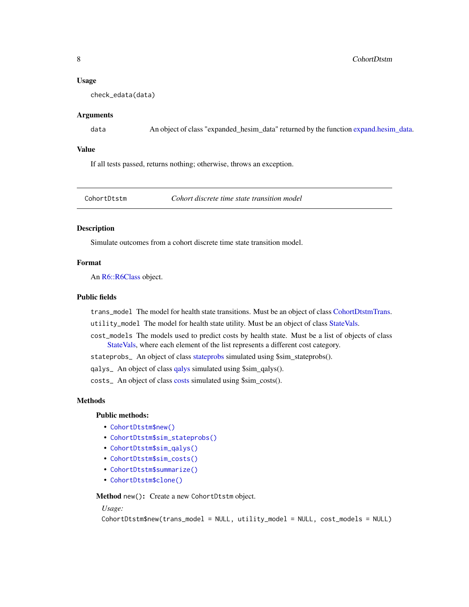# <span id="page-7-0"></span>8 CohortDtstm

#### Usage

check\_edata(data)

# Arguments

data An object of class "expanded\_hesim\_data" returned by the function [expand.hesim\\_data.](#page-29-1)

#### Value

If all tests passed, returns nothing; otherwise, throws an exception.

<span id="page-7-2"></span>CohortDtstm *Cohort discrete time state transition model*

#### Description

Simulate outcomes from a cohort discrete time state transition model.

#### Format

An [R6::R6Class](#page-0-0) object.

#### Public fields

trans\_model The model for health state transitions. Must be an object of class [CohortDtstmTrans.](#page-10-1)

utility\_model The model for health state utility. Must be an object of class [StateVals.](#page-74-1)

cost\_models The models used to predict costs by health state. Must be a list of objects of class [StateVals,](#page-74-1) where each element of the list represents a different cost category.

stateprobs\_ An object of class [stateprobs](#page-74-2) simulated using \$sim\_stateprobs().

qalys\_ An object of class [qalys](#page-68-1) simulated using \$sim\_qalys().

costs\_ An object of class [costs](#page-12-1) simulated using \$sim\_costs().

#### Methods

# Public methods:

- [CohortDtstm\\$new\(\)](#page-7-1)
- [CohortDtstm\\$sim\\_stateprobs\(\)](#page-8-0)
- [CohortDtstm\\$sim\\_qalys\(\)](#page-8-1)
- [CohortDtstm\\$sim\\_costs\(\)](#page-8-2)
- [CohortDtstm\\$summarize\(\)](#page-8-3)
- [CohortDtstm\\$clone\(\)](#page-9-0)

<span id="page-7-1"></span>Method new(): Create a new CohortDtstm object.

#### *Usage:*

```
CohortDtstm$new(trans_model = NULL, utility_model = NULL, cost_models = NULL)
```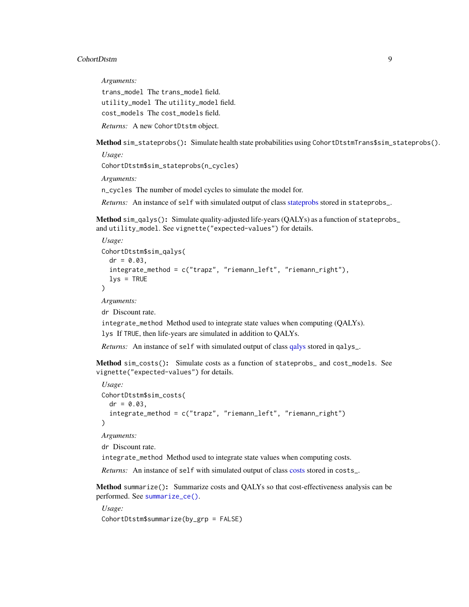#### CohortDtstm 9

*Arguments:*

trans\_model The trans\_model field. utility\_model The utility\_model field. cost\_models The cost\_models field.

*Returns:* A new CohortDtstm object.

<span id="page-8-0"></span>Method sim\_stateprobs(): Simulate health state probabilities using CohortDtstmTrans\$sim\_stateprobs().

CohortDtstm\$sim\_stateprobs(n\_cycles)

*Arguments:*

*Usage:*

n\_cycles The number of model cycles to simulate the model for.

*Returns:* An instance of self with simulated output of class [stateprobs](#page-74-2) stored in stateprobs\_.

<span id="page-8-1"></span>Method sim\_qalys(): Simulate quality-adjusted life-years (QALYs) as a function of stateprobs\_ and utility\_model. See vignette("expected-values") for details.

```
Usage:
CohortDtstm$sim_qalys(
  dr = 0.03,
  integrate_method = c("trapz", "riemann_left", "riemann_right"),
  lvs = TRUE)
Arguments:
```
dr Discount rate.

integrate\_method Method used to integrate state values when computing (QALYs).

lys If TRUE, then life-years are simulated in addition to QALYs.

*Returns:* An instance of self with simulated output of class galys stored in galys<sub>-</sub>.

<span id="page-8-2"></span>Method sim\_costs(): Simulate costs as a function of stateprobs\_ and cost\_models. See vignette("expected-values") for details.

```
Usage:
CohortDtstm$sim_costs(
  dr = 0.03,
  integrate_method = c("trapz", "riemann_left", "riemann_right")
\lambda
```
*Arguments:*

dr Discount rate.

integrate\_method Method used to integrate state values when computing costs.

*Returns:* An instance of self with simulated output of class [costs](#page-12-1) stored in costs\_.

<span id="page-8-3"></span>Method summarize(): Summarize costs and QALYs so that cost-effectiveness analysis can be performed. See [summarize\\_ce\(\)](#page-78-1).

*Usage:* CohortDtstm\$summarize(by\_grp = FALSE)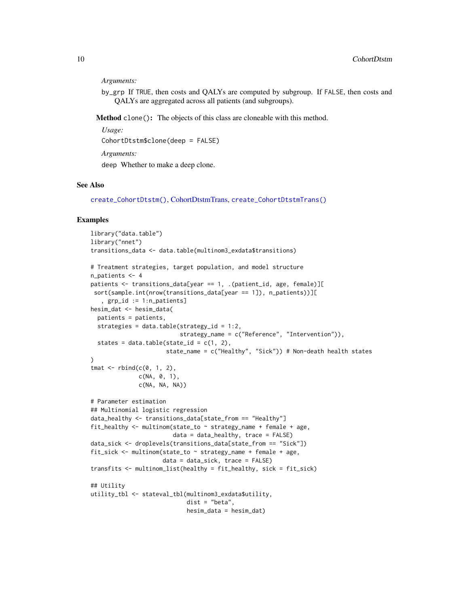#### *Arguments:*

by\_grp If TRUE, then costs and QALYs are computed by subgroup. If FALSE, then costs and QALYs are aggregated across all patients (and subgroups).

<span id="page-9-0"></span>Method clone(): The objects of this class are cloneable with this method.

*Usage:* CohortDtstm\$clone(deep = FALSE) *Arguments:*

deep Whether to make a deep clone.

# See Also

[create\\_CohortDtstm\(\)](#page-13-1), [CohortDtstmTrans,](#page-10-1) [create\\_CohortDtstmTrans\(\)](#page-13-2)

#### Examples

```
library("data.table")
library("nnet")
transitions_data <- data.table(multinom3_exdata$transitions)
# Treatment strategies, target population, and model structure
n_patients <- 4
patients <- transitions_data[year == 1, .(patient_id, age, female)][
 sort(sample.int(nrow(transitions_data[year == 1]), n_patients))][
   , grp_id := 1:n_patients]
hesim_dat <- hesim_data(
  patients = patients,
  strategies = data.table(strategy_id = 1:2,
                          strategy_name = c("Reference", "Intervention")),
  states = data.table(state_id = c(1, 2),
                      state_name = c("Healthy", "Sick")) # Non-death health states
)
tmat \leq rbind(c(0, 1, 2),
              c(NA, 0, 1),
              c(NA, NA, NA))
# Parameter estimation
## Multinomial logistic regression
data_healthy <- transitions_data[state_from == "Healthy"]
fit_healthy \le multinom(state_to \sim strategy_name + female + age,
                        data = data_{\text{breakthy}}, trace = FALSE)
data_sick <- droplevels(transitions_data[state_from == "Sick"])
fit_sick <- multinom(state_to ~ strategy_name + female + age,
                     data = data_sick, trace = FALSE)
transfits <- multinom_list(healthy = fit_healthy, sick = fit_sick)
## Utility
utility_tbl <- stateval_tbl(multinom3_exdata$utility,
                            dist = "beta",
                            hesim_data = hesim_dat)
```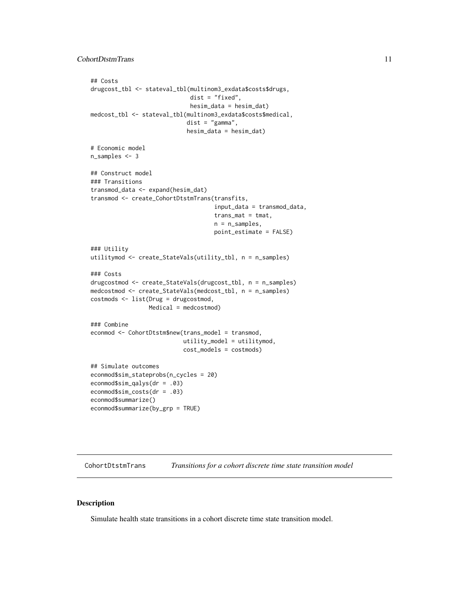```
## Costs
drugcost_tbl <- stateval_tbl(multinom3_exdata$costs$drugs,
                             dist = "fixed",
                             hesim_data = hesim_dat)
medcost_tbl <- stateval_tbl(multinom3_exdata$costs$medical,
                            dist = "gamma",
                            hesim_data = hesim_dat)
# Economic model
n_samples <- 3
## Construct model
### Transitions
transmod_data <- expand(hesim_dat)
transmod <- create_CohortDtstmTrans(transfits,
                                    input_data = transmod_data,
                                    trans_mat = tmat,
                                    n = n_samples,
                                    point_estimate = FALSE)
### Utility
utilitymod <- create_StateVals(utility_tbl, n = n_samples)
### Costs
drugcostmod <- create_StateVals(drugcost_tbl, n = n_samples)
medcostmod <- create_StateVals(medcost_tbl, n = n_samples)
costmods <- list(Drug = drugcostmod,
                 Medical = medcostmod)
### Combine
econmod <- CohortDtstm$new(trans_model = transmod,
                           utility_model = utilitymod,
                           cost_models = costmods)
## Simulate outcomes
econmod$sim_stateprobs(n_cycles = 20)
econmod$sim_qalys(dr = .03)
econmod$sim_costs(dr = .03)
econmod$summarize()
econmod$summarize(by_grp = TRUE)
```
<span id="page-10-1"></span>CohortDtstmTrans *Transitions for a cohort discrete time state transition model*

#### Description

Simulate health state transitions in a cohort discrete time state transition model.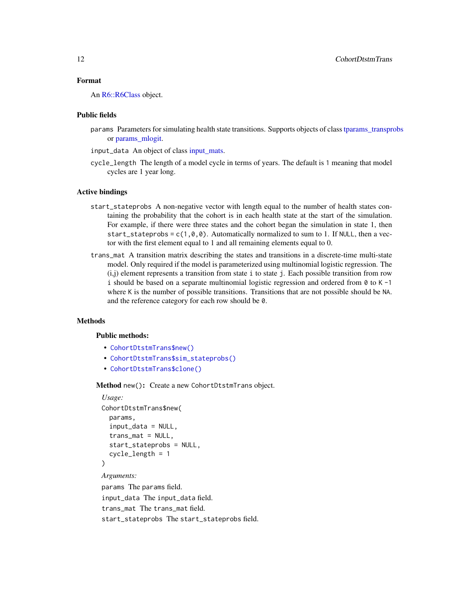# Format

An [R6::R6Class](#page-0-0) object.

#### Public fields

- params Parameters for simulating health state transitions. Supports objects of class [tparams\\_transprobs](#page-82-1) or [params\\_mlogit.](#page-56-1)
- input\_data An object of class [input\\_mats.](#page-46-1)
- cycle\_length The length of a model cycle in terms of years. The default is 1 meaning that model cycles are 1 year long.

#### Active bindings

- start\_stateprobs A non-negative vector with length equal to the number of health states containing the probability that the cohort is in each health state at the start of the simulation. For example, if there were three states and the cohort began the simulation in state 1, then start\_stateprobs =  $c(1, 0, 0)$ . Automatically normalized to sum to 1. If NULL, then a vector with the first element equal to 1 and all remaining elements equal to 0.
- trans\_mat A transition matrix describing the states and transitions in a discrete-time multi-state model. Only required if the model is parameterized using multinomial logistic regression. The (i,j) element represents a transition from state i to state j. Each possible transition from row i should be based on a separate multinomial logistic regression and ordered from  $\theta$  to K -1 where K is the number of possible transitions. Transitions that are not possible should be NA. and the reference category for each row should be 0.

#### Methods

#### Public methods:

- [CohortDtstmTrans\\$new\(\)](#page-7-1)
- [CohortDtstmTrans\\$sim\\_stateprobs\(\)](#page-8-0)
- [CohortDtstmTrans\\$clone\(\)](#page-9-0)

Method new(): Create a new CohortDtstmTrans object.

#### *Usage:*

```
CohortDtstmTrans$new(
  params,
  input_data = NULL,
  trans_mat = NULL,
  start_stateprobs = NULL,
  cycle_length = 1
)
Arguments:
params The params field.
```
input\_data The input\_data field. trans\_mat The trans\_mat field. start\_stateprobs The start\_stateprobs field.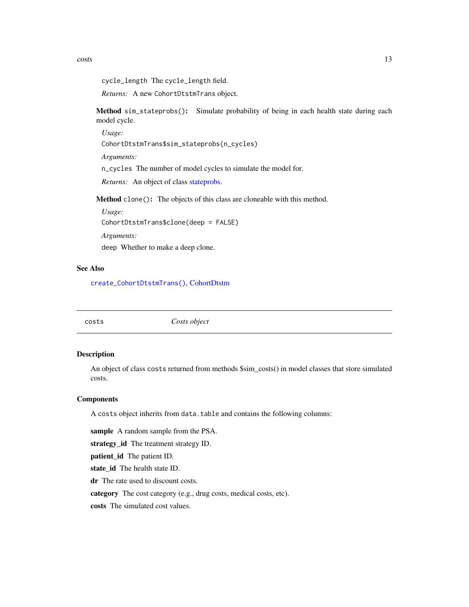<span id="page-12-0"></span>costs and the costs is a set of the costs of the costs of the costs is a set of the costs of the costs in the costs in the costs of the costs of the costs of the costs of the costs of the costs of the costs of the costs of

```
cycle_length The cycle_length field.
```
*Returns:* A new CohortDtstmTrans object.

Method sim\_stateprobs(): Simulate probability of being in each health state during each model cycle.

*Usage:*

CohortDtstmTrans\$sim\_stateprobs(n\_cycles)

*Arguments:*

n\_cycles The number of model cycles to simulate the model for.

*Returns:* An object of class [stateprobs.](#page-74-2)

Method clone(): The objects of this class are cloneable with this method.

*Usage:* CohortDtstmTrans\$clone(deep = FALSE)

*Arguments:*

deep Whether to make a deep clone.

#### See Also

[create\\_CohortDtstmTrans\(\)](#page-13-2), [CohortDtstm](#page-7-2)

<span id="page-12-1"></span>costs *Costs object*

# Description

An object of class costs returned from methods \$sim\_costs() in model classes that store simulated costs.

#### Components

A costs object inherits from data.table and contains the following columns:

sample A random sample from the PSA.

strategy\_id The treatment strategy ID.

patient\_id The patient ID.

state\_id The health state ID.

dr The rate used to discount costs.

category The cost category (e.g., drug costs, medical costs, etc).

costs The simulated cost values.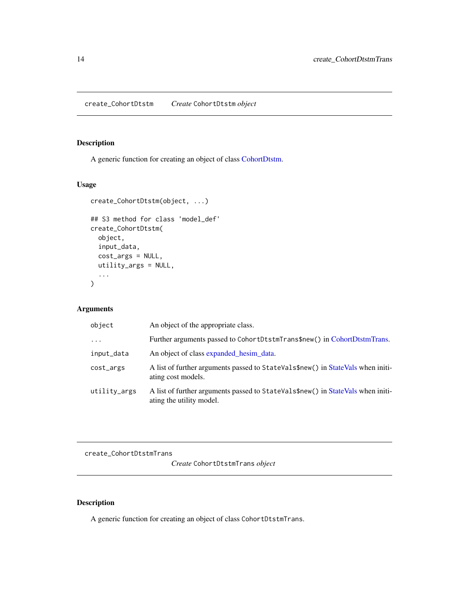<span id="page-13-1"></span><span id="page-13-0"></span>create\_CohortDtstm *Create* CohortDtstm *object*

# Description

A generic function for creating an object of class [CohortDtstm.](#page-7-2)

# Usage

```
create_CohortDtstm(object, ...)
## S3 method for class 'model_def'
create_CohortDtstm(
 object,
 input_data,
 cost_args = NULL,
 utility_args = NULL,
  ...
\mathcal{L}
```
# Arguments

| object       | An object of the appropriate class.                                                                         |
|--------------|-------------------------------------------------------------------------------------------------------------|
| $\ddotsc$    | Further arguments passed to CohortDtstmTrans\$new() in CohortDtstmTrans.                                    |
| input_data   | An object of class expanded hesim data.                                                                     |
| cost_args    | A list of further arguments passed to StateVals\$new() in StateVals when initi-<br>ating cost models.       |
| utility_args | A list of further arguments passed to StateVals\$new() in StateVals when initi-<br>ating the utility model. |

<span id="page-13-2"></span>create\_CohortDtstmTrans

*Create* CohortDtstmTrans *object*

# Description

A generic function for creating an object of class CohortDtstmTrans.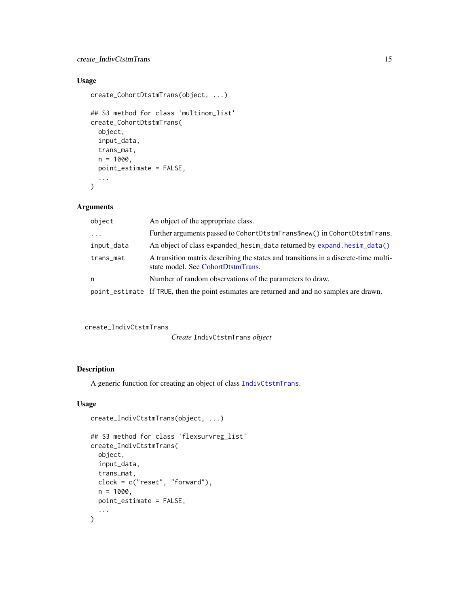# <span id="page-14-0"></span>create\_IndivCtstmTrans 15

# Usage

```
create_CohortDtstmTrans(object, ...)
```

```
## S3 method for class 'multinom_list'
create_CohortDtstmTrans(
 object,
  input_data,
  trans_mat,
 n = 1000,point_estimate = FALSE,
  ...
)
```
# Arguments

| object     | An object of the appropriate class.                                                                                       |
|------------|---------------------------------------------------------------------------------------------------------------------------|
| $\ddotsc$  | Further arguments passed to CohortDtstmTrans\$new() in CohortDtstmTrans.                                                  |
| input_data | An object of class expanded_hesim_data returned by expand.hesim_data()                                                    |
| trans_mat  | A transition matrix describing the states and transitions in a discrete-time multi-<br>state model. See CohortDtstmTrans. |
| n          | Number of random observations of the parameters to draw.                                                                  |
|            | point_estimate If TRUE, then the point estimates are returned and and no samples are drawn.                               |

```
create_IndivCtstmTrans
```
*Create* IndivCtstmTrans *object*

# Description

A generic function for creating an object of class [IndivCtstmTrans](#page-42-1).

# Usage

```
create_IndivCtstmTrans(object, ...)
## S3 method for class 'flexsurvreg_list'
create_IndivCtstmTrans(
 object,
  input_data,
  trans_mat,
 clock = c("reset", "forward"),
 n = 1000,point_estimate = FALSE,
  ...
\mathcal{L}
```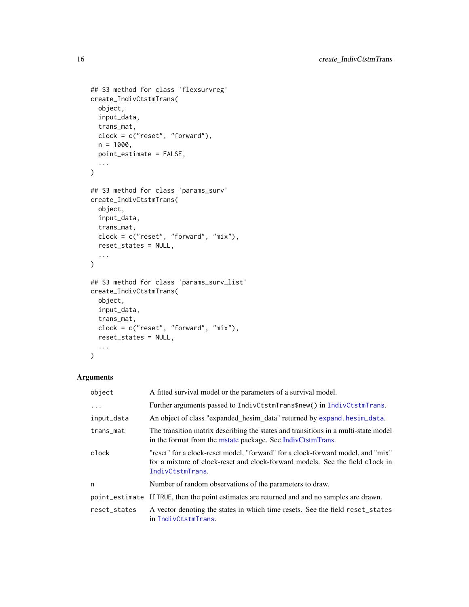```
## S3 method for class 'flexsurvreg'
create_IndivCtstmTrans(
 object,
 input_data,
 trans_mat,
 clock = c("reset", "forward"),
 n = 1000,point_estimate = FALSE,
  ...
\mathcal{L}## S3 method for class 'params_surv'
create_IndivCtstmTrans(
 object,
 input_data,
 trans_mat,
 clock = c("reset", "forward", "mix"),
 reset_states = NULL,
 ...
\mathcal{L}## S3 method for class 'params_surv_list'
create_IndivCtstmTrans(
 object,
 input_data,
  trans_mat,
 clock = c("reset", "forward", "mix"),
 reset_states = NULL,
  ...
```
# )

# Arguments

| object       | A fitted survival model or the parameters of a survival model.                                                                                                                       |
|--------------|--------------------------------------------------------------------------------------------------------------------------------------------------------------------------------------|
| .            | Further arguments passed to IndivCtstmTrans\$new() in IndivCtstmTrans.                                                                                                               |
| input_data   | An object of class "expanded_hesim_data" returned by expand. hesim_data.                                                                                                             |
| trans_mat    | The transition matrix describing the states and transitions in a multi-state model<br>in the format from the mstate package. See IndivCtstmTrans.                                    |
| clock        | "reset" for a clock-reset model, "forward" for a clock-forward model, and "mix"<br>for a mixture of clock-reset and clock-forward models. See the field clock in<br>IndivCtstmTrans. |
| n            | Number of random observations of the parameters to draw.                                                                                                                             |
|              | point_estimate If TRUE, then the point estimates are returned and and no samples are drawn.                                                                                          |
| reset_states | A vector denoting the states in which time resets. See the field reset_states<br>in IndivCtstmTrans.                                                                                 |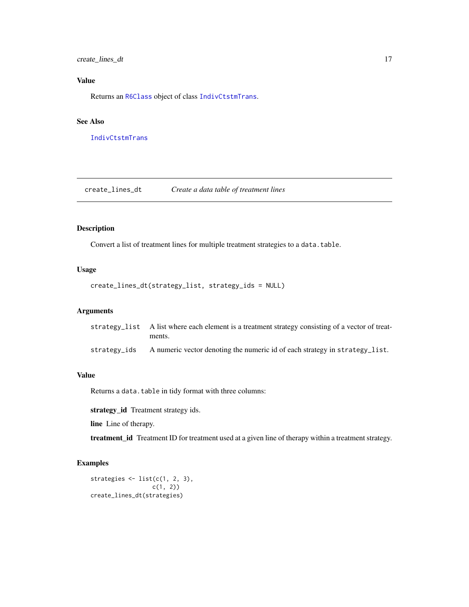<span id="page-16-0"></span>create\_lines\_dt 17

# Value

Returns an [R6Class](#page-0-0) object of class [IndivCtstmTrans](#page-42-1).

#### See Also

[IndivCtstmTrans](#page-42-1)

create\_lines\_dt *Create a data table of treatment lines*

# Description

Convert a list of treatment lines for multiple treatment strategies to a data.table.

# Usage

```
create_lines_dt(strategy_list, strategy_ids = NULL)
```
# Arguments

|              | strategy_list A list where each element is a treatment strategy consisting of a vector of treat-<br>ments. |
|--------------|------------------------------------------------------------------------------------------------------------|
| strategy ids | A numeric vector denoting the numeric id of each strategy in strategy_list.                                |

# Value

Returns a data.table in tidy format with three columns:

strategy\_id Treatment strategy ids.

line Line of therapy.

treatment\_id Treatment ID for treatment used at a given line of therapy within a treatment strategy.

# Examples

```
strategies \leftarrow list(c(1, 2, 3),
                   c(1, 2)create_lines_dt(strategies)
```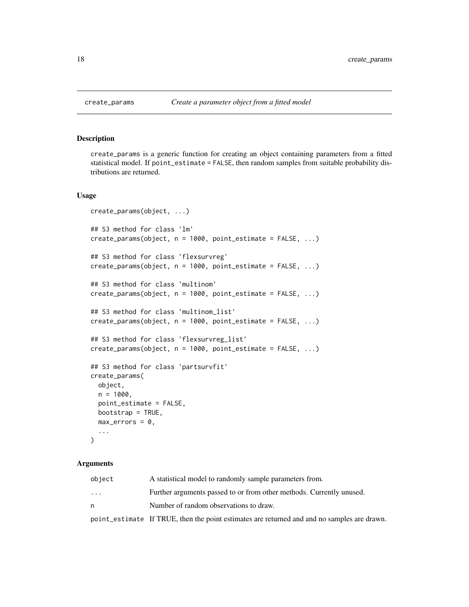create\_params is a generic function for creating an object containing parameters from a fitted statistical model. If point\_estimate = FALSE, then random samples from suitable probability distributions are returned.

#### Usage

```
create_params(object, ...)
## S3 method for class 'lm'
create_params(object, n = 1000, point_estimate = FALSE, ...)
## S3 method for class 'flexsurvreg'
create_params(object, n = 1000, point_estimate = FALSE, ...)
## S3 method for class 'multinom'
create_params(object, n = 1000, point_estimate = FALSE, ...)
## S3 method for class 'multinom_list'
create_params(object, n = 1000, point_estimate = FALSE, ...)
## S3 method for class 'flexsurvreg_list'
create_params(object, n = 1000, point_estimate = FALSE, ...)
## S3 method for class 'partsurvfit'
create_params(
 object,
 n = 1000,
  point_estimate = FALSE,
  bootstrap = TRUE,
 max\_errors = 0,...
\lambda
```
# Arguments

| object   | A statistical model to randomly sample parameters from.              |
|----------|----------------------------------------------------------------------|
| $\cdots$ | Further arguments passed to or from other methods. Currently unused. |
| n        | Number of random observations to draw.                               |

point\_estimate If TRUE, then the point estimates are returned and and no samples are drawn.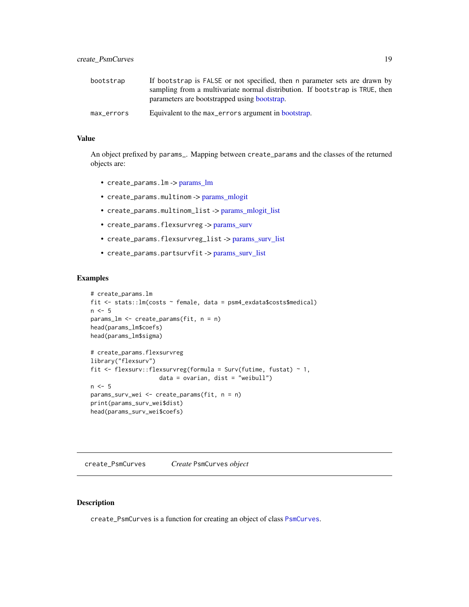<span id="page-18-0"></span>

| bootstrap  | If bootstrap is FALSE or not specified, then n parameter sets are drawn by<br>sampling from a multivariate normal distribution. If bootstrap is TRUE, then<br>parameters are bootstrapped using bootstrap. |
|------------|------------------------------------------------------------------------------------------------------------------------------------------------------------------------------------------------------------|
| max_errors | Equivalent to the max errors argument in bootstrap.                                                                                                                                                        |

#### Value

An object prefixed by params\_. Mapping between create\_params and the classes of the returned objects are:

- create\_params.lm -> [params\\_lm](#page-55-1)
- create\_params.multinom -> [params\\_mlogit](#page-56-1)
- create\_params.multinom\_list -> [params\\_mlogit\\_list](#page-57-1)
- create\_params.flexsurvreg -> [params\\_surv](#page-57-2)
- create\_params.flexsurvreg\_list -> [params\\_surv\\_list](#page-60-1)
- create\_params.partsurvfit -> [params\\_surv\\_list](#page-60-1)

# Examples

```
# create_params.lm
fit <- stats::lm(costs ~ female, data = psm4_exdata$costs$medical)
n < -5params_lm <- create_params(fit, n = n)
head(params_lm$coefs)
head(params_lm$sigma)
# create_params.flexsurvreg
library("flexsurv")
fit <- flexsurv::flexsurvreg(formula = Surv(futime, fustat) ~ 1,
                    data = ovarian, dist = "weibull")n \leq -5params_surv_wei <- create_params(fit, n = n)
print(params_surv_wei$dist)
head(params_surv_wei$coefs)
```
create\_PsmCurves *Create* PsmCurves *object*

# Description

create\_PsmCurves is a function for creating an object of class [PsmCurves](#page-65-1).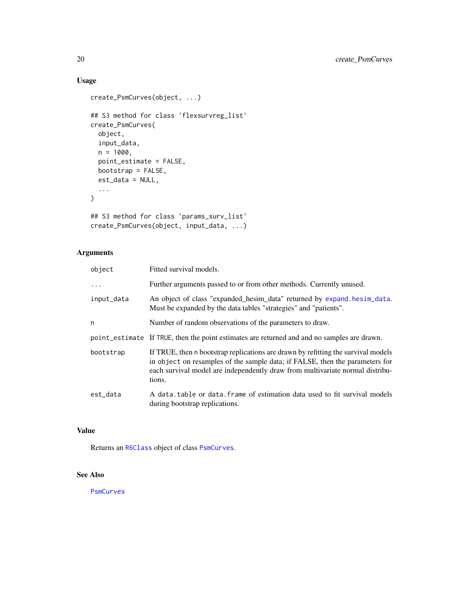# Usage

```
create_PsmCurves(object, ...)
## S3 method for class 'flexsurvreg_list'
create_PsmCurves(
  object,
  input_data,
  n = 1000,point_estimate = FALSE,
  bootstrap = FALSE,
  est_data = NULL,
  ...
\mathcal{L}## S3 method for class 'params_surv_list'
```

```
create_PsmCurves(object, input_data, ...)
```
# Arguments

| object     | Fitted survival models.                                                                                                                                                                                                                                      |
|------------|--------------------------------------------------------------------------------------------------------------------------------------------------------------------------------------------------------------------------------------------------------------|
| $\ddots$ . | Further arguments passed to or from other methods. Currently unused.                                                                                                                                                                                         |
| input_data | An object of class "expanded_hesim_data" returned by expand.hesim_data.<br>Must be expanded by the data tables "strategies" and "patients".                                                                                                                  |
| n          | Number of random observations of the parameters to draw.                                                                                                                                                                                                     |
|            | point_estimate If TRUE, then the point estimates are returned and and no samples are drawn.                                                                                                                                                                  |
| bootstrap  | If TRUE, then n bootstrap replications are drawn by refitting the survival models<br>in object on resamples of the sample data; if FALSE, then the parameters for<br>each survival model are independently draw from multivariate normal distribu-<br>tions. |
| est_data   | A data table or data frame of estimation data used to fit survival models<br>during bootstrap replications.                                                                                                                                                  |

# Value

Returns an [R6Class](#page-0-0) object of class [PsmCurves](#page-65-1).

# See Also

**[PsmCurves](#page-65-1)**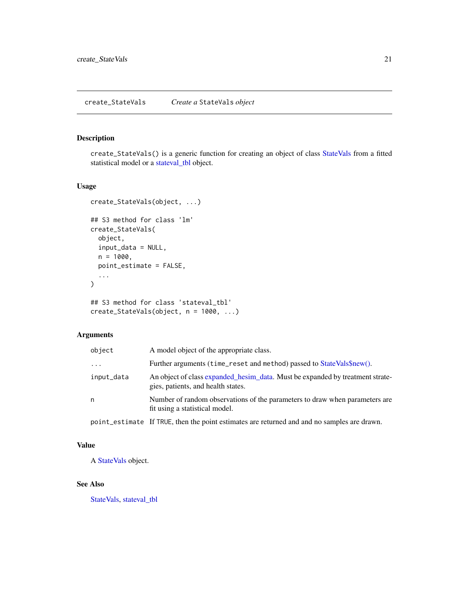<span id="page-20-0"></span>create\_StateVals() is a generic function for creating an object of class [StateVals](#page-74-1) from a fitted statistical model or a [stateval\\_tbl](#page-76-1) object.

# Usage

```
create_StateVals(object, ...)
## S3 method for class 'lm'
create_StateVals(
  object,
  input_data = NULL,
  n = 1000,point_estimate = FALSE,
  ...
\mathcal{L}## S3 method for class 'stateval_tbl'
```

```
create_StateVals(object, n = 1000, ...)
```
# Arguments

| object     | A model object of the appropriate class.                                                                            |
|------------|---------------------------------------------------------------------------------------------------------------------|
| $\cdot$    | Further arguments (time_reset and method) passed to StateVals\$new().                                               |
| input_data | An object of class expanded hesim data. Must be expanded by treatment strate-<br>gies, patients, and health states. |
| n          | Number of random observations of the parameters to draw when parameters are<br>fit using a statistical model.       |
|            |                                                                                                                     |

point\_estimate If TRUE, then the point estimates are returned and and no samples are drawn.

# Value

A [StateVals](#page-74-1) object.

# See Also

[StateVals,](#page-74-1) [stateval\\_tbl](#page-76-1)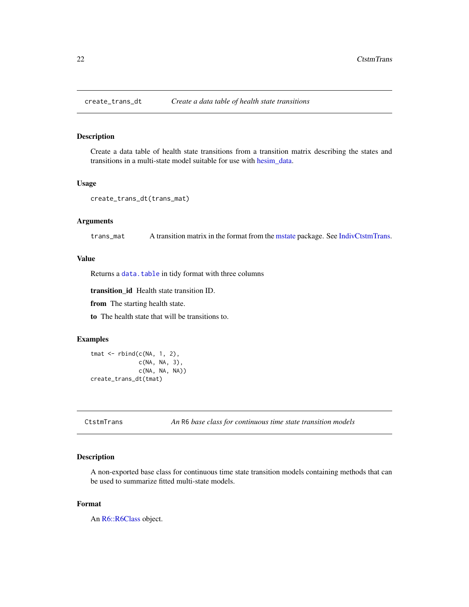<span id="page-21-0"></span>

Create a data table of health state transitions from a transition matrix describing the states and transitions in a multi-state model suitable for use with [hesim\\_data.](#page-32-1)

#### Usage

```
create_trans_dt(trans_mat)
```
#### Arguments

trans\_mat A transition matrix in the format from the [mstate](#page-0-0) package. See [IndivCtstmTrans.](#page-42-1)

# Value

Returns a [data.table](#page-0-0) in tidy format with three columns

transition\_id Health state transition ID.

from The starting health state.

to The health state that will be transitions to.

#### Examples

```
tmat <- rbind(c(NA, 1, 2),
              c(NA, NA, 3),
              c(NA, NA, NA))
create_trans_dt(tmat)
```
CtstmTrans *An* R6 *base class for continuous time state transition models*

#### Description

A non-exported base class for continuous time state transition models containing methods that can be used to summarize fitted multi-state models.

#### Format

An [R6::R6Class](#page-0-0) object.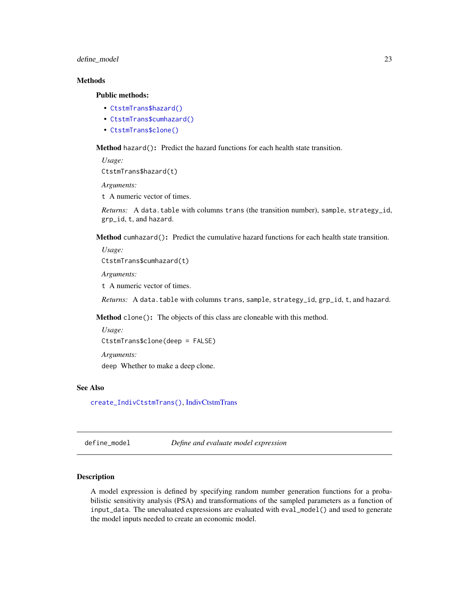#### <span id="page-22-0"></span>define\_model 23

# Methods

#### Public methods:

- [CtstmTrans\\$hazard\(\)](#page-22-1)
- [CtstmTrans\\$cumhazard\(\)](#page-22-2)
- [CtstmTrans\\$clone\(\)](#page-9-0)

<span id="page-22-1"></span>Method hazard(): Predict the hazard functions for each health state transition.

*Usage:* CtstmTrans\$hazard(t)

*Arguments:*

t A numeric vector of times.

*Returns:* A data.table with columns trans (the transition number), sample, strategy\_id, grp\_id, t, and hazard.

<span id="page-22-2"></span>Method cumhazard(): Predict the cumulative hazard functions for each health state transition.

*Usage:* CtstmTrans\$cumhazard(t)

*Arguments:*

t A numeric vector of times.

*Returns:* A data.table with columns trans, sample, strategy\_id, grp\_id, t, and hazard.

Method clone(): The objects of this class are cloneable with this method.

*Usage:* CtstmTrans\$clone(deep = FALSE) *Arguments:* deep Whether to make a deep clone.

#### See Also

[create\\_IndivCtstmTrans\(\)](#page-14-1), [IndivCtstmTrans](#page-42-1)

<span id="page-22-3"></span>define\_model *Define and evaluate model expression*

#### <span id="page-22-4"></span>Description

A model expression is defined by specifying random number generation functions for a probabilistic sensitivity analysis (PSA) and transformations of the sampled parameters as a function of input\_data. The unevaluated expressions are evaluated with eval\_model() and used to generate the model inputs needed to create an economic model.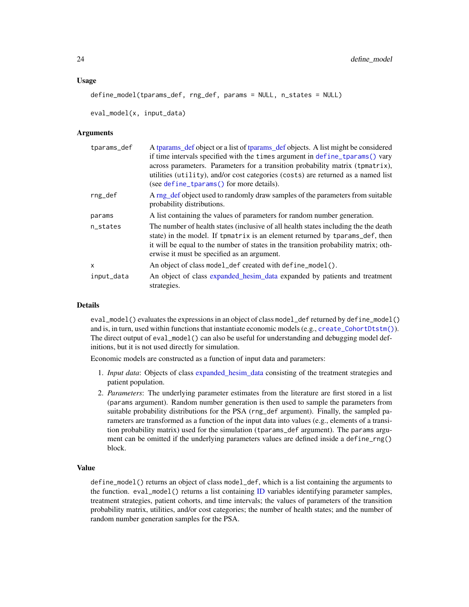#### Usage

```
define_model(tparams_def, rng_def, params = NULL, n_states = NULL)
```
eval\_model(x, input\_data)

#### Arguments

| tparams_def | A tparams_def object or a list of tparams_def objects. A list might be considered   |
|-------------|-------------------------------------------------------------------------------------|
|             | if time intervals specified with the times argument in define_tparams() vary        |
|             | across parameters. Parameters for a transition probability matrix (tpmatrix),       |
|             | utilities (utility), and/or cost categories (costs) are returned as a named list    |
|             | (see define_tparams() for more details).                                            |
| rng_def     | A rng def object used to randomly draw samples of the parameters from suitable      |
|             | probability distributions.                                                          |
| params      | A list containing the values of parameters for random number generation.            |
| n_states    | The number of health states (inclusive of all health states including the the death |
|             | state) in the model. If tpmatrix is an element returned by tparams_def, then        |
|             | it will be equal to the number of states in the transition probability matrix; oth- |
|             | erwise it must be specified as an argument.                                         |
| x           | An object of class model_def created with define_model().                           |
| input_data  | An object of class expanded hesim data expanded by patients and treatment           |
|             | strategies.                                                                         |

#### Details

eval\_model() evaluates the expressions in an object of class model\_def returned by define\_model() and is, in turn, used within functions that instantiate economic models (e.g., [create\\_CohortDtstm\(\)](#page-13-1)). The direct output of eval\_model() can also be useful for understanding and debugging model definitions, but it is not used directly for simulation.

Economic models are constructed as a function of input data and parameters:

- 1. *Input data*: Objects of class [expanded\\_hesim\\_data](#page-29-1) consisting of the treatment strategies and patient population.
- 2. *Parameters*: The underlying parameter estimates from the literature are first stored in a list (params argument). Random number generation is then used to sample the parameters from suitable probability distributions for the PSA (rng\_def argument). Finally, the sampled parameters are transformed as a function of the input data into values (e.g., elements of a transition probability matrix) used for the simulation (tparams\_def argument). The params argument can be omitted if the underlying parameters values are defined inside a define\_rng() block.

# Value

define\_model() returns an object of class model\_def, which is a list containing the arguments to the function.  $eval_model()$  returns a list containing  $ID$  variables identifying parameter samples, treatment strategies, patient cohorts, and time intervals; the values of parameters of the transition probability matrix, utilities, and/or cost categories; the number of health states; and the number of random number generation samples for the PSA.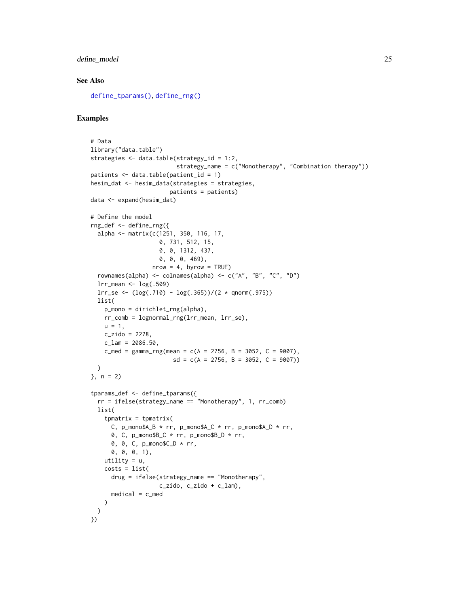# define\_model 25

# See Also

[define\\_tparams\(\)](#page-26-1), [define\\_rng\(\)](#page-25-1)

# Examples

```
# Data
library("data.table")
strategies <- data.table(strategy_id = 1:2,
                          strategy_name = c("Monotherapy", "Combination therapy"))
patients <- data.table(patient_id = 1)
hesim_dat <- hesim_data(strategies = strategies,
                        patients = patients)
data <- expand(hesim_dat)
# Define the model
rng_def <- define_rng({
  alpha <- matrix(c(1251, 350, 116, 17,
                     0, 731, 512, 15,
                     0, 0, 1312, 437,
                     0, 0, 0, 469),
                   nrow = 4, byrow = TRUE)
  rownames(alpha) <- colnames(alpha) <- c("A", "B", "C", "D")
  lrr_mean <- log(.509)
  lrr\_se \left( \log(.710) - \log(.365) \right) / (2 * qnorm(.975))list(
    p_mono = dirichlet_rng(alpha),
    rr_comb = lognormal_rng(lrr_mean, lrr_se),
    u = 1.
    c_zzido = 2278,
    c_{\text{lam}} = 2086.50,c_{med} = gamma_rng(mean = c(A = 2756, B = 3052, C = 9007),
                         sd = c(A = 2756, B = 3052, C = 9007)\lambda\}, n = 2)
tparams_def <- define_tparams({
  rr = ifelse(strategy_name == "Monotherapy", 1, rr_comb)
  list(
    tpmatrix = tpmatrix(
      C, p_mono$A_B * rr, p_mono$A_C * rr, p_mono$A_D * rr,
      0, C, p_{\text{mono}}B_C * rr, p_{\text{mono}}B_D * rr,
      0, 0, C, p_mono$C_D * rr,
      0, 0, 0, 1),
    utility = u,
    costs = list(
      drug = ifelse(strategy_name == "Monotherapy",
                     c_zido, c_zido + c_lam),
     median = c medical = c_med
   )
 \lambda})
```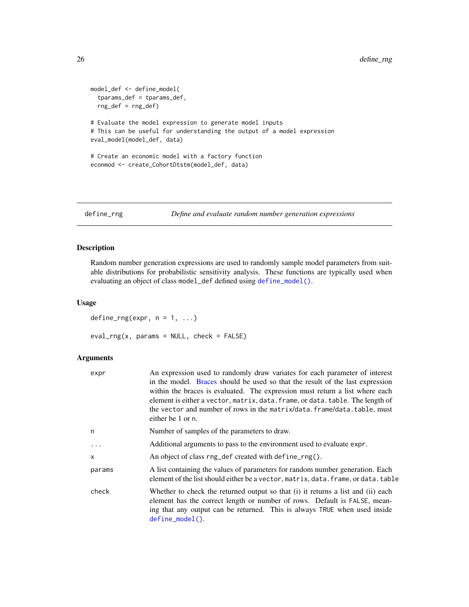```
model_def <- define_model(
  tparams_def = tparams_def,
  rng_def = rng_def)
# Evaluate the model expression to generate model inputs
# This can be useful for understanding the output of a model expression
eval_model(model_def, data)
# Create an economic model with a factory function
econmod <- create_CohortDtstm(model_def, data)
```
<span id="page-25-2"></span>

```
define_rng Define and evaluate random number generation expressions
```
Random number generation expressions are used to randomly sample model parameters from suitable distributions for probabilistic sensitivity analysis. These functions are typically used when evaluating an object of class model\_def defined using [define\\_model\(\)](#page-22-3).

# Usage

define\_rng(expr,  $n = 1, ...$ )  $eval_rng(x, params = NULL, check = FALSE)$ 

# Arguments

| expr     | An expression used to randomly draw variates for each parameter of interest<br>in the model. Braces should be used so that the result of the last expression<br>within the braces is evaluated. The expression must return a list where each<br>element is either a vector, matrix, data. frame, or data. table. The length of<br>the vector and number of rows in the matrix/data.frame/data.table, must<br>either be 1 or n. |  |
|----------|--------------------------------------------------------------------------------------------------------------------------------------------------------------------------------------------------------------------------------------------------------------------------------------------------------------------------------------------------------------------------------------------------------------------------------|--|
| n        | Number of samples of the parameters to draw.                                                                                                                                                                                                                                                                                                                                                                                   |  |
| $\ddots$ | Additional arguments to pass to the environment used to evaluate expr.                                                                                                                                                                                                                                                                                                                                                         |  |
| X        | An object of class rng_def created with define_rng().                                                                                                                                                                                                                                                                                                                                                                          |  |
| params   | A list containing the values of parameters for random number generation. Each<br>element of the list should either be a vector, matrix, data. frame, or data. table                                                                                                                                                                                                                                                            |  |
| check    | Whether to check the returned output so that (i) it returns a list and (ii) each<br>element has the correct length or number of rows. Default is FALSE, mean-<br>ing that any output can be returned. This is always TRUE when used inside<br>define_model().                                                                                                                                                                  |  |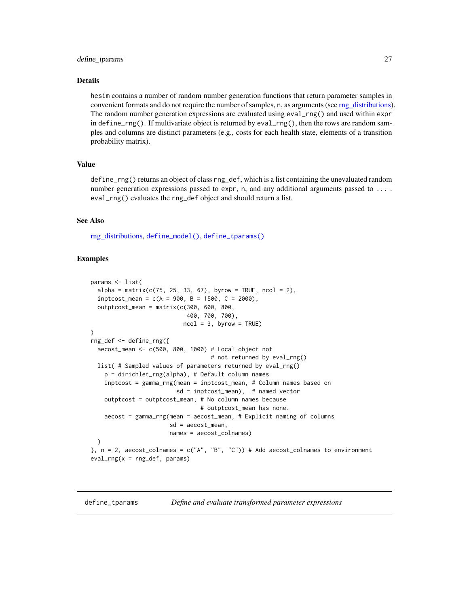#### <span id="page-26-0"></span>define\_tparams 27

#### Details

hesim contains a number of random number generation functions that return parameter samples in convenient formats and do not require the number of samples, n, as arguments (see [rng\\_distributions\)](#page-71-1). The random number generation expressions are evaluated using eval\_rng() and used within expr in define\_rng(). If multivariate object is returned by eval\_rng(), then the rows are random samples and columns are distinct parameters (e.g., costs for each health state, elements of a transition probability matrix).

#### Value

define\_rng() returns an object of class rng\_def, which is a list containing the unevaluated random number generation expressions passed to expr, n, and any additional arguments passed to .... eval\_rng() evaluates the rng\_def object and should return a list.

#### See Also

[rng\\_distributions,](#page-71-1) [define\\_model\(\)](#page-22-3), [define\\_tparams\(\)](#page-26-1)

### Examples

```
params <- list(
 alpha = matrix(c(75, 25, 33, 67), byrow = TRUE, ncol = 2),inptcost_mean = c(A = 900, B = 1500, C = 2000),
 outptcost_mean = matrix(c(300, 600, 800,400, 700, 700),
                           ncol = 3, byrow = TRUE)
)
rng_def <- define_rng({
 aecost_mean <- c(500, 800, 1000) # Local object not
                                   # not returned by eval_rng()
 list( # Sampled values of parameters returned by eval_rng()
   p = dirichlet_rng(alpha), # Default column names
    inptcost = gamma_rng(mean = inptcost_mean, # Column names based on
                         sd = inptcost_mean), # named vector
    outptcost = outptcost_mean, # No column names because
                                # outptcost_mean has none.
    aecost = gamma_rng(mean = aecost_mean, # Explicit naming of columns
                       sd = aecost_mean,
                       names = aecost_colnames)
 )
}, n = 2, aecost_colnames = c("A", "B", "C")) # Add aecost_colnames to environment
eval_rng(x = rng_def, params)
```
<span id="page-26-2"></span><span id="page-26-1"></span>define\_tparams *Define and evaluate transformed parameter expressions*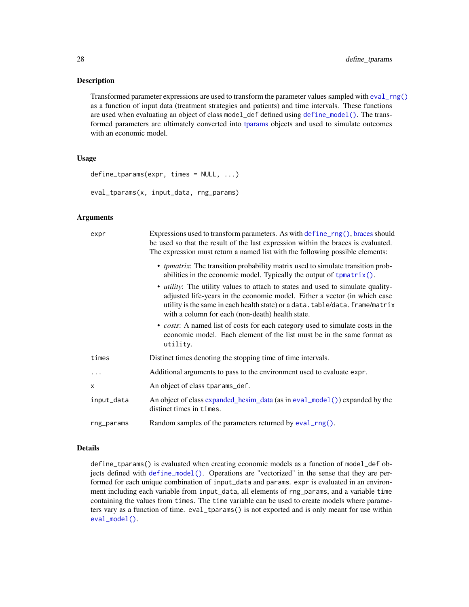Transformed parameter expressions are used to transform the parameter values sampled with [eval\\_rng\(\)](#page-25-2) as a function of input data (treatment strategies and patients) and time intervals. These functions are used when evaluating an object of class model\_def defined using [define\\_model\(\)](#page-22-3). The transformed parameters are ultimately converted into [tparams](#page-80-1) objects and used to simulate outcomes with an economic model.

#### Usage

```
define_tparams(expr, times = NULL, ...)
```
eval\_tparams(x, input\_data, rng\_params)

#### Arguments

| expr |            | Expressions used to transform parameters. As with define_rng(), braces should<br>be used so that the result of the last expression within the braces is evaluated.                                                                                                                                      |
|------|------------|---------------------------------------------------------------------------------------------------------------------------------------------------------------------------------------------------------------------------------------------------------------------------------------------------------|
|      |            | The expression must return a named list with the following possible elements:                                                                                                                                                                                                                           |
|      |            | • <i>tpmatrix</i> : The transition probability matrix used to simulate transition prob-<br>abilities in the economic model. Typically the output of $t$ pmatrix $()$ .                                                                                                                                  |
|      |            | • <i>utility</i> : The utility values to attach to states and used to simulate quality-<br>adjusted life-years in the economic model. Either a vector (in which case<br>utility is the same in each health state) or a data.table/data.frame/matrix<br>with a column for each (non-death) health state. |
|      |            | • costs: A named list of costs for each category used to simulate costs in the<br>economic model. Each element of the list must be in the same format as<br>utility.                                                                                                                                    |
|      | times      | Distinct times denoting the stopping time of time intervals.                                                                                                                                                                                                                                            |
|      | .          | Additional arguments to pass to the environment used to evaluate expr.                                                                                                                                                                                                                                  |
|      | X          | An object of class tparams_def.                                                                                                                                                                                                                                                                         |
|      | input_data | An object of class expanded_hesim_data (as in eval_model()) expanded by the<br>distinct times in times.                                                                                                                                                                                                 |
|      | rng_params | Random samples of the parameters returned by eval_rng().                                                                                                                                                                                                                                                |
|      |            |                                                                                                                                                                                                                                                                                                         |

#### Details

define\_tparams() is evaluated when creating economic models as a function of model\_def objects defined with [define\\_model\(\)](#page-22-3). Operations are "vectorized" in the sense that they are performed for each unique combination of input\_data and params. expr is evaluated in an environment including each variable from input\_data, all elements of rng\_params, and a variable time containing the values from times. The time variable can be used to create models where parameters vary as a function of time. eval\_tparams() is not exported and is only meant for use within [eval\\_model\(\)](#page-22-4).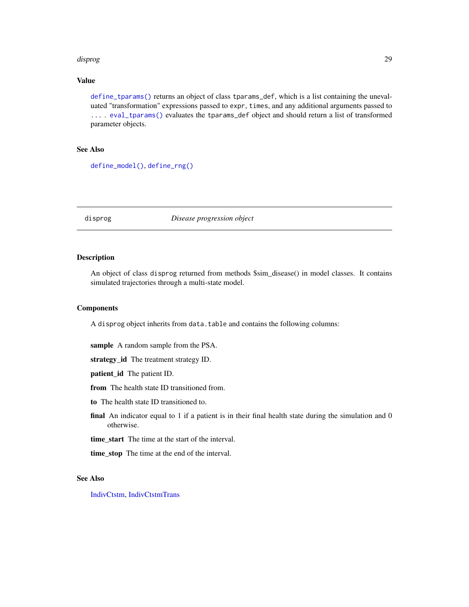#### <span id="page-28-0"></span>disprog 29

#### Value

[define\\_tparams\(\)](#page-26-1) returns an object of class tparams\_def, which is a list containing the unevaluated "transformation" expressions passed to expr, times, and any additional arguments passed to ... . [eval\\_tparams\(\)](#page-26-2) evaluates the tparams\_def object and should return a list of transformed parameter objects.

#### See Also

[define\\_model\(\)](#page-22-3), [define\\_rng\(\)](#page-25-1)

disprog *Disease progression object*

#### Description

An object of class disprog returned from methods \$sim\_disease() in model classes. It contains simulated trajectories through a multi-state model.

## **Components**

A disprog object inherits from data.table and contains the following columns:

sample A random sample from the PSA.

strategy\_id The treatment strategy ID.

patient\_id The patient ID.

from The health state ID transitioned from.

to The health state ID transitioned to.

final An indicator equal to 1 if a patient is in their final health state during the simulation and 0 otherwise.

time start The time at the start of the interval.

time\_stop The time at the end of the interval.

#### See Also

[IndivCtstm,](#page-38-1) [IndivCtstmTrans](#page-42-1)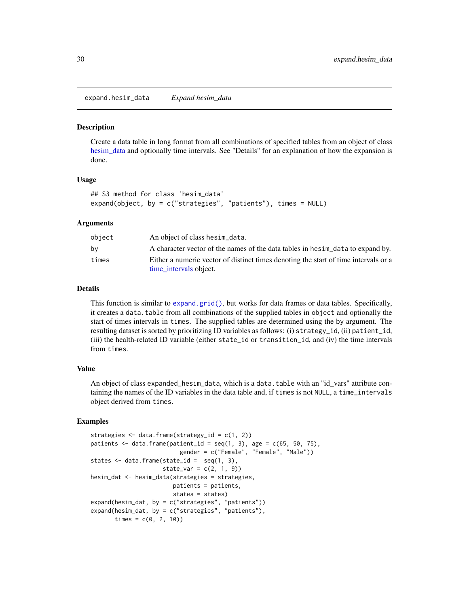<span id="page-29-1"></span><span id="page-29-0"></span>expand.hesim\_data *Expand hesim\_data*

#### Description

Create a data table in long format from all combinations of specified tables from an object of class [hesim\\_data](#page-32-1) and optionally time intervals. See "Details" for an explanation of how the expansion is done.

#### Usage

```
## S3 method for class 'hesim_data'
expand(object, by = c("strategies", "patients"), times = NULL)
```
#### Arguments

| object | An object of class hesim_data.                                                      |
|--------|-------------------------------------------------------------------------------------|
| bv     | A character vector of the names of the data tables in hesim_data to expand by.      |
| times  | Either a numeric vector of distinct times denoting the start of time intervals or a |
|        | time_intervals object.                                                              |

#### Details

This function is similar to [expand.grid\(\)](#page-0-0), but works for data frames or data tables. Specifically, it creates a data.table from all combinations of the supplied tables in object and optionally the start of times intervals in times. The supplied tables are determined using the by argument. The resulting dataset is sorted by prioritizing ID variables as follows: (i) strategy\_id, (ii) patient\_id, (iii) the health-related ID variable (either state\_id or transition\_id, and (iv) the time intervals from times.

#### Value

An object of class expanded\_hesim\_data, which is a data.table with an "id\_vars" attribute containing the names of the ID variables in the data table and, if times is not NULL, a time\_intervals object derived from times.

#### Examples

```
strategies <- data.frame(strategy_id = c(1, 2))
patients \leq data.frame(patient_id = seq(1, 3), age = c(65, 50, 75),
                          gender = c("Female", "Female", "Male"))
states \leq data.frame(state_id = seq(1, 3),
                     state\_var = c(2, 1, 9)hesim_dat <- hesim_data(strategies = strategies,
                        patients = patients,
                        states = states)
expand(hesim_dat, by = c("strategies", "patients"))
expand(hesim_dat, by = c("strategies", "patients"),
      times = c(0, 2, 10)
```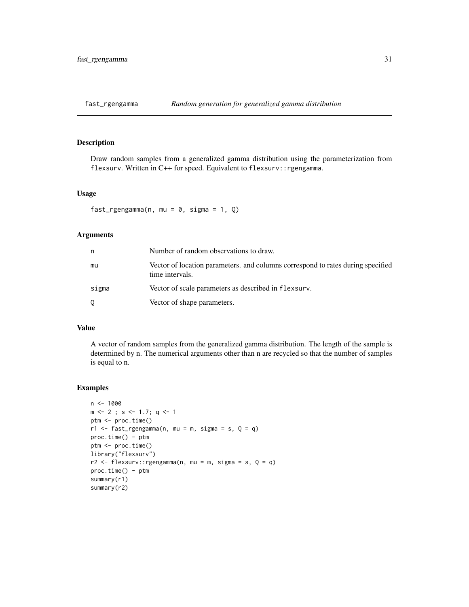<span id="page-30-0"></span>

Draw random samples from a generalized gamma distribution using the parameterization from flexsurv. Written in C++ for speed. Equivalent to flexsurv:: rgengamma.

# Usage

```
fast_rgengamma(n, mu = 0, sigma = 1, Q)
```
#### Arguments

| n     | Number of random observations to draw.                                                             |  |
|-------|----------------------------------------------------------------------------------------------------|--|
| mu    | Vector of location parameters, and columns correspond to rates during specified<br>time intervals. |  |
| sigma | Vector of scale parameters as described in flexsurv.                                               |  |
| 0     | Vector of shape parameters.                                                                        |  |

# Value

A vector of random samples from the generalized gamma distribution. The length of the sample is determined by n. The numerical arguments other than n are recycled so that the number of samples is equal to n.

# Examples

```
n < -1000m \le -2; s \le -1.7; q \le -1ptm <- proc.time()
r1 \leq - fast_rgengamma(n, mu = m, sigma = s, Q = q)
proc.time() - ptm
ptm <- proc.time()
library("flexsurv")
r2 \leq flexsurv:: rgengamma(n, mu = m, sigma = s, Q = q)
proc.time() - ptm
summary(r1)
summary(r2)
```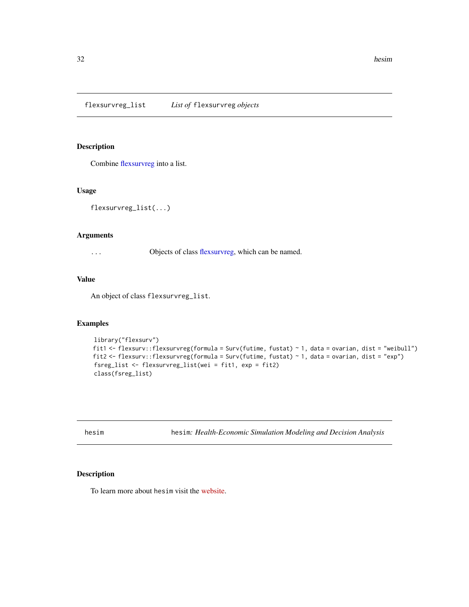<span id="page-31-0"></span>Combine [flexsurvreg](#page-0-0) into a list.

# Usage

```
flexsurvreg_list(...)
```
#### Arguments

... Objects of class [flexsurvreg,](#page-0-0) which can be named.

# Value

An object of class flexsurvreg\_list.

#### Examples

```
library("flexsurv")
fit1 <- flexsurv::flexsurvreg(formula = Surv(futime, fustat) ~ 1, data = ovarian, dist = "weibull")
fit2 <- flexsurv::flexsurvreg(formula = Surv(futime, fustat) ~ 1, data = ovarian, dist = "exp")
fsreg_list <- flexsurvreg_list(wei = fit1, exp = fit2)
class(fsreg_list)
```
hesim hesim*: Health-Economic Simulation Modeling and Decision Analysis*

# Description

To learn more about hesim visit the [website.](https://hesim-dev.github.io/hesim/)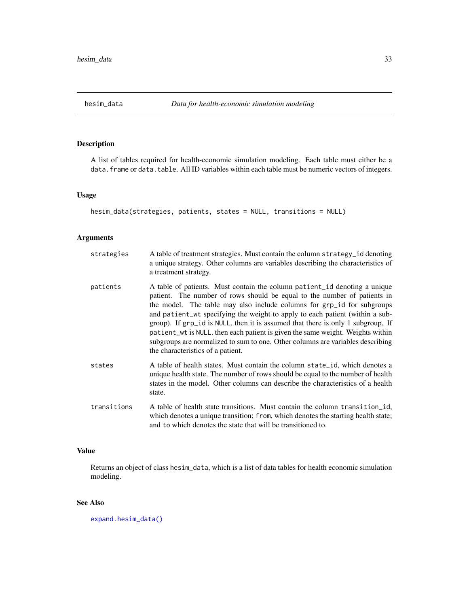<span id="page-32-1"></span><span id="page-32-0"></span>

A list of tables required for health-economic simulation modeling. Each table must either be a data. frame or data.table. All ID variables within each table must be numeric vectors of integers.

#### Usage

```
hesim_data(strategies, patients, states = NULL, transitions = NULL)
```
#### Arguments

| strategies  | A table of treatment strategies. Must contain the column strategy_id denoting<br>a unique strategy. Other columns are variables describing the characteristics of<br>a treatment strategy.                                                                                                                                                                                                                                                                                                                                                                                                                  |
|-------------|-------------------------------------------------------------------------------------------------------------------------------------------------------------------------------------------------------------------------------------------------------------------------------------------------------------------------------------------------------------------------------------------------------------------------------------------------------------------------------------------------------------------------------------------------------------------------------------------------------------|
| patients    | A table of patients. Must contain the column patient id denoting a unique<br>patient. The number of rows should be equal to the number of patients in<br>the model. The table may also include columns for grp_id for subgroups<br>and patient wt specifying the weight to apply to each patient (within a sub-<br>group). If grp_id is NULL, then it is assumed that there is only 1 subgroup. If<br>patient_wt is NULL, then each patient is given the same weight. Weights within<br>subgroups are normalized to sum to one. Other columns are variables describing<br>the characteristics of a patient. |
| states      | A table of health states. Must contain the column state_id, which denotes a<br>unique health state. The number of rows should be equal to the number of health<br>states in the model. Other columns can describe the characteristics of a health<br>state.                                                                                                                                                                                                                                                                                                                                                 |
| transitions | A table of health state transitions. Must contain the column transition id,<br>which denotes a unique transition; from, which denotes the starting health state;<br>and to which denotes the state that will be transitioned to.                                                                                                                                                                                                                                                                                                                                                                            |

# Value

Returns an object of class hesim\_data, which is a list of data tables for health economic simulation modeling.

# See Also

[expand.hesim\\_data\(\)](#page-29-1)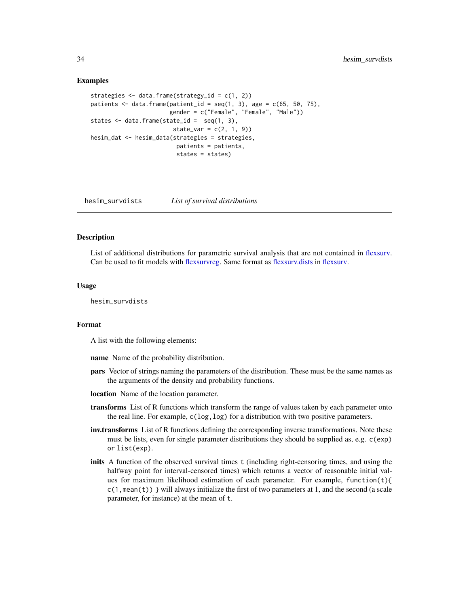#### Examples

```
strategies <- data.frame(strategy_id = c(1, 2))
patients \leq data.frame(patient_id = seq(1, 3), age = c(65, 50, 75),
                       gender = c("Female", "Female", "Male"))
states <- data.frame(state_id = seq(1, 3),
                        state\_var = c(2, 1, 9)hesim_dat <- hesim_data(strategies = strategies,
                        patients = patients,
                         states = states)
```
hesim\_survdists *List of survival distributions*

#### **Description**

List of additional distributions for parametric survival analysis that are not contained in [flexsurv.](#page-0-0) Can be used to fit models with [flexsurvreg.](#page-0-0) Same format as [flexsurv.dists](#page-0-0) in [flexsurv.](#page-0-0)

#### Usage

hesim\_survdists

#### Format

A list with the following elements:

name Name of the probability distribution.

- pars Vector of strings naming the parameters of the distribution. These must be the same names as the arguments of the density and probability functions.
- location Name of the location parameter.
- transforms List of R functions which transform the range of values taken by each parameter onto the real line. For example,  $c(\log, \log)$  for a distribution with two positive parameters.
- inv.transforms List of R functions defining the corresponding inverse transformations. Note these must be lists, even for single parameter distributions they should be supplied as, e.g. c(exp) or list(exp).
- inits A function of the observed survival times t (including right-censoring times, and using the halfway point for interval-censored times) which returns a vector of reasonable initial values for maximum likelihood estimation of each parameter. For example, function(t){  $c(1, \text{mean}(t))$  } will always initialize the first of two parameters at 1, and the second (a scale parameter, for instance) at the mean of t.

<span id="page-33-0"></span>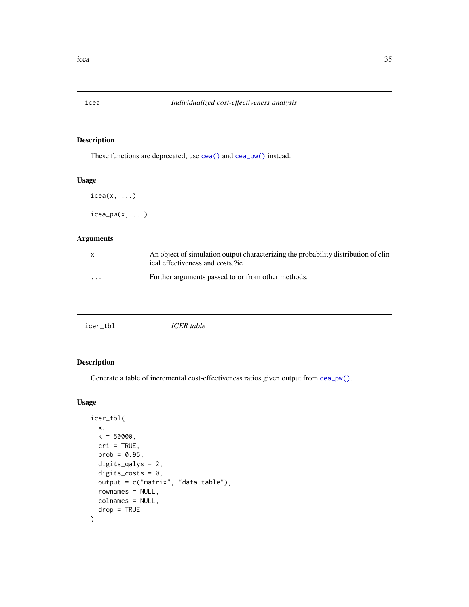<span id="page-34-0"></span>

These functions are deprecated, use [cea\(\)](#page-4-1) and [cea\\_pw\(\)](#page-4-2) instead.

#### Usage

```
icea(x, \ldots)
```
 $i$ cea\_pw $(x, \ldots)$ 

#### Arguments

| X        | An object of simulation output characterizing the probability distribution of clin-<br>ical effectiveness and costs.?ic |
|----------|-------------------------------------------------------------------------------------------------------------------------|
| $\cdots$ | Further arguments passed to or from other methods.                                                                      |

| icer_tbl | ICER table |
|----------|------------|
|          |            |

# Description

Generate a table of incremental cost-effectiveness ratios given output from [cea\\_pw\(\)](#page-4-2).

### Usage

```
icer_tbl(
 x,
 k = 50000,cri = TRUE,prob = 0.95,digits_qalys = 2,
 digits_costs = 0,
 output = c("matrix", "data.table"),
  rownames = NULL,
 colnames = NULL,
  drop = TRUE
)
```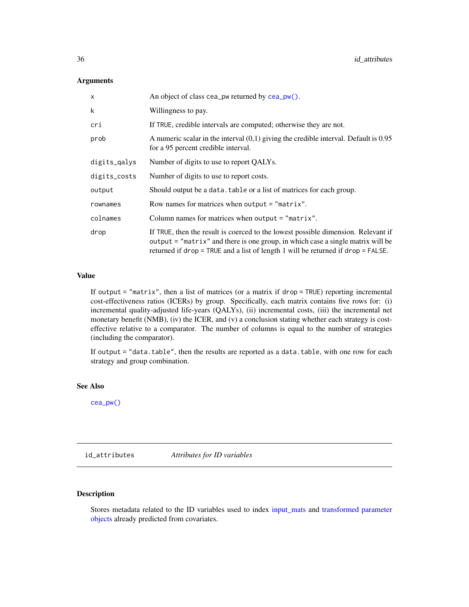#### <span id="page-35-0"></span>Arguments

| X            | An object of class cea_pw returned by $cea_pw()$ .                                                                                                                                                                                                            |  |
|--------------|---------------------------------------------------------------------------------------------------------------------------------------------------------------------------------------------------------------------------------------------------------------|--|
| k            | Willingness to pay.                                                                                                                                                                                                                                           |  |
| cri          | If TRUE, credible intervals are computed; otherwise they are not.                                                                                                                                                                                             |  |
| prob         | A numeric scalar in the interval $(0,1)$ giving the credible interval. Default is 0.95<br>for a 95 percent credible interval.                                                                                                                                 |  |
| digits_qalys | Number of digits to use to report QALYs.                                                                                                                                                                                                                      |  |
| digits_costs | Number of digits to use to report costs.                                                                                                                                                                                                                      |  |
| output       | Should output be a data, table or a list of matrices for each group.                                                                                                                                                                                          |  |
| rownames     | Row names for matrices when output $=$ "matrix".                                                                                                                                                                                                              |  |
| colnames     | Column names for matrices when output $=$ "matrix".                                                                                                                                                                                                           |  |
| drop         | If TRUE, then the result is coerced to the lowest possible dimension. Relevant if<br>output = "matrix" and there is one group, in which case a single matrix will be<br>returned if $drop = TRUE$ and a list of length 1 will be returned if $drop = FALSE$ . |  |

#### Value

If output  $=$  "matrix", then a list of matrices (or a matrix if drop  $=$  TRUE) reporting incremental cost-effectiveness ratios (ICERs) by group. Specifically, each matrix contains five rows for: (i) incremental quality-adjusted life-years (QALYs), (ii) incremental costs, (iii) the incremental net monetary benefit (NMB), (iv) the ICER, and (v) a conclusion stating whether each strategy is costeffective relative to a comparator. The number of columns is equal to the number of strategies (including the comparator).

If output = "data.table", then the results are reported as a data.table, with one row for each strategy and group combination.

#### See Also

[cea\\_pw\(\)](#page-4-2)

<span id="page-35-1"></span>id\_attributes *Attributes for ID variables*

# Description

Stores metadata related to the ID variables used to index [input\\_mats](#page-46-1) and [transformed parameter](#page-80-1) [objects](#page-80-1) already predicted from covariates.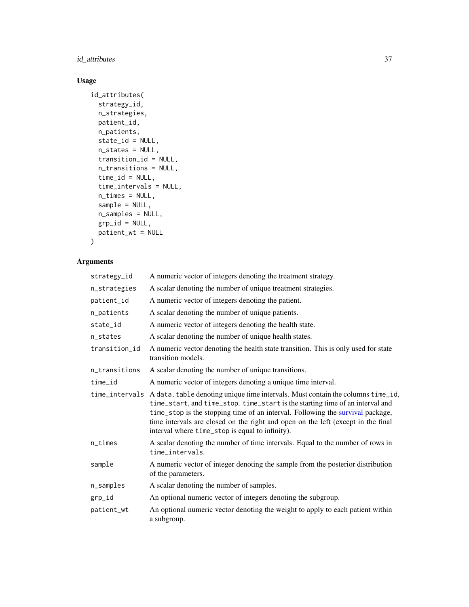# id\_attributes 37

# Usage

```
id_attributes(
 strategy_id,
 n_strategies,
 patient_id,
 n_patients,
  state_id = NULL,
 n_states = NULL,
  transition_id = NULL,
 n_transitions = NULL,
  time_id = NULL,
 time_intervals = NULL,
 n_times = NULL,
  sample = NULL,
 n_samples = NULL,
 grp\_id = NULL,patient_wt = NULL
\mathcal{L}
```
# Arguments

| strategy_id   | A numeric vector of integers denoting the treatment strategy.                                                                                                                                                                                                                                                                                                                                           |
|---------------|---------------------------------------------------------------------------------------------------------------------------------------------------------------------------------------------------------------------------------------------------------------------------------------------------------------------------------------------------------------------------------------------------------|
| n_strategies  | A scalar denoting the number of unique treatment strategies.                                                                                                                                                                                                                                                                                                                                            |
| patient_id    | A numeric vector of integers denoting the patient.                                                                                                                                                                                                                                                                                                                                                      |
| n_patients    | A scalar denoting the number of unique patients.                                                                                                                                                                                                                                                                                                                                                        |
| state_id      | A numeric vector of integers denoting the health state.                                                                                                                                                                                                                                                                                                                                                 |
| n_states      | A scalar denoting the number of unique health states.                                                                                                                                                                                                                                                                                                                                                   |
| transition_id | A numeric vector denoting the health state transition. This is only used for state<br>transition models.                                                                                                                                                                                                                                                                                                |
| n_transitions | A scalar denoting the number of unique transitions.                                                                                                                                                                                                                                                                                                                                                     |
| time_id       | A numeric vector of integers denoting a unique time interval.                                                                                                                                                                                                                                                                                                                                           |
|               | time_intervals A data.table denoting unique time intervals. Must contain the columns time_id,<br>time_start, and time_stop. time_start is the starting time of an interval and<br>time_stop is the stopping time of an interval. Following the survival package,<br>time intervals are closed on the right and open on the left (except in the final<br>interval where time_stop is equal to infinity). |
| n_times       | A scalar denoting the number of time intervals. Equal to the number of rows in<br>time_intervals.                                                                                                                                                                                                                                                                                                       |
| sample        | A numeric vector of integer denoting the sample from the posterior distribution<br>of the parameters.                                                                                                                                                                                                                                                                                                   |
| n_samples     | A scalar denoting the number of samples.                                                                                                                                                                                                                                                                                                                                                                |
| grp_id        | An optional numeric vector of integers denoting the subgroup.                                                                                                                                                                                                                                                                                                                                           |
| patient_wt    | An optional numeric vector denoting the weight to apply to each patient within<br>a subgroup.                                                                                                                                                                                                                                                                                                           |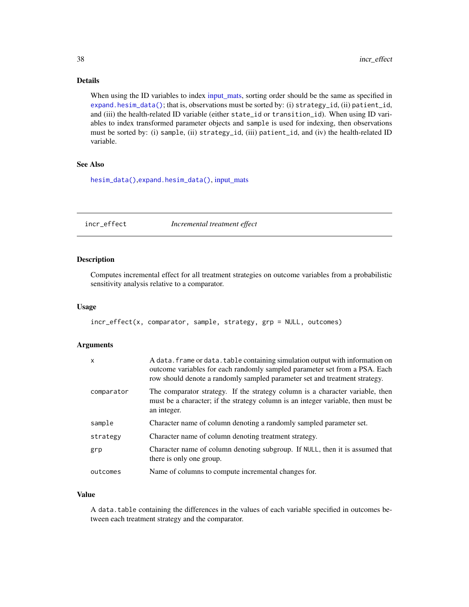# Details

When using the ID variables to index [input\\_mats,](#page-46-0) sorting order should be the same as specified in [expand.hesim\\_data\(\)](#page-29-0); that is, observations must be sorted by: (i) strategy\_id, (ii) patient\_id, and (iii) the health-related ID variable (either state\_id or transition\_id). When using ID variables to index transformed parameter objects and sample is used for indexing, then observations must be sorted by: (i) sample, (ii) strategy\_id, (iii) patient\_id, and (iv) the health-related ID variable.

## See Also

[hesim\\_data\(\)](#page-32-0),[expand.hesim\\_data\(\)](#page-29-0), [input\\_mats](#page-46-0)

incr\_effect *Incremental treatment effect*

## Description

Computes incremental effect for all treatment strategies on outcome variables from a probabilistic sensitivity analysis relative to a comparator.

## Usage

```
incr_effect(x, comparator, sample, strategy, grp = NULL, outcomes)
```
## Arguments

| $\mathsf{x}$ | A data. frame or data. table containing simulation output with information on<br>outcome variables for each randomly sampled parameter set from a PSA. Each<br>row should denote a randomly sampled parameter set and treatment strategy. |
|--------------|-------------------------------------------------------------------------------------------------------------------------------------------------------------------------------------------------------------------------------------------|
| comparator   | The comparator strategy. If the strategy column is a character variable, then<br>must be a character; if the strategy column is an integer variable, then must be<br>an integer.                                                          |
| sample       | Character name of column denoting a randomly sampled parameter set.                                                                                                                                                                       |
| strategy     | Character name of column denoting treatment strategy.                                                                                                                                                                                     |
| grp          | Character name of column denoting subgroup. If NULL, then it is assumed that<br>there is only one group.                                                                                                                                  |
| outcomes     | Name of columns to compute incremental changes for.                                                                                                                                                                                       |

# Value

A data.table containing the differences in the values of each variable specified in outcomes between each treatment strategy and the comparator.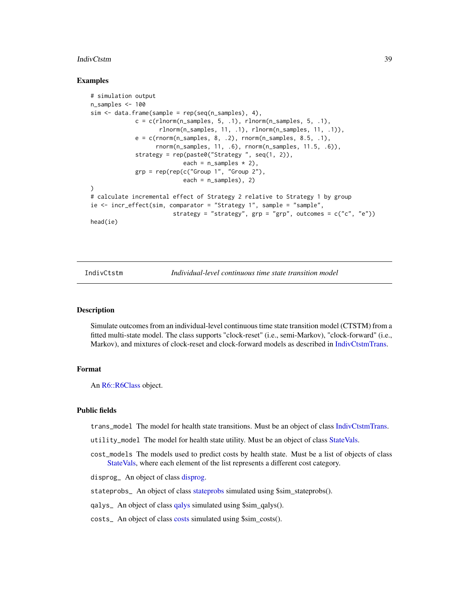#### IndivCtstm 39

## Examples

```
# simulation output
n_samples <- 100
sim < data.frame(sample = rep(seq(n_samples), 4),
             c = c(rlnorm(n\_samples, 5, .1), rhorm(n\_samples, 5, .1),rlnorm(n_samples, 11, .1), rlnorm(n_samples, 11, .1)),
             e = c(rnorm(n\_samples, 8, .2), rnorm(n\_samples, 8.5, .1),rnorm(n_samples, 11, .6), rnorm(n_samples, 11.5, .6)),
             strategy = rep(paste0("Strategy ", seq(1, 2)),
                           each = n_samples * 2),
             grp = rep(rep(c("Group 1", "Group 2"),each = n_samples, 2)
)
# calculate incremental effect of Strategy 2 relative to Strategy 1 by group
ie <- incr_effect(sim, comparator = "Strategy 1", sample = "sample",
                        strategy = "strategy", grp = "grp", outcomes = c("c", "e"))
head(ie)
```
<span id="page-38-0"></span>IndivCtstm *Individual-level continuous time state transition model*

## Description

Simulate outcomes from an individual-level continuous time state transition model (CTSTM) from a fitted multi-state model. The class supports "clock-reset" (i.e., semi-Markov), "clock-forward" (i.e., Markov), and mixtures of clock-reset and clock-forward models as described in [IndivCtstmTrans.](#page-42-0)

#### Format

An [R6::R6Class](#page-0-0) object.

#### Public fields

trans\_model The model for health state transitions. Must be an object of class [IndivCtstmTrans.](#page-42-0)

- utility\_model The model for health state utility. Must be an object of class [StateVals.](#page-74-0)
- cost\_models The models used to predict costs by health state. Must be a list of objects of class [StateVals,](#page-74-0) where each element of the list represents a different cost category.

disprog\_ An object of class [disprog.](#page-28-0)

[stateprobs](#page-74-1) here of class stateprobs simulated using \$sim\_stateprobs().

qalys\_ An object of class [qalys](#page-68-0) simulated using \$sim\_qalys().

costs\_ An object of class [costs](#page-12-0) simulated using \$sim\_costs().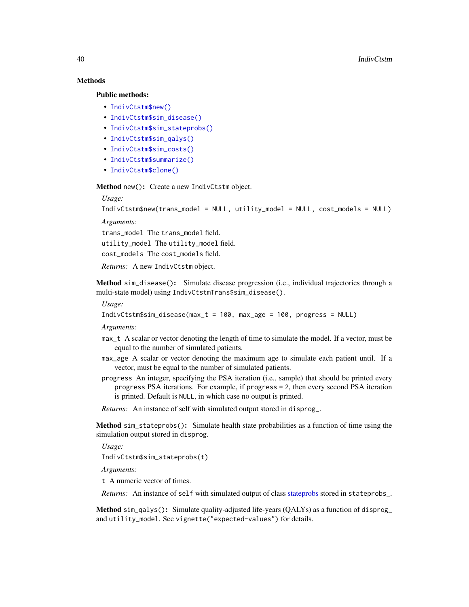# Methods

## Public methods:

- [IndivCtstm\\$new\(\)](#page-7-0)
- [IndivCtstm\\$sim\\_disease\(\)](#page-39-0)
- [IndivCtstm\\$sim\\_stateprobs\(\)](#page-8-0)
- [IndivCtstm\\$sim\\_qalys\(\)](#page-8-1)
- [IndivCtstm\\$sim\\_costs\(\)](#page-8-2)
- [IndivCtstm\\$summarize\(\)](#page-8-3)
- [IndivCtstm\\$clone\(\)](#page-9-0)

Method new(): Create a new IndivCtstm object.

# *Usage:*

IndivCtstm\$new(trans\_model = NULL, utility\_model = NULL, cost\_models = NULL)

*Arguments:*

trans\_model The trans\_model field.

utility\_model The utility\_model field.

cost\_models The cost\_models field.

*Returns:* A new IndivCtstm object.

<span id="page-39-0"></span>Method sim\_disease(): Simulate disease progression (i.e., individual trajectories through a multi-state model) using IndivCtstmTrans\$sim\_disease().

*Usage:*

IndivCtstm\$sim\_disease(max\_t = 100, max\_age = 100, progress = NULL)

*Arguments:*

- max\_t A scalar or vector denoting the length of time to simulate the model. If a vector, must be equal to the number of simulated patients.
- max\_age A scalar or vector denoting the maximum age to simulate each patient until. If a vector, must be equal to the number of simulated patients.
- progress An integer, specifying the PSA iteration (i.e., sample) that should be printed every progress PSA iterations. For example, if progress = 2, then every second PSA iteration is printed. Default is NULL, in which case no output is printed.
- *Returns:* An instance of self with simulated output stored in disprog\_.

Method sim\_stateprobs(): Simulate health state probabilities as a function of time using the simulation output stored in disprog.

*Usage:*

IndivCtstm\$sim\_stateprobs(t)

*Arguments:*

t A numeric vector of times.

*Returns:* An instance of self with simulated output of class [stateprobs](#page-74-1) stored in stateprobs\_.

Method sim\_qalys(): Simulate quality-adjusted life-years (QALYs) as a function of disprog\_ and utility\_model. See vignette("expected-values") for details.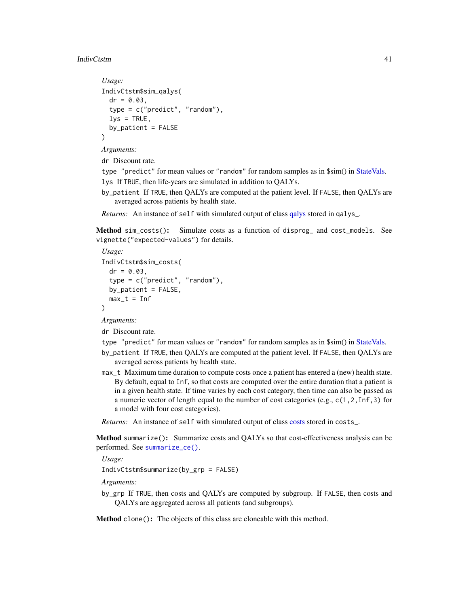#### IndivCtstm 41

```
Usage:
IndivCtstm$sim_qalys(
 dr = 0.03,
  type = c("predict", "random"),
 lys = TRUE,by_patient = FALSE
)
```
*Arguments:*

dr Discount rate.

type "predict" for mean values or "random" for random samples as in \$sim() in [StateVals.](#page-74-0) lys If TRUE, then life-years are simulated in addition to QALYs.

by\_patient If TRUE, then QALYs are computed at the patient level. If FALSE, then QALYs are averaged across patients by health state.

*Returns:* An instance of self with simulated output of class [qalys](#page-68-0) stored in qalys\_.

Method sim\_costs(): Simulate costs as a function of disprog\_ and cost\_models. See vignette("expected-values") for details.

```
Usage:
IndivCtstm$sim_costs(
 dr = 0.03.
  type = c("predict", "random"),
 by_patient = FALSE,
 max_t = Inf)
```
*Arguments:*

dr Discount rate.

type "predict" for mean values or "random" for random samples as in \$sim() in [StateVals.](#page-74-0)

- by\_patient If TRUE, then QALYs are computed at the patient level. If FALSE, then QALYs are averaged across patients by health state.
- max\_t Maximum time duration to compute costs once a patient has entered a (new) health state. By default, equal to Inf, so that costs are computed over the entire duration that a patient is in a given health state. If time varies by each cost category, then time can also be passed as a numeric vector of length equal to the number of cost categories (e.g., c(1,2,Inf,3) for a model with four cost categories).

*Returns:* An instance of self with simulated output of class [costs](#page-12-0) stored in costs\_.

Method summarize(): Summarize costs and QALYs so that cost-effectiveness analysis can be performed. See [summarize\\_ce\(\)](#page-78-0).

*Usage:*

IndivCtstm\$summarize(by\_grp = FALSE)

*Arguments:*

by\_grp If TRUE, then costs and QALYs are computed by subgroup. If FALSE, then costs and QALYs are aggregated across all patients (and subgroups).

Method clone(): The objects of this class are cloneable with this method.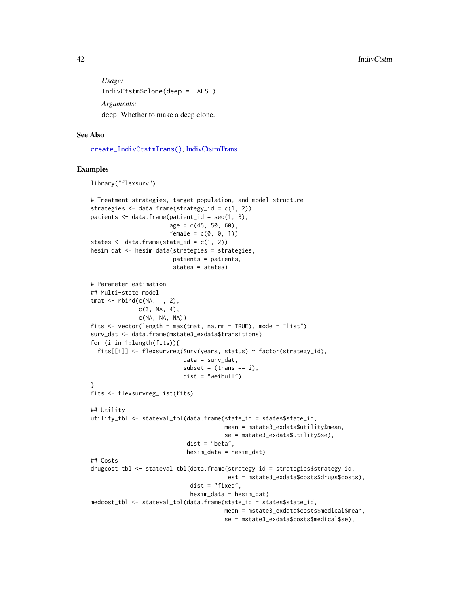*Usage:* IndivCtstm\$clone(deep = FALSE) *Arguments:* deep Whether to make a deep clone.

## See Also

[create\\_IndivCtstmTrans\(\)](#page-14-0), [IndivCtstmTrans](#page-42-0)

```
library("flexsurv")
# Treatment strategies, target population, and model structure
strategies \leq data.frame(strategy_id = c(1, 2))
patients \leq data.frame(patient_id = seq(1, 3),
                       age = c(45, 50, 60),
                       female = c(0, 0, 1))states \leq data.frame(state_id = c(1, 2))
hesim_dat <- hesim_data(strategies = strategies,
                        patients = patients,
                        states = states)
# Parameter estimation
## Multi-state model
tmat <- rbind(c(NA, 1, 2),
              c(3, NA, 4),c(NA, NA, NA))
fits \leq vector(length = max(tmat, na.rm = TRUE), mode = "list")
surv_dat <- data.frame(mstate3_exdata$transitions)
for (i in 1:length(fits)){
  fits[[i]] <- flexsurvreg(Surv(years, status) ~ factor(strategy_id),
                           data = surv_data,
                           subset = (trans == i),
                           dist = "weibull")
}
fits <- flexsurvreg_list(fits)
## Utility
utility_tbl <- stateval_tbl(data.frame(state_id = states$state_id,
                                       mean = mstate3_exdata$utility$mean,
                                       se = mstate3_exdata$utility$se),
                            dist = "beta",
```

```
hesim_data = hesim_dat)
## Costs
drugcost_tbl <- stateval_tbl(data.frame(strategy_id = strategies$strategy_id,
                                        est = mstate3_exdata$costs$drugs$costs),
                             dist = "fixed",
                             hesim_data = hesim_dat)
medcost_tbl <- stateval_tbl(data.frame(state_id = states$state_id,
                                       mean = mstate3_exdata$costs$medical$mean,
```

```
se = mstate3_exdata$costs$medical$se),
```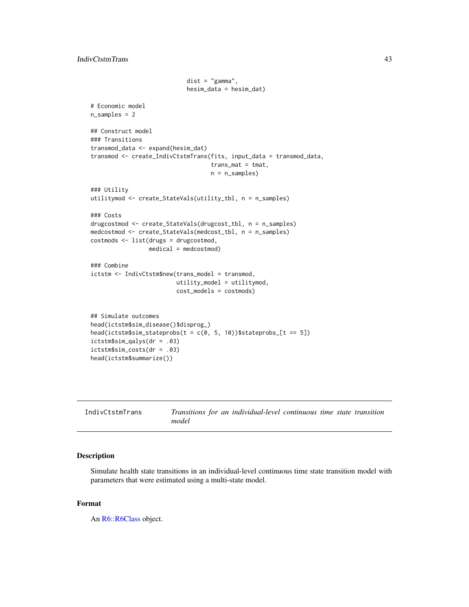```
dist = "gamma",hesim_data = hesim_dat)
# Economic model
n_samples = 2
## Construct model
### Transitions
transmod_data <- expand(hesim_dat)
transmod <- create_IndivCtstmTrans(fits, input_data = transmod_data,
                                   trans_mat = tmat,
                                   n = n_samples)
### Utility
utilitymod <- create_StateVals(utility_tbl, n = n_samples)
### Costs
drugcostmod <- create_StateVals(drugcost_tbl, n = n_samples)
medcostmod <- create_StateVals(medcost_tbl, n = n_samples)
costmods <- list(drugs = drugcostmod,
                 medical = medcostmod)
### Combine
ictstm <- IndivCtstm$new(trans_model = transmod,
                         utility_model = utilitymod,
                         cost_models = costmods)
## Simulate outcomes
head(ictstm$sim_disease()$disprog_)
head(ictstm$sim\_stateprobs(t = c(0, 5, 10))$stateprobs_[t == 5])
ictstm$sim_qalys(dr = .03)
ictstm$sim_costs(dr = .03)
head(ictstm$summarize())
```
<span id="page-42-0"></span>

| IndivCtstmTrans | Transitions for an individual-level continuous time state transition |
|-----------------|----------------------------------------------------------------------|
|                 | model                                                                |

Simulate health state transitions in an individual-level continuous time state transition model with parameters that were estimated using a multi-state model.

## Format

An [R6::R6Class](#page-0-0) object.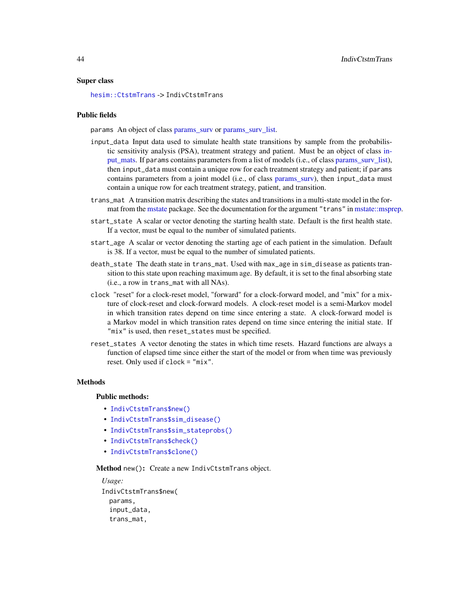## Super class

[hesim::CtstmTrans](#page-0-0) -> IndivCtstmTrans

#### Public fields

params An object of class [params\\_surv](#page-57-0) or [params\\_surv\\_list.](#page-60-0)

- input\_data Input data used to simulate health state transitions by sample from the probabilistic sensitivity analysis (PSA), treatment strategy and patient. Must be an object of class [in](#page-46-0)[put\\_mats.](#page-46-0) If params contains parameters from a list of models (i.e., of class [params\\_surv\\_list\)](#page-60-0), then input\_data must contain a unique row for each treatment strategy and patient; if params contains parameters from a joint model (i.e., of class [params\\_surv\)](#page-57-0), then input\_data must contain a unique row for each treatment strategy, patient, and transition.
- trans\_mat A transition matrix describing the states and transitions in a multi-state model in the format from the [mstate](#page-0-0) package. See the documentation for the argument "trans" in [mstate::msprep.](#page-0-0)
- start\_state A scalar or vector denoting the starting health state. Default is the first health state. If a vector, must be equal to the number of simulated patients.
- start\_age A scalar or vector denoting the starting age of each patient in the simulation. Default is 38. If a vector, must be equal to the number of simulated patients.
- death\_state The death state in trans\_mat. Used with max\_age in sim\_disease as patients transition to this state upon reaching maximum age. By default, it is set to the final absorbing state (i.e., a row in trans\_mat with all NAs).
- clock "reset" for a clock-reset model, "forward" for a clock-forward model, and "mix" for a mixture of clock-reset and clock-forward models. A clock-reset model is a semi-Markov model in which transition rates depend on time since entering a state. A clock-forward model is a Markov model in which transition rates depend on time since entering the initial state. If "mix" is used, then reset\_states must be specified.
- reset\_states A vector denoting the states in which time resets. Hazard functions are always a function of elapsed time since either the start of the model or from when time was previously reset. Only used if clock = "mix".

#### Methods

## Public methods:

- [IndivCtstmTrans\\$new\(\)](#page-7-0)
- [IndivCtstmTrans\\$sim\\_disease\(\)](#page-39-0)
- [IndivCtstmTrans\\$sim\\_stateprobs\(\)](#page-8-0)
- [IndivCtstmTrans\\$check\(\)](#page-44-0)
- [IndivCtstmTrans\\$clone\(\)](#page-9-0)

Method new(): Create a new IndivCtstmTrans object.

```
Usage:
IndivCtstmTrans$new(
 params,
  input_data,
  trans_mat,
```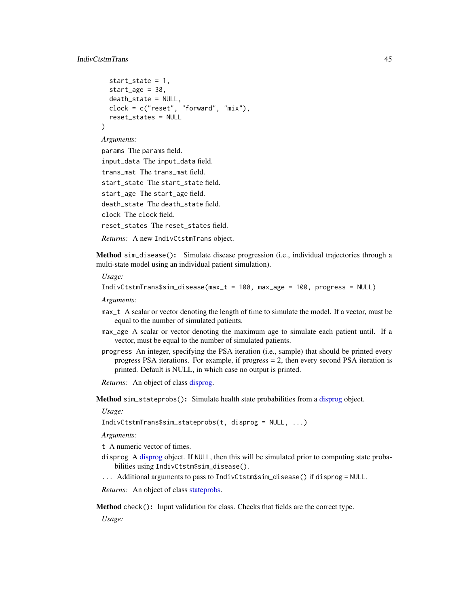```
start_state = 1,
 start_age = 38.
 death_state = NULL,
 clock = c("reset", "forward", "mix"),
  reset_states = NULL
)
```
## *Arguments:*

```
params The params field.
input_data The input_data field.
trans_mat The trans_mat field.
start_state The start_state field.
start_age The start_age field.
death_state The death_state field.
clock The clock field.
reset_states The reset_states field.
Returns: A new IndivCtstmTrans object.
```
Method sim\_disease(): Simulate disease progression (i.e., individual trajectories through a multi-state model using an individual patient simulation).

*Usage:*

```
IndivCtstmTrans$sim_disease(max_t = 100, max_age = 100, progress = NULL)
```
*Arguments:*

- max\_t A scalar or vector denoting the length of time to simulate the model. If a vector, must be equal to the number of simulated patients.
- max\_age A scalar or vector denoting the maximum age to simulate each patient until. If a vector, must be equal to the number of simulated patients.
- progress An integer, specifying the PSA iteration (i.e., sample) that should be printed every progress PSA iterations. For example, if progress  $= 2$ , then every second PSA iteration is printed. Default is NULL, in which case no output is printed.

*Returns:* An object of class [disprog.](#page-28-0)

Method sim\_stateprobs(): Simulate health state probabilities from a [disprog](#page-28-0) object.

*Usage:*

```
IndivCtstmTrans$sim_stateprobs(t, disprog = NULL, ...)
```
*Arguments:*

- t A numeric vector of times.
- disprog A [disprog](#page-28-0) object. If NULL, then this will be simulated prior to computing state probabilities using IndivCtstm\$sim\_disease().
- ... Additional arguments to pass to IndivCtstm\$sim\_disease() if disprog = NULL.

*Returns:* An object of class [stateprobs.](#page-74-1)

<span id="page-44-0"></span>Method check(): Input validation for class. Checks that fields are the correct type.

*Usage:*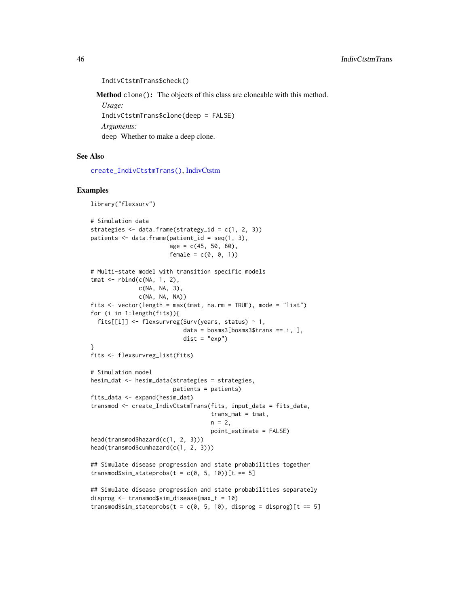```
IndivCtstmTrans$check()
Method clone(): The objects of this class are cloneable with this method.
 Usage:
 IndivCtstmTrans$clone(deep = FALSE)
 Arguments:
```
deep Whether to make a deep clone.

## See Also

[create\\_IndivCtstmTrans\(\)](#page-14-0), [IndivCtstm](#page-38-0)

```
library("flexsurv")
# Simulation data
strategies \leq data.frame(strategy_id = c(1, 2, 3))
patients \leq data.frame(patient_id = seq(1, 3),
                       age = c(45, 50, 60),
                       female = c(0, 0, 1)# Multi-state model with transition specific models
tmat <- rbind(c(NA, 1, 2),
              c(NA, NA, 3),
              c(NA, NA, NA))
fits \leq vector(length = max(tmat, na.rm = TRUE), mode = "list")
for (i in 1:length(fits)){
  fits[[i]] <- flexsurvreg(Surv(years, status) ~ 1,
                           data = bosms3[bosms3$trans == i, ],
                           dist = "exp")\lambdafits <- flexsurvreg_list(fits)
# Simulation model
hesim_dat <- hesim_data(strategies = strategies,
                        patients = patients)
fits_data <- expand(hesim_dat)
transmod <- create_IndivCtstmTrans(fits, input_data = fits_data,
                                   trans_mat = tmat,
                                   n = 2,
                                   point_estimate = FALSE)
head(transmod$hazard(c(1, 2, 3)))
head(transmod$cumhazard(c(1, 2, 3)))
## Simulate disease progression and state probabilities together
transmod$sim_stateprobs(t = c(0, 5, 10)][t == 5]
## Simulate disease progression and state probabilities separately
disprog <- transmod$sim_disease(max_t = 10)
transmod$sim_stateprobs(t = c(0, 5, 10), disprog = disprog)[t == 5]
```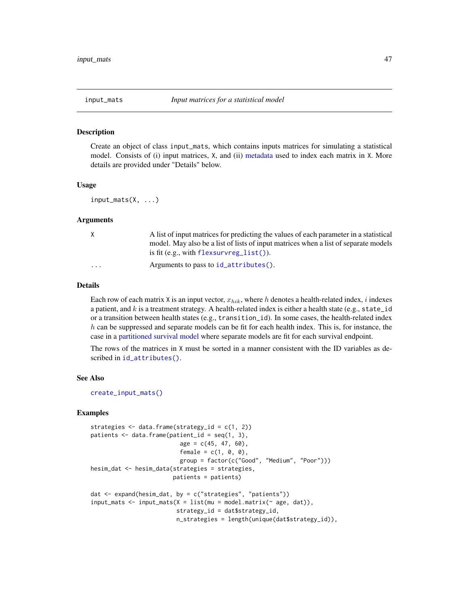<span id="page-46-0"></span>

Create an object of class input\_mats, which contains inputs matrices for simulating a statistical model. Consists of (i) input matrices, X, and (ii) [metadata](#page-35-0) used to index each matrix in X. More details are provided under "Details" below.

## Usage

input\_mats(X, ...)

#### Arguments

| X                       | A list of input matrices for predicting the values of each parameter in a statistical<br>model. May also be a list of lists of input matrices when a list of separate models<br>is fit (e.g., with flexsurvreg_list()). |
|-------------------------|-------------------------------------------------------------------------------------------------------------------------------------------------------------------------------------------------------------------------|
| $\cdot$ $\cdot$ $\cdot$ | Arguments to pass to $id_$ attributes().                                                                                                                                                                                |

#### Details

Each row of each matrix X is an input vector,  $x_{hik}$ , where h denotes a health-related index, i indexes a patient, and  $k$  is a treatment strategy. A health-related index is either a health state (e.g., state id or a transition between health states (e.g., transition\_id). In some cases, the health-related index  $h$  can be suppressed and separate models can be fit for each health index. This is, for instance, the case in a [partitioned survival model](#page-61-0) where separate models are fit for each survival endpoint.

The rows of the matrices in X must be sorted in a manner consistent with the ID variables as described in [id\\_attributes\(\)](#page-35-0).

## See Also

[create\\_input\\_mats\(\)](#page-0-0)

```
strategies <- data.frame(strategy_id = c(1, 2))
patients <- data.frame(patient_id = seq(1, 3),
                          age = c(45, 47, 60),
                          female = c(1, 0, 0),group = factor(c("Good", "Medium", "Poor")))
hesim_dat <- hesim_data(strategies = strategies,
                        patients = patients)
dat <- expand(hesim_dat, by = c("strategies", "patients"))
input\_mats \leftarrow input\_mats(X = list(mu = model.matrix(\sim age, dat)),strategy_id = dat$strategy_id,
                         n_strategies = length(unique(dat$strategy_id)),
```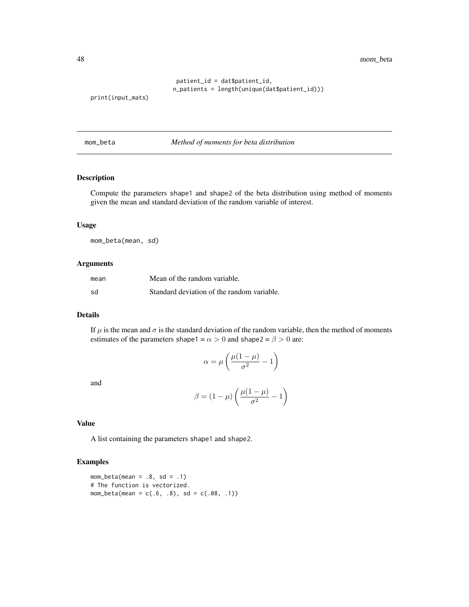48 mom\_beta

```
patient_id = dat$patient_id,
n_patients = length(unique(dat$patient_id)))
```

```
print(input_mats)
```
mom\_beta *Method of moments for beta distribution*

# Description

Compute the parameters shape1 and shape2 of the beta distribution using method of moments given the mean and standard deviation of the random variable of interest.

## Usage

mom\_beta(mean, sd)

# Arguments

| mean | Mean of the random variable.               |
|------|--------------------------------------------|
| sd   | Standard deviation of the random variable. |

## Details

If  $\mu$  is the mean and  $\sigma$  is the standard deviation of the random variable, then the method of moments estimates of the parameters shape1 =  $\alpha > 0$  and shape2 =  $\beta > 0$  are:

$$
\alpha = \mu \left( \frac{\mu(1-\mu)}{\sigma^2} - 1 \right)
$$

and

$$
\beta = (1 - \mu) \left( \frac{\mu(1 - \mu)}{\sigma^2} - 1 \right)
$$

## Value

A list containing the parameters shape1 and shape2.

```
mom_beta(mean = .8, sd = .1)
# The function is vectorized.
mom_beta(mean = c(.6, .8), sd = c(.08, .1))
```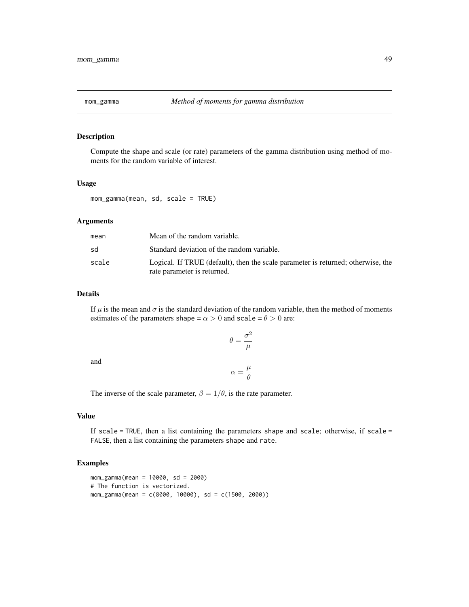Compute the shape and scale (or rate) parameters of the gamma distribution using method of moments for the random variable of interest.

#### Usage

mom\_gamma(mean, sd, scale = TRUE)

# Arguments

| Mean of the random variable.                                                                                    |
|-----------------------------------------------------------------------------------------------------------------|
| Standard deviation of the random variable.                                                                      |
| Logical. If TRUE (default), then the scale parameter is returned; otherwise, the<br>rate parameter is returned. |
|                                                                                                                 |

## Details

If  $\mu$  is the mean and  $\sigma$  is the standard deviation of the random variable, then the method of moments estimates of the parameters shape =  $\alpha > 0$  and scale =  $\theta > 0$  are:

$$
\theta=\frac{\sigma^2}{\mu}
$$

and

$$
\alpha = \frac{\mu}{\theta}
$$

The inverse of the scale parameter,  $\beta = 1/\theta$ , is the rate parameter.

## Value

If scale = TRUE, then a list containing the parameters shape and scale; otherwise, if scale = FALSE, then a list containing the parameters shape and rate.

```
mom_gamma(mean = 10000, sd = 2000)
# The function is vectorized.
mom_gamma(mean = c(8000, 10000), sd = c(1500, 2000))
```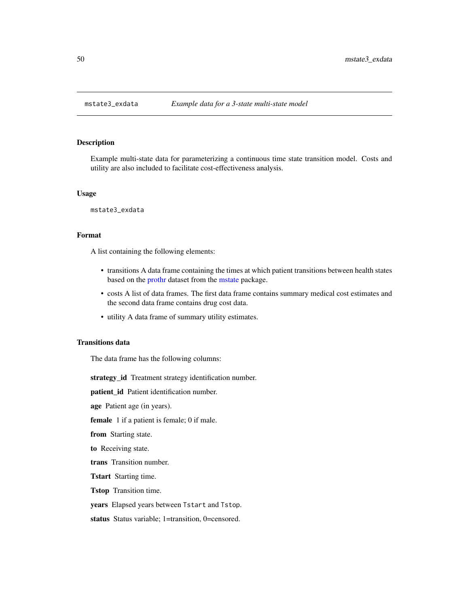Example multi-state data for parameterizing a continuous time state transition model. Costs and utility are also included to facilitate cost-effectiveness analysis.

#### Usage

mstate3\_exdata

## Format

A list containing the following elements:

- transitions A data frame containing the times at which patient transitions between health states based on the [prothr](#page-0-0) dataset from the [mstate](#page-0-0) package.
- costs A list of data frames. The first data frame contains summary medical cost estimates and the second data frame contains drug cost data.
- utility A data frame of summary utility estimates.

## Transitions data

The data frame has the following columns:

strategy\_id Treatment strategy identification number.

patient\_id Patient identification number.

age Patient age (in years).

female 1 if a patient is female; 0 if male.

from Starting state.

to Receiving state.

trans Transition number.

Tstart Starting time.

Tstop Transition time.

years Elapsed years between Tstart and Tstop.

status Status variable; 1=transition, 0=censored.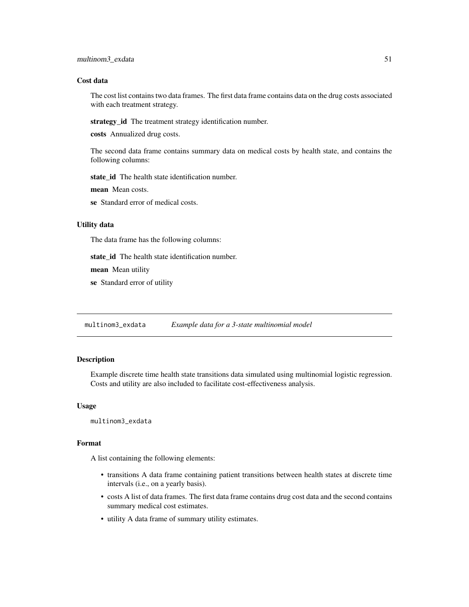## Cost data

The cost list contains two data frames. The first data frame contains data on the drug costs associated with each treatment strategy.

strategy\_id The treatment strategy identification number.

costs Annualized drug costs.

The second data frame contains summary data on medical costs by health state, and contains the following columns:

state\_id The health state identification number.

mean Mean costs.

se Standard error of medical costs.

## Utility data

The data frame has the following columns:

state\_id The health state identification number.

mean Mean utility

se Standard error of utility

multinom3\_exdata *Example data for a 3-state multinomial model*

## Description

Example discrete time health state transitions data simulated using multinomial logistic regression. Costs and utility are also included to facilitate cost-effectiveness analysis.

## Usage

multinom3\_exdata

#### Format

A list containing the following elements:

- transitions A data frame containing patient transitions between health states at discrete time intervals (i.e., on a yearly basis).
- costs A list of data frames. The first data frame contains drug cost data and the second contains summary medical cost estimates.
- utility A data frame of summary utility estimates.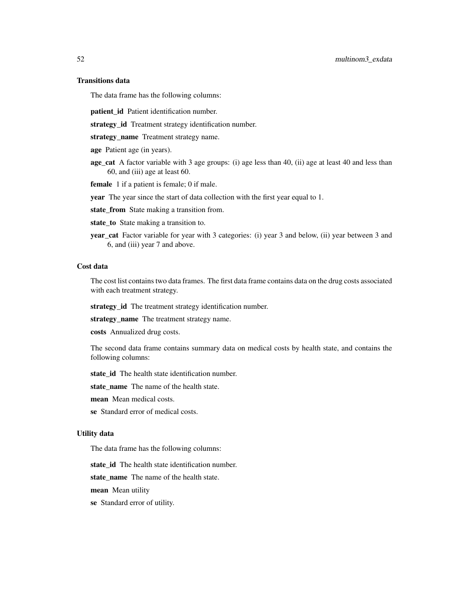# Transitions data

The data frame has the following columns:

patient\_id Patient identification number.

strategy\_id Treatment strategy identification number.

strategy\_name Treatment strategy name.

age Patient age (in years).

age\_cat A factor variable with 3 age groups: (i) age less than 40, (ii) age at least 40 and less than 60, and (iii) age at least 60.

female 1 if a patient is female; 0 if male.

year The year since the start of data collection with the first year equal to 1.

state\_from State making a transition from.

state\_to State making a transition to.

year\_cat Factor variable for year with 3 categories: (i) year 3 and below, (ii) year between 3 and 6, and (iii) year 7 and above.

# Cost data

The cost list contains two data frames. The first data frame contains data on the drug costs associated with each treatment strategy.

strategy\_id The treatment strategy identification number.

strategy\_name The treatment strategy name.

costs Annualized drug costs.

The second data frame contains summary data on medical costs by health state, and contains the following columns:

state\_id The health state identification number.

state\_name The name of the health state.

mean Mean medical costs.

se Standard error of medical costs.

## Utility data

The data frame has the following columns:

state id The health state identification number.

state name The name of the health state.

mean Mean utility

se Standard error of utility.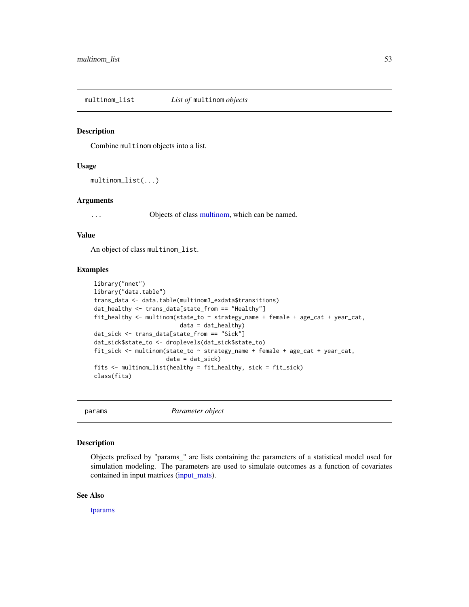multinom\_list *List of* multinom *objects*

#### Description

Combine multinom objects into a list.

## Usage

```
multinom_list(...)
```
## Arguments

... Objects of class [multinom,](#page-0-0) which can be named.

## Value

An object of class multinom\_list.

# Examples

```
library("nnet")
library("data.table")
trans_data <- data.table(multinom3_exdata$transitions)
dat_healthy <- trans_data[state_from == "Healthy"]
fit_healthy \le multinom(state_to \sim strategy_name + female + age_cat + year_cat,
                         data = dat_{\text{health}})dat_sick <- trans_data[state_from == "Sick"]
dat_sick$state_to <- droplevels(dat_sick$state_to)
fit_sick <- multinom(state_to ~ strategy_name + female + age_cat + year_cat,
                     data = dat\_sick)fits <- multinom_list(healthy = fit_healthy, sick = fit_sick)
class(fits)
```
params *Parameter object*

# Description

Objects prefixed by "params\_" are lists containing the parameters of a statistical model used for simulation modeling. The parameters are used to simulate outcomes as a function of covariates contained in input matrices [\(input\\_mats\)](#page-46-0).

#### See Also

[tparams](#page-80-0)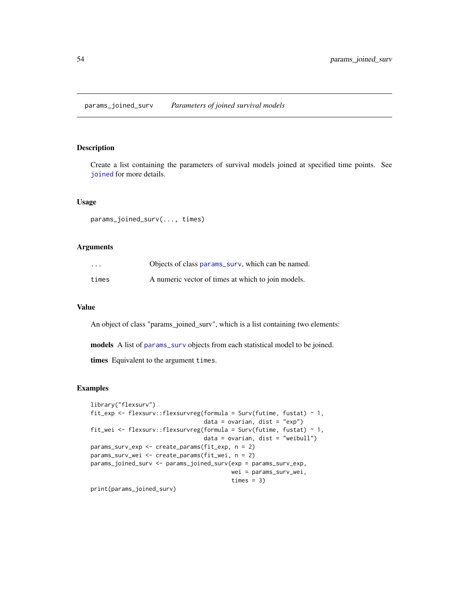params\_joined\_surv *Parameters of joined survival models*

# Description

Create a list containing the parameters of survival models joined at specified time points. See [joined](#page-0-0) for more details.

## Usage

params\_joined\_surv(..., times)

## Arguments

| $\cdots$ | Objects of class params_surv, which can be named.  |
|----------|----------------------------------------------------|
| times    | A numeric vector of times at which to join models. |

#### Value

An object of class "params\_joined\_surv", which is a list containing two elements:

models A list of [params\\_surv](#page-57-0) objects from each statistical model to be joined.

times Equivalent to the argument times.

# Examples

```
library("flexsurv")
fit_exp <- flexsurv::flexsurvreg(formula = Surv(futime, fustat) ~ 1,
                                 data = ovarian, dist = "exp")
fit_wei <- flexsurv::flexsurvreg(formula = Surv(futime, fustat) ~ 1,
                                 data = ovarian, dist = "weibull")
params_surv_exp <- create_params(fit_exp, n = 2)
params_surv_wei <- create_params(fit_wei, n = 2)
params_joined_surv <- params_joined_surv(exp = params_surv_exp,
                                         wei = params_surv_wei,
                                         times = 3)
```
print(params\_joined\_surv)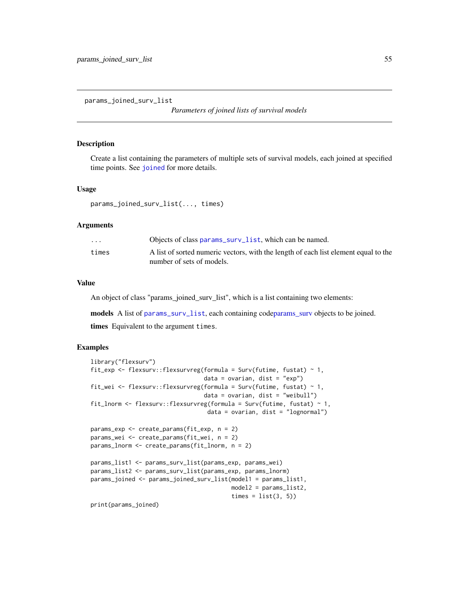params\_joined\_surv\_list

*Parameters of joined lists of survival models*

#### Description

Create a list containing the parameters of multiple sets of survival models, each joined at specified time points. See [joined](#page-0-0) for more details.

# Usage

```
params_joined_surv_list(..., times)
```
## Arguments

| $\cdot$ $\cdot$ $\cdot$ | Objects of class params_surv_list, which can be named.                                                           |
|-------------------------|------------------------------------------------------------------------------------------------------------------|
| times                   | A list of sorted numeric vectors, with the length of each list element equal to the<br>number of sets of models. |
|                         |                                                                                                                  |

# Value

An object of class "params\_joined\_surv\_list", which is a list containing two elements:

models A list of [params\\_surv\\_list](#page-60-0), each containing cod[eparams\\_surv](#page-57-0) objects to be joined. times Equivalent to the argument times.

```
library("flexsurv")
fit_exp <- flexsurv::flexsurvreg(formula = Surv(futime, fustat) ~ 1,
                                 data = ovarian, dist = "exp")fit_wei <- flexsurv::flexsurvreg(formula = Surv(futime, fustat) ~ 1,
                                 data = ovarian, dist = "weibull")fit_lnorm <- flexsurv::flexsurvreg(formula = Surv(futime, fustat) ~ 1,
                                  data = ovarian, dist = "lognormal")
params_exp <- create_params(fit_exp, n = 2)
params_wei <- create_params(fit_wei, n = 2)
params_lnorm <- create_params(fit_lnorm, n = 2)
params_list1 <- params_surv_list(params_exp, params_wei)
params_list2 <- params_surv_list(params_exp, params_lnorm)
params_joined <- params_joined_surv_list(model1 = params_list1,
                                        model2 = params_list2,
                                         times = list(3, 5)print(params_joined)
```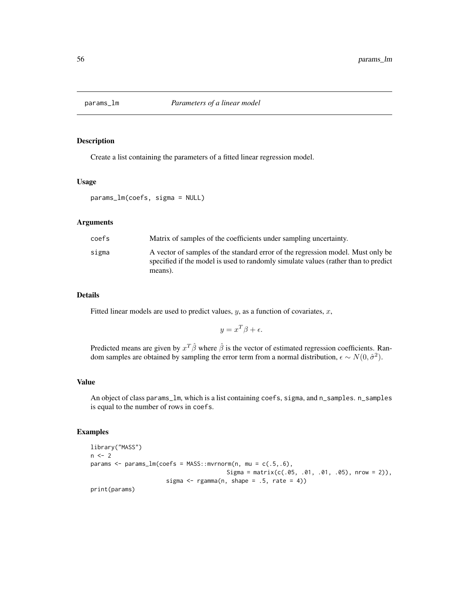Create a list containing the parameters of a fitted linear regression model.

#### Usage

params\_lm(coefs, sigma = NULL)

## Arguments

| coefs | Matrix of samples of the coefficients under sampling uncertainty.                                                                                                                |
|-------|----------------------------------------------------------------------------------------------------------------------------------------------------------------------------------|
| sigma | A vector of samples of the standard error of the regression model. Must only be<br>specified if the model is used to randomly simulate values (rather than to predict<br>means). |

## Details

Fitted linear models are used to predict values,  $y$ , as a function of covariates,  $x$ ,

$$
y = x^T \beta + \epsilon.
$$

Predicted means are given by  $x^T \hat{\beta}$  where  $\hat{\beta}$  is the vector of estimated regression coefficients. Random samples are obtained by sampling the error term from a normal distribution,  $\epsilon \sim N(0, \hat{\sigma}^2)$ .

#### Value

An object of class params\_lm, which is a list containing coefs, sigma, and n\_samples. n\_samples is equal to the number of rows in coefs.

```
library("MASS")
n < - 2params <- params_lm(coefs = MASS::mvrnorm(n, mu = c(.5,.6),
                                        Sigma = matrix(c(.05, .01, .01, .05), nrow = 2)),
                      sigma \leq rgamma(n, shape = .5, rate = 4))
print(params)
```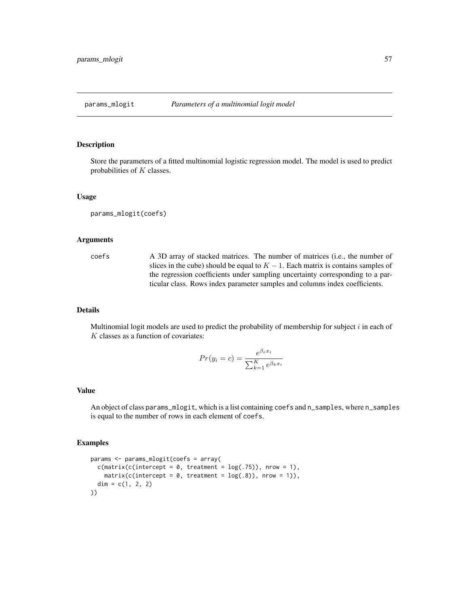<span id="page-56-0"></span>

Store the parameters of a fitted multinomial logistic regression model. The model is used to predict probabilities of  $K$  classes.

#### Usage

params\_mlogit(coefs)

## Arguments

coefs A 3D array of stacked matrices. The number of matrices (i.e., the number of slices in the cube) should be equal to  $K - 1$ . Each matrix is contains samples of the regression coefficients under sampling uncertainty corresponding to a particular class. Rows index parameter samples and columns index coefficients.

## Details

Multinomial logit models are used to predict the probability of membership for subject  $i$  in each of  $K$  classes as a function of covariates:

$$
Pr(y_i = c) = \frac{e^{\beta_c x_i}}{\sum_{k=1}^{K} e^{\beta_k x_i}}
$$

## Value

An object of class params\_mlogit, which is a list containing coefs and n\_samples, where n\_samples is equal to the number of rows in each element of coefs.

```
params <- params_mlogit(coefs = array(
 c(matrix(c(intercept = 0, treatment = log(.75)), nrow = 1),matrix(c(intexcept = 0, treatment = log(.8)), new = 1)),dim = c(1, 2, 2)))
```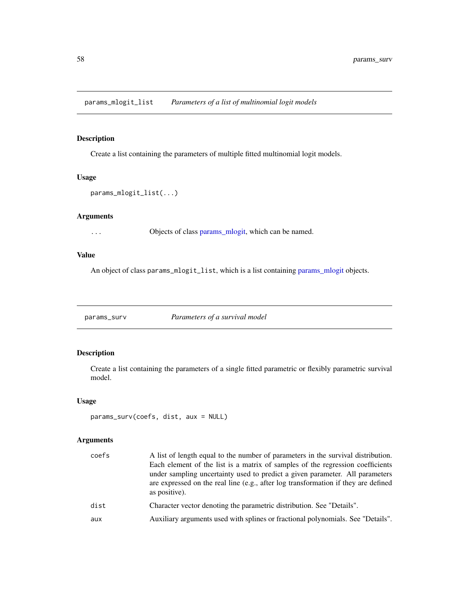params\_mlogit\_list *Parameters of a list of multinomial logit models*

# Description

Create a list containing the parameters of multiple fitted multinomial logit models.

## Usage

```
params_mlogit_list(...)
```
# Arguments

... Objects of class [params\\_mlogit,](#page-56-0) which can be named.

## Value

An object of class [params\\_mlogit](#page-56-0)\_list, which is a list containing params\_mlogit objects.

<span id="page-57-0"></span>params\_surv *Parameters of a survival model*

# Description

Create a list containing the parameters of a single fitted parametric or flexibly parametric survival model.

# Usage

```
params_surv(coefs, dist, aux = NULL)
```
## Arguments

| coefs | A list of length equal to the number of parameters in the survival distribution.                    |
|-------|-----------------------------------------------------------------------------------------------------|
|       | Each element of the list is a matrix of samples of the regression coefficients                      |
|       | under sampling uncertainty used to predict a given parameter. All parameters                        |
|       | are expressed on the real line (e.g., after log transformation if they are defined<br>as positive). |
| dist  | Character vector denoting the parametric distribution. See "Details".                               |
| aux   | Auxiliary arguments used with splines or fractional polynomials. See "Details".                     |
|       |                                                                                                     |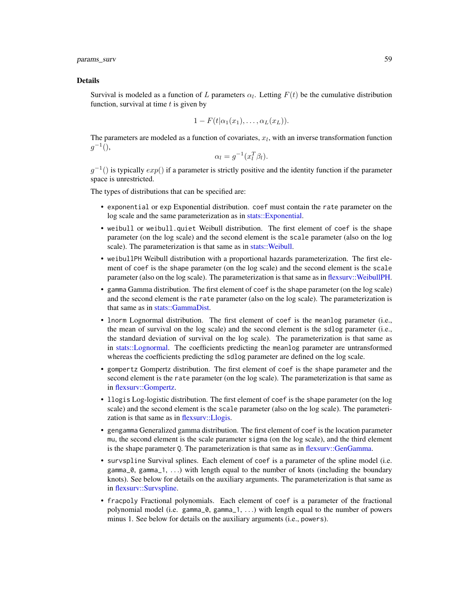params\_surv 59

#### Details

Survival is modeled as a function of L parameters  $\alpha_l$ . Letting  $F(t)$  be the cumulative distribution function, survival at time  $t$  is given by

$$
1-F(t|\alpha_1(x_1),\ldots,\alpha_L(x_L)).
$$

The parameters are modeled as a function of covariates,  $x_l$ , with an inverse transformation function  $g^{-1}()$ ,

$$
\alpha_l = g^{-1}(x_l^T \beta_l).
$$

 $g^{-1}$ () is typically  $exp()$  if a parameter is strictly positive and the identity function if the parameter space is unrestricted.

The types of distributions that can be specified are:

- exponential or exp Exponential distribution. coef must contain the rate parameter on the log scale and the same parameterization as in [stats::Exponential.](#page-0-0)
- weibull or weibull.quiet Weibull distribution. The first element of coef is the shape parameter (on the log scale) and the second element is the scale parameter (also on the log scale). The parameterization is that same as in [stats::Weibull.](#page-0-0)
- weibullPH Weibull distribution with a proportional hazards parameterization. The first element of coef is the shape parameter (on the log scale) and the second element is the scale parameter (also on the log scale). The parameterization is that same as in [flexsurv::WeibullPH.](#page-0-0)
- gamma Gamma distribution. The first element of coef is the shape parameter (on the log scale) and the second element is the rate parameter (also on the log scale). The parameterization is that same as in [stats::GammaDist.](#page-0-0)
- lnorm Lognormal distribution. The first element of coef is the meanlog parameter (i.e., the mean of survival on the log scale) and the second element is the sdlog parameter (i.e., the standard deviation of survival on the log scale). The parameterization is that same as in [stats::Lognormal.](#page-0-0) The coefficients predicting the meanlog parameter are untransformed whereas the coefficients predicting the sdlog parameter are defined on the log scale.
- gompertz Gompertz distribution. The first element of coef is the shape parameter and the second element is the rate parameter (on the log scale). The parameterization is that same as in [flexsurv::Gompertz.](#page-0-0)
- llogis Log-logistic distribution. The first element of coef is the shape parameter (on the log scale) and the second element is the scale parameter (also on the log scale). The parameterization is that same as in [flexsurv::Llogis.](#page-0-0)
- gengamma Generalized gamma distribution. The first element of coef is the location parameter mu, the second element is the scale parameter sigma (on the log scale), and the third element is the shape parameter Q. The parameterization is that same as in [flexsurv::GenGamma.](#page-0-0)
- survspline Survival splines. Each element of coef is a parameter of the spline model (i.e. gamma $=0$ , gamma $=1, \ldots$ ) with length equal to the number of knots (including the boundary knots). See below for details on the auxiliary arguments. The parameterization is that same as in [flexsurv::Survspline.](#page-0-0)
- fracpoly Fractional polynomials. Each element of coef is a parameter of the fractional polynomial model (i.e. gamma\_0, gamma\_1, . . .) with length equal to the number of powers minus 1. See below for details on the auxiliary arguments (i.e., powers).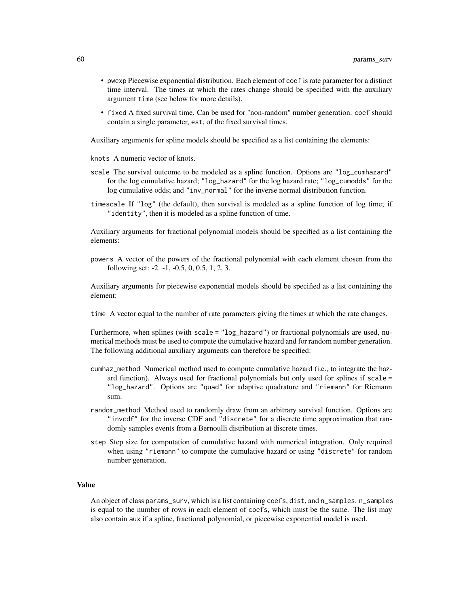- pwexp Piecewise exponential distribution. Each element of coef is rate parameter for a distinct time interval. The times at which the rates change should be specified with the auxiliary argument time (see below for more details).
- fixed A fixed survival time. Can be used for "non-random" number generation. coef should contain a single parameter, est, of the fixed survival times.

Auxiliary arguments for spline models should be specified as a list containing the elements:

knots A numeric vector of knots.

- scale The survival outcome to be modeled as a spline function. Options are "log\_cumhazard" for the log cumulative hazard; "log\_hazard" for the log hazard rate; "log\_cumodds" for the log cumulative odds; and "inv\_normal" for the inverse normal distribution function.
- timescale If "log" (the default), then survival is modeled as a spline function of log time; if "identity", then it is modeled as a spline function of time.

Auxiliary arguments for fractional polynomial models should be specified as a list containing the elements:

powers A vector of the powers of the fractional polynomial with each element chosen from the following set: -2. -1, -0.5, 0, 0.5, 1, 2, 3.

Auxiliary arguments for piecewise exponential models should be specified as a list containing the element:

time A vector equal to the number of rate parameters giving the times at which the rate changes.

Furthermore, when splines (with scale = "log\_hazard") or fractional polynomials are used, numerical methods must be used to compute the cumulative hazard and for random number generation. The following additional auxiliary arguments can therefore be specified:

- cumhaz\_method Numerical method used to compute cumulative hazard (i.e., to integrate the hazard function). Always used for fractional polynomials but only used for splines if scale = "log\_hazard". Options are "quad" for adaptive quadrature and "riemann" for Riemann sum.
- random\_method Method used to randomly draw from an arbitrary survival function. Options are "invcdf" for the inverse CDF and "discrete" for a discrete time approximation that randomly samples events from a Bernoulli distribution at discrete times.
- step Step size for computation of cumulative hazard with numerical integration. Only required when using "riemann" to compute the cumulative hazard or using "discrete" for random number generation.

## Value

An object of class params\_surv, which is a list containing coefs, dist, and n\_samples. n\_samples is equal to the number of rows in each element of coefs, which must be the same. The list may also contain aux if a spline, fractional polynomial, or piecewise exponential model is used.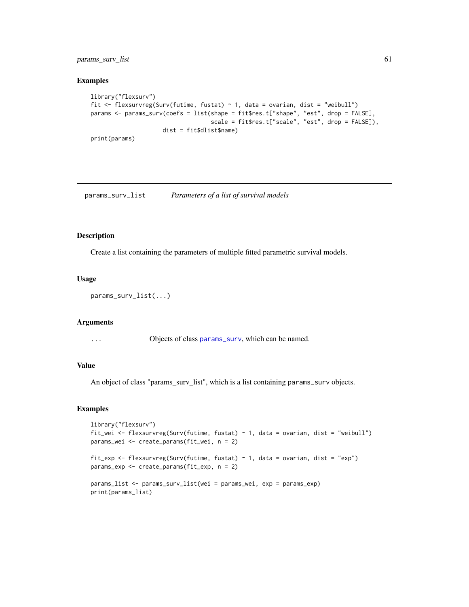params\_surv\_list 61

#### Examples

```
library("flexsurv")
fit <- flexsurvreg(Surv(futime, fustat) ~ 1, data = ovarian, dist = "weibull")
params <- params_surv(coefs = list(shape = fit$res.t["shape", "est", drop = FALSE],
                                   scale = fit$res.t["scale", "est", drop = FALSE]),
                     dist = fit$dlist$name)
print(params)
```
<span id="page-60-0"></span>params\_surv\_list *Parameters of a list of survival models*

# Description

Create a list containing the parameters of multiple fitted parametric survival models.

## Usage

```
params_surv_list(...)
```
#### Arguments

... Objects of class [params\\_surv](#page-57-0), which can be named.

#### Value

An object of class "params\_surv\_list", which is a list containing params\_surv objects.

```
library("flexsurv")
fit_wei <- flexsurvreg(Surv(futime, fustat) \sim 1, data = ovarian, dist = "weibull")
params_wei <- create_params(fit_wei, n = 2)
fit_exp <- flexsurvreg(Surv(futime, fustat) ~ 1, data = ovarian, dist = "exp")
params_exp <- create_params(fit_exp, n = 2)
params_list <- params_surv_list(wei = params_wei, exp = params_exp)
print(params_list)
```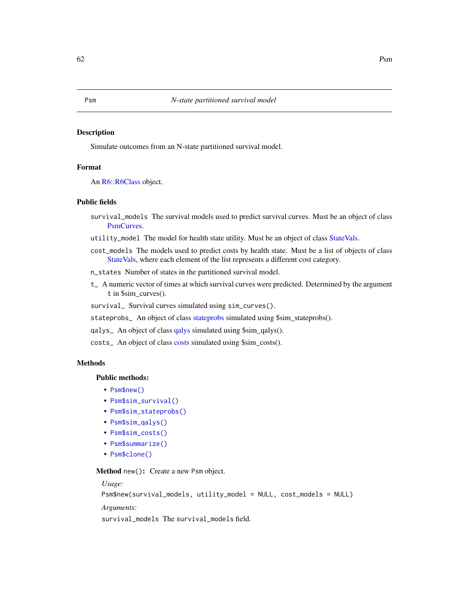<span id="page-61-0"></span>Simulate outcomes from an N-state partitioned survival model.

## Format

An [R6::R6Class](#page-0-0) object.

# Public fields

- survival\_models The survival models used to predict survival curves. Must be an object of class [PsmCurves.](#page-65-0)
- utility\_model The model for health state utility. Must be an object of class [StateVals.](#page-74-0)
- cost\_models The models used to predict costs by health state. Must be a list of objects of class [StateVals,](#page-74-0) where each element of the list represents a different cost category.
- n\_states Number of states in the partitioned survival model.
- t\_ A numeric vector of times at which survival curves were predicted. Determined by the argument t in \$sim\_curves().

survival\_ Survival curves simulated using sim\_curves().

stateprobs\_ An object of class [stateprobs](#page-74-1) simulated using \$sim\_stateprobs().

qalys\_ An object of class [qalys](#page-68-0) simulated using \$sim\_qalys().

costs\_ An object of class [costs](#page-12-0) simulated using \$sim\_costs().

# Methods

## Public methods:

- [Psm\\$new\(\)](#page-7-0)
- [Psm\\$sim\\_survival\(\)](#page-62-0)
- [Psm\\$sim\\_stateprobs\(\)](#page-8-0)
- [Psm\\$sim\\_qalys\(\)](#page-8-1)
- [Psm\\$sim\\_costs\(\)](#page-8-2)
- [Psm\\$summarize\(\)](#page-8-3)
- [Psm\\$clone\(\)](#page-9-0)

Method new(): Create a new Psm object.

*Usage:*

```
Psm$new(survival_models, utility_model = NULL, cost_models = NULL)
```
*Arguments:*

survival\_models The survival\_models field.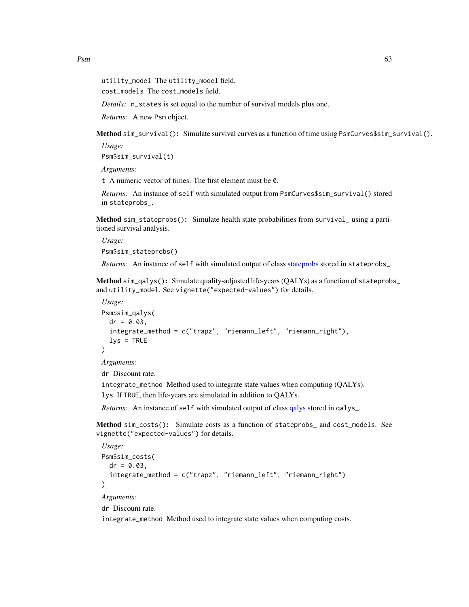utility\_model The utility\_model field.

cost\_models The cost\_models field.

*Details:* n\_states is set equal to the number of survival models plus one.

*Returns:* A new Psm object.

<span id="page-62-0"></span>Method sim\_survival(): Simulate survival curves as a function of time using PsmCurves\$sim\_survival().

*Usage:*

Psm\$sim\_survival(t)

*Arguments:*

t A numeric vector of times. The first element must be 0.

*Returns:* An instance of self with simulated output from PsmCurves\$sim\_survival() stored in stateprobs\_.

Method sim\_stateprobs(): Simulate health state probabilities from survival\_ using a partitioned survival analysis.

*Usage:* Psm\$sim\_stateprobs()

*Returns:* An instance of self with simulated output of class [stateprobs](#page-74-1) stored in stateprobs\_.

Method sim\_qalys(): Simulate quality-adjusted life-years (QALYs) as a function of stateprobs\_ and utility\_model. See vignette("expected-values") for details.

```
Usage:
Psm$sim_qalys(
  dr = 0.03,
  integrate_method = c("trapz", "riemann_left", "riemann_right"),
  lvs = TRUE)
Arguments:
```
dr Discount rate.

integrate\_method Method used to integrate state values when computing (QALYs).

lys If TRUE, then life-years are simulated in addition to QALYs.

*Returns:* An instance of self with simulated output of class [qalys](#page-68-0) stored in qalys\_.

Method sim\_costs(): Simulate costs as a function of stateprobs\_ and cost\_models. See vignette("expected-values") for details.

```
Usage:
Psm$sim_costs(
  dr = 0.03,
  integrate_method = c("trapz", "riemann_left", "riemann_right")
)
Arguments:
```
dr Discount rate.

integrate\_method Method used to integrate state values when computing costs.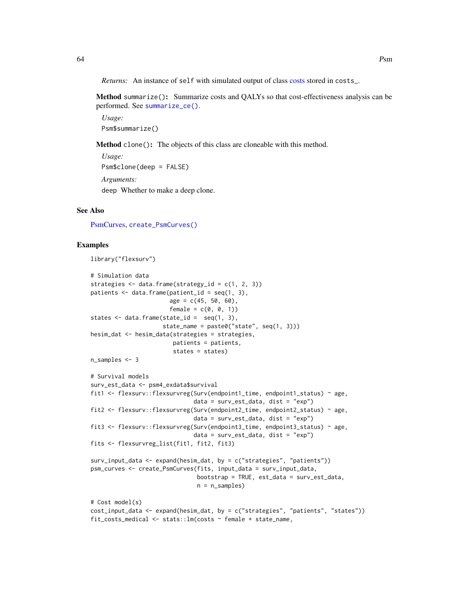*Returns:* An instance of self with simulated output of class [costs](#page-12-0) stored in costs\_.

Method summarize(): Summarize costs and QALYs so that cost-effectiveness analysis can be performed. See [summarize\\_ce\(\)](#page-78-0).

*Usage:* Psm\$summarize()

Method clone(): The objects of this class are cloneable with this method.

```
Usage:
Psm$clone(deep = FALSE)
Arguments:
deep Whether to make a deep clone.
```
## See Also

[PsmCurves,](#page-65-0) [create\\_PsmCurves\(\)](#page-18-0)

```
library("flexsurv")
# Simulation data
strategies \leq data.frame(strategy_id = c(1, 2, 3))
patients \leq data.frame(patient_id = seq(1, 3),
                       age = c(45, 50, 60),
                       female = c(0, 0, 1))states \leq data.frame(state_id = seq(1, 3),
                     state_name = paste0("state", seq(1, 3)))
hesim_dat <- hesim_data(strategies = strategies,
                        patients = patients,
                        states = states)
n_samples <- 3
# Survival models
surv_est_data <- psm4_exdata$survival
fit1 <- flexsurv::flexsurvreg(Surv(endpoint1_time, endpoint1_status) ~ age,
                              data = surv_est_data, dist = "exp")
fit2 <- flexsurv::flexsurvreg(Surv(endpoint2_time, endpoint2_status) ~ age,
                              data = surv_set_data, dist = "exp")fit3 <- flexsurv::flexsurvreg(Surv(endpoint3_time, endpoint3_status) ~ age,
                              data = surv_set_data, dist = "exp")fits <- flexsurvreg_list(fit1, fit2, fit3)
surv_input_data <- expand(hesim_dat, by = c("strategies", "patients"))
psm_curves <- create_PsmCurves(fits, input_data = surv_input_data,
                               bootstrap = TRUE, est_data = surv_est_data,
                               n = n_samples)
# Cost model(s)
cost_input_data <- expand(hesim_dat, by = c("strategies", "patients", "states"))
fit_costs_medical <- stats::lm(costs ~ female + state_name,
```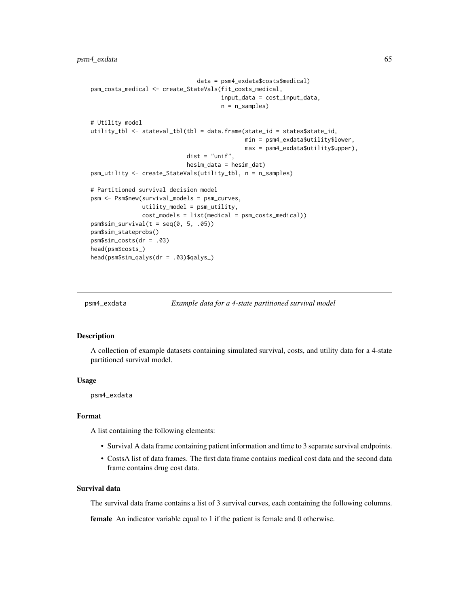```
data = psm4_exdata$costs$medical)
psm_costs_medical <- create_StateVals(fit_costs_medical,
                                      input_data = cost_input_data,
                                      n = n_samples)
# Utility model
utility_tbl <- stateval_tbl(tbl = data.frame(state_id = states$state_id,
                                             min = psm4_exdata$utility$lower,
                                             max = psm4_exdata$utility$upper),
                            dist = "unit",hesim_data = hesim_dat)
psm_utility <- create_StateVals(utility_tbl, n = n_samples)
# Partitioned survival decision model
psm <- Psm$new(survival_models = psm_curves,
              utility_model = psm_utility,
               cost_models = list(medical = psm_costs_medical))
psm$sim\_survival(t = seq(0, 5, .05))psm$sim_stateprobs()
psm$sim_costs(dr = .03)
head(psm$costs_)
head(psm$sim_qalys(dr = .03)$qalys_)
```
psm4\_exdata *Example data for a 4-state partitioned survival model*

#### **Description**

A collection of example datasets containing simulated survival, costs, and utility data for a 4-state partitioned survival model.

#### Usage

psm4\_exdata

## Format

A list containing the following elements:

- Survival A data frame containing patient information and time to 3 separate survival endpoints.
- CostsA list of data frames. The first data frame contains medical cost data and the second data frame contains drug cost data.

## Survival data

The survival data frame contains a list of 3 survival curves, each containing the following columns.

female An indicator variable equal to 1 if the patient is female and 0 otherwise.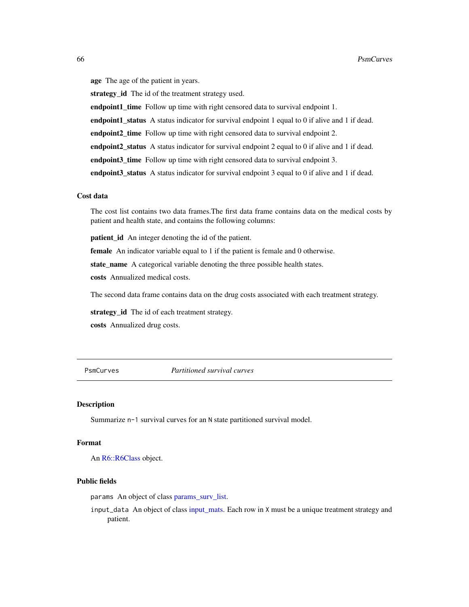age The age of the patient in years. strategy id The id of the treatment strategy used. endpoint1\_time Follow up time with right censored data to survival endpoint 1. endpoint1\_status A status indicator for survival endpoint 1 equal to 0 if alive and 1 if dead. endpoint2\_time Follow up time with right censored data to survival endpoint 2. endpoint2\_status A status indicator for survival endpoint 2 equal to 0 if alive and 1 if dead.

endpoint3\_time Follow up time with right censored data to survival endpoint 3.

endpoint3\_status A status indicator for survival endpoint 3 equal to 0 if alive and 1 if dead.

## Cost data

The cost list contains two data frames.The first data frame contains data on the medical costs by patient and health state, and contains the following columns:

**patient\_id** An integer denoting the id of the patient.

female An indicator variable equal to 1 if the patient is female and 0 otherwise.

state\_name A categorical variable denoting the three possible health states.

costs Annualized medical costs.

The second data frame contains data on the drug costs associated with each treatment strategy.

strategy\_id The id of each treatment strategy.

costs Annualized drug costs.

<span id="page-65-0"></span>PsmCurves *Partitioned survival curves*

#### Description

Summarize n-1 survival curves for an N state partitioned survival model.

## Format

An [R6::R6Class](#page-0-0) object.

#### Public fields

params An object of class [params\\_surv\\_list.](#page-60-0)

input\_data An object of class [input\\_mats.](#page-46-0) Each row in X must be a unique treatment strategy and patient.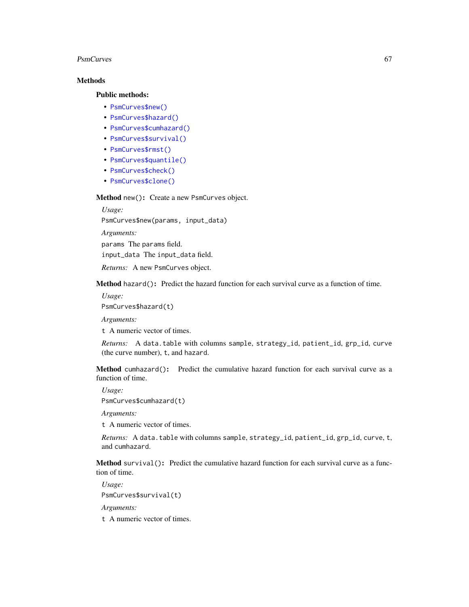## PsmCurves 67

# Methods

## Public methods:

- [PsmCurves\\$new\(\)](#page-7-0)
- [PsmCurves\\$hazard\(\)](#page-22-0)
- [PsmCurves\\$cumhazard\(\)](#page-22-1)
- [PsmCurves\\$survival\(\)](#page-66-0)
- [PsmCurves\\$rmst\(\)](#page-67-0)
- [PsmCurves\\$quantile\(\)](#page-67-1)
- [PsmCurves\\$check\(\)](#page-44-0)
- [PsmCurves\\$clone\(\)](#page-9-0)

Method new(): Create a new PsmCurves object.

*Usage:*

PsmCurves\$new(params, input\_data)

*Arguments:*

params The params field.

input\_data The input\_data field.

*Returns:* A new PsmCurves object.

Method hazard(): Predict the hazard function for each survival curve as a function of time.

*Usage:*

PsmCurves\$hazard(t)

*Arguments:*

t A numeric vector of times.

*Returns:* A data.table with columns sample, strategy\_id, patient\_id, grp\_id, curve (the curve number), t, and hazard.

Method cumhazard(): Predict the cumulative hazard function for each survival curve as a function of time.

*Usage:*

PsmCurves\$cumhazard(t)

*Arguments:*

t A numeric vector of times.

*Returns:* A data.table with columns sample, strategy\_id, patient\_id, grp\_id, curve, t, and cumhazard.

<span id="page-66-0"></span>Method survival (): Predict the cumulative hazard function for each survival curve as a function of time.

*Usage:* PsmCurves\$survival(t)

*Arguments:*

t A numeric vector of times.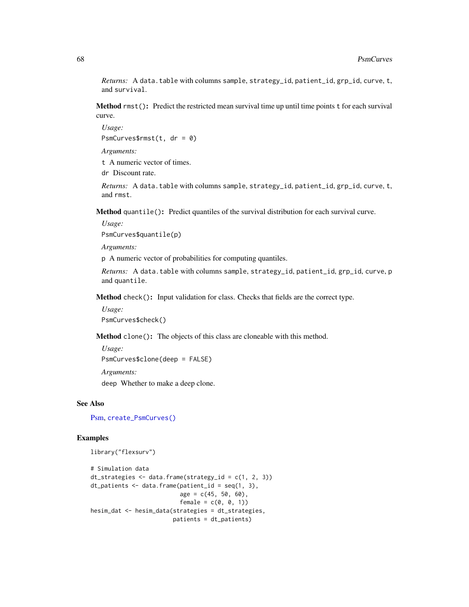*Returns:* A data.table with columns sample, strategy\_id, patient\_id, grp\_id, curve, t, and survival.

<span id="page-67-0"></span>Method rmst(): Predict the restricted mean survival time up until time points t for each survival curve.

*Usage:* PsmCurves\$rmst(t,  $dr = 0$ )

*Arguments:*

t A numeric vector of times.

dr Discount rate.

*Returns:* A data.table with columns sample, strategy\_id, patient\_id, grp\_id, curve, t, and rmst.

<span id="page-67-1"></span>Method quantile(): Predict quantiles of the survival distribution for each survival curve.

*Usage:*

PsmCurves\$quantile(p)

*Arguments:*

p A numeric vector of probabilities for computing quantiles.

*Returns:* A data.table with columns sample, strategy\_id, patient\_id, grp\_id, curve, p and quantile.

Method check(): Input validation for class. Checks that fields are the correct type.

*Usage:*

PsmCurves\$check()

Method clone(): The objects of this class are cloneable with this method.

*Usage:* PsmCurves\$clone(deep = FALSE) *Arguments:*

deep Whether to make a deep clone.

## See Also

[Psm,](#page-61-0) [create\\_PsmCurves\(\)](#page-18-0)

```
library("flexsurv")
```

```
# Simulation data
dt_strategies <- data.frame(strategy_id = c(1, 2, 3))
dt_patients \leq data.frame(patient_id = seq(1, 3),
                           age = c(45, 50, 60),
                           female = c(\emptyset, \emptyset, 1)hesim_dat <- hesim_data(strategies = dt_strategies,
                         patients = dt_patients)
```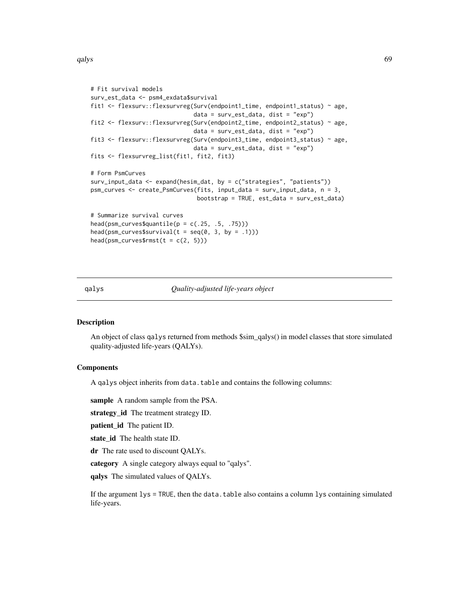```
# Fit survival models
surv_est_data <- psm4_exdata$survival
fit1 <- flexsurv::flexsurvreg(Surv(endpoint1_time, endpoint1_status) ~ age,
                              data = surv_est_data, dist = "exp")
fit2 <- flexsurv::flexsurvreg(Surv(endpoint2_time, endpoint2_status) ~ age,
                              data = surv_est_data, dist = "exp")
fit3 <- flexsurv::flexsurvreg(Surv(endpoint3_time, endpoint3_status) ~ age,
                              data = surv_test_data, dist = "exp")fits <- flexsurvreg_list(fit1, fit2, fit3)
# Form PsmCurves
surv_input_data <- expand(hesim_dat, by = c("strategies", "patients"))
psm_curves <- create_PsmCurves(fits, input_data = surv_input_data, n = 3,
                               bootstrap = TRUE, est_data = surv_est_data)
# Summarize survival curves
head(psm\_curves\q quantile(p = c(.25, .5, .75)))
head(psm_curves$survival(t = seq(0, 3, by = .1)))
head(psm\_curves\fmst(t = c(2, 5)))
```
#### <span id="page-68-0"></span>qalys *Quality-adjusted life-years object*

## Description

An object of class qalys returned from methods \$sim\_qalys() in model classes that store simulated quality-adjusted life-years (QALYs).

## **Components**

A qalys object inherits from data.table and contains the following columns:

sample A random sample from the PSA.

strategy\_id The treatment strategy ID.

patient\_id The patient ID.

state\_id The health state ID.

dr The rate used to discount QALYs.

category A single category always equal to "qalys".

qalys The simulated values of QALYs.

If the argument lys = TRUE, then the data.table also contains a column lys containing simulated life-years.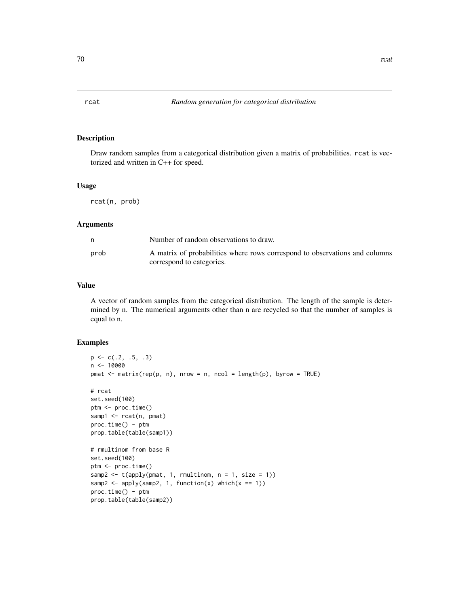Draw random samples from a categorical distribution given a matrix of probabilities. rcat is vectorized and written in C++ for speed.

# Usage

rcat(n, prob)

## Arguments

|      | Number of random observations to draw.                                      |
|------|-----------------------------------------------------------------------------|
| prob | A matrix of probabilities where rows correspond to observations and columns |
|      | correspond to categories.                                                   |

### Value

A vector of random samples from the categorical distribution. The length of the sample is determined by n. The numerical arguments other than n are recycled so that the number of samples is equal to n.

```
p \leftarrow c(.2, .5, .3)n <- 10000
pmat \leq matrix(rep(p, n), nrow = n, ncol = length(p), byrow = TRUE)
# rcat
set.seed(100)
ptm <- proc.time()
samp1 <- rcat(n, pmat)
proc.time() - ptm
prop.table(table(samp1))
# rmultinom from base R
set.seed(100)
ptm <- proc.time()
samp2 \leftarrow t(apply(pmat, 1, rmultinom, n = 1, size = 1))
samp2 <- apply(samp2, 1, function(x) which(x == 1))
proc.time() - ptm
prop.table(table(samp2))
```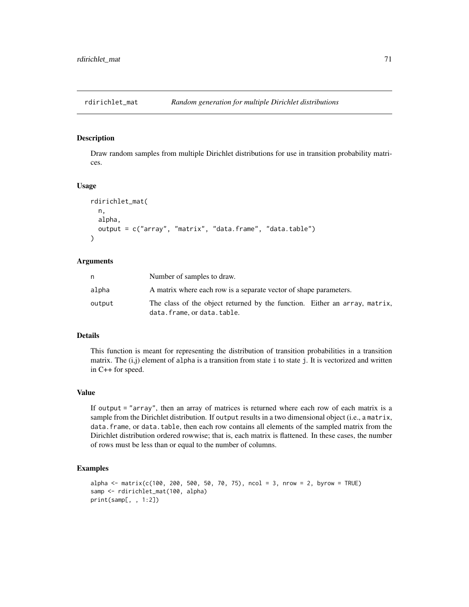Draw random samples from multiple Dirichlet distributions for use in transition probability matrices.

## Usage

```
rdirichlet_mat(
  n,
  alpha,
  output = c("array", "matrix", "data.frame", "data.table")
\lambda
```
# Arguments

| n      | Number of samples to draw.                                                                             |
|--------|--------------------------------------------------------------------------------------------------------|
| alpha  | A matrix where each row is a separate vector of shape parameters.                                      |
| output | The class of the object returned by the function. Either an array, matrix,<br>data.frame.ordata.table. |

## Details

This function is meant for representing the distribution of transition probabilities in a transition matrix. The  $(i,j)$  element of alpha is a transition from state i to state j. It is vectorized and written in C++ for speed.

## Value

If output = "array", then an array of matrices is returned where each row of each matrix is a sample from the Dirichlet distribution. If output results in a two dimensional object (i.e., a matrix, data. frame, or data. table, then each row contains all elements of the sampled matrix from the Dirichlet distribution ordered rowwise; that is, each matrix is flattened. In these cases, the number of rows must be less than or equal to the number of columns.

```
alpha <- matrix(c(100, 200, 500, 50, 70, 75), ncol = 3, nrow = 2, byrow = TRUE)
samp <- rdirichlet_mat(100, alpha)
print(samp[, , 1:2])
```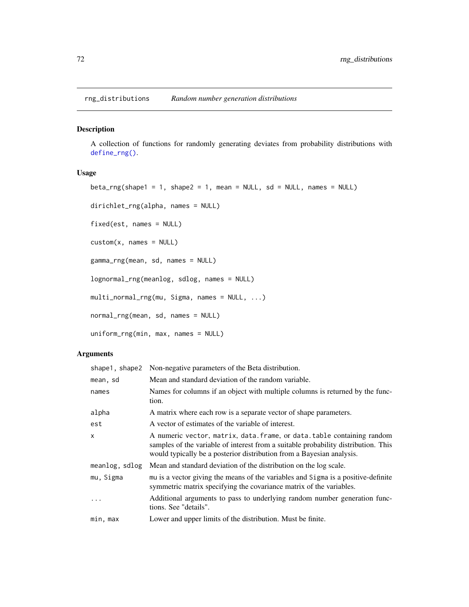rng\_distributions *Random number generation distributions*

### Description

A collection of functions for randomly generating deviates from probability distributions with [define\\_rng\(\)](#page-25-0).

# Usage

```
beta_rng(shape1 = 1, shape2 = 1, mean = NULL, sd = NULL, names = NULL)
dirichlet_rng(alpha, names = NULL)
fixed(est, names = NULL)
custom(x, names = NULL)
gamma_rng(mean, sd, names = NULL)
lognormal_rng(meanlog, sdlog, names = NULL)
multi_normal_rng(mu, Sigma, names = NULL, ...)
normal_rng(mean, sd, names = NULL)
uniform_rng(min, max, names = NULL)
```
# Arguments

| shape1, shape2 | Non-negative parameters of the Beta distribution.                                                                                                                                                                                      |
|----------------|----------------------------------------------------------------------------------------------------------------------------------------------------------------------------------------------------------------------------------------|
| mean, sd       | Mean and standard deviation of the random variable.                                                                                                                                                                                    |
| names          | Names for columns if an object with multiple columns is returned by the func-<br>tion.                                                                                                                                                 |
| alpha          | A matrix where each row is a separate vector of shape parameters.                                                                                                                                                                      |
| est            | A vector of estimates of the variable of interest.                                                                                                                                                                                     |
| x              | A numeric vector, matrix, data. frame, or data. table containing random<br>samples of the variable of interest from a suitable probability distribution. This<br>would typically be a posterior distribution from a Bayesian analysis. |
| meanlog, sdlog | Mean and standard deviation of the distribution on the log scale.                                                                                                                                                                      |
| mu, Sigma      | mu is a vector giving the means of the variables and Sigma is a positive-definite<br>symmetric matrix specifying the covariance matrix of the variables.                                                                               |
|                | Additional arguments to pass to underlying random number generation func-<br>tions. See "details".                                                                                                                                     |
| min, max       | Lower and upper limits of the distribution. Must be finite.                                                                                                                                                                            |
|                |                                                                                                                                                                                                                                        |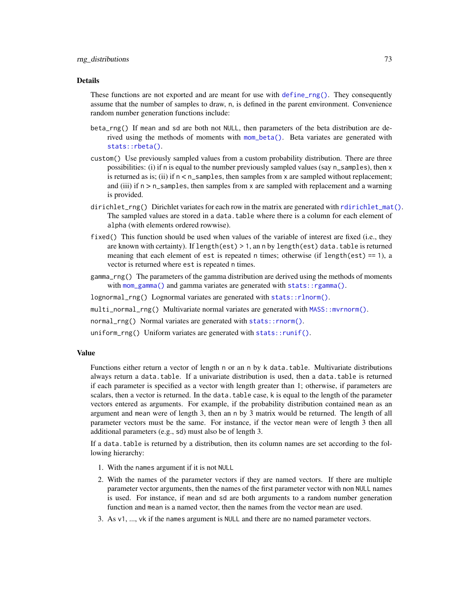#### <span id="page-72-0"></span>Details

These functions are not exported and are meant for use with [define\\_rng\(\)](#page-25-0). They consequently assume that the number of samples to draw, n, is defined in the parent environment. Convenience random number generation functions include:

- beta\_rng() If mean and sd are both not NULL, then parameters of the beta distribution are derived using the methods of moments with [mom\\_beta\(\)](#page-47-0). Beta variates are generated with [stats::rbeta\(\)](#page-0-0).
- custom() Use previously sampled values from a custom probability distribution. There are three possibilities: (i) if n is equal to the number previously sampled values (say n\_samples), then x is returned as is; (ii) if  $n < n$ \_samples, then samples from x are sampled without replacement; and (iii) if  $n > n$ \_samples, then samples from x are sampled with replacement and a warning is provided.
- dirichlet\_rng() Dirichlet variates for each row in the matrix are generated with [rdirichlet\\_mat\(\)](#page-70-0). The sampled values are stored in a data.table where there is a column for each element of alpha (with elements ordered rowwise).
- fixed() This function should be used when values of the variable of interest are fixed (i.e., they are known with certainty). If length(est) > 1, an n by length(est) data.table is returned meaning that each element of est is repeated n times; otherwise (if length(est) == 1), a vector is returned where est is repeated n times.
- gamma\_rng() The parameters of the gamma distribution are derived using the methods of moments with [mom\\_gamma\(\)](#page-48-0) and gamma variates are generated with [stats::rgamma\(\)](#page-0-0).
- lognormal\_rng() Lognormal variates are generated with [stats::rlnorm\(\)](#page-0-0).

multi\_normal\_rng() Multivariate normal variates are generated with [MASS::mvrnorm\(\)](#page-0-0).

- normal\_rng() Normal variates are generated with [stats::rnorm\(\)](#page-0-0).
- uniform\_rng() Uniform variates are generated with [stats::runif\(\)](#page-0-0).

## Value

Functions either return a vector of length n or an n by k data.table. Multivariate distributions always return a data.table. If a univariate distribution is used, then a data.table is returned if each parameter is specified as a vector with length greater than 1; otherwise, if parameters are scalars, then a vector is returned. In the data.table case, k is equal to the length of the parameter vectors entered as arguments. For example, if the probability distribution contained mean as an argument and mean were of length 3, then an n by 3 matrix would be returned. The length of all parameter vectors must be the same. For instance, if the vector mean were of length 3 then all additional parameters (e.g., sd) must also be of length 3.

If a data.table is returned by a distribution, then its column names are set according to the following hierarchy:

- 1. With the names argument if it is not NULL
- 2. With the names of the parameter vectors if they are named vectors. If there are multiple parameter vector arguments, then the names of the first parameter vector with non NULL names is used. For instance, if mean and sd are both arguments to a random number generation function and mean is a named vector, then the names from the vector mean are used.
- 3. As v1, ..., vk if the names argument is NULL and there are no named parameter vectors.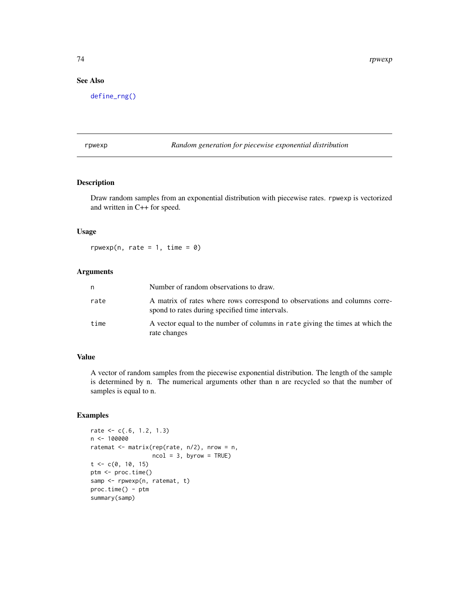# <span id="page-73-0"></span>See Also

[define\\_rng\(\)](#page-25-0)

#### rpwexp *Random generation for piecewise exponential distribution*

## Description

Draw random samples from an exponential distribution with piecewise rates. rpwexp is vectorized and written in C++ for speed.

# Usage

 $rpwexp(n, rate = 1, time = 0)$ 

# Arguments

| n    | Number of random observations to draw.                                                                                        |
|------|-------------------------------------------------------------------------------------------------------------------------------|
| rate | A matrix of rates where rows correspond to observations and columns corre-<br>spond to rates during specified time intervals. |
| time | A vector equal to the number of columns in rate giving the times at which the<br>rate changes                                 |

# Value

A vector of random samples from the piecewise exponential distribution. The length of the sample is determined by n. The numerical arguments other than n are recycled so that the number of samples is equal to n.

# Examples

```
rate <- c(.6, 1.2, 1.3)
n <- 100000
ratemat <- matrix(rep(rate, n/2), nrow = n,
                  ncol = 3, byrow = TRUE)
t < -c(0, 10, 15)ptm <- proc.time()
samp <- rpwexp(n, ratemat, t)
proc.time() - ptm
summary(samp)
```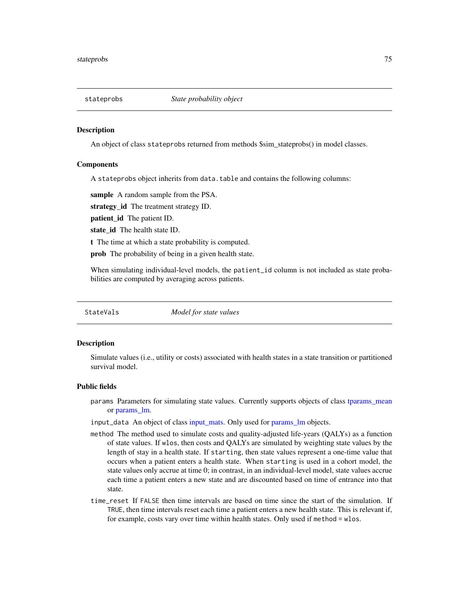<span id="page-74-1"></span>

#### **Description**

An object of class stateprobs returned from methods \$sim\_stateprobs() in model classes.

#### Components

A stateprobs object inherits from data.table and contains the following columns:

sample A random sample from the PSA.

strategy\_id The treatment strategy ID.

patient\_id The patient ID.

state id The health state ID.

t The time at which a state probability is computed.

prob The probability of being in a given health state.

When simulating individual-level models, the patient\_id column is not included as state probabilities are computed by averaging across patients.

<span id="page-74-0"></span>StateVals *Model for state values*

## Description

Simulate values (i.e., utility or costs) associated with health states in a state transition or partitioned survival model.

#### Public fields

params Parameters for simulating state values. Currently supports objects of class [tparams\\_mean](#page-81-0) or [params\\_lm.](#page-55-0)

input\_data An object of class [input\\_mats.](#page-46-0) Only used for [params\\_lm](#page-55-0) objects.

- method The method used to simulate costs and quality-adjusted life-years (QALYs) as a function of state values. If wlos, then costs and QALYs are simulated by weighting state values by the length of stay in a health state. If starting, then state values represent a one-time value that occurs when a patient enters a health state. When starting is used in a cohort model, the state values only accrue at time 0; in contrast, in an individual-level model, state values accrue each time a patient enters a new state and are discounted based on time of entrance into that state.
- time\_reset If FALSE then time intervals are based on time since the start of the simulation. If TRUE, then time intervals reset each time a patient enters a new health state. This is relevant if, for example, costs vary over time within health states. Only used if method = wlos.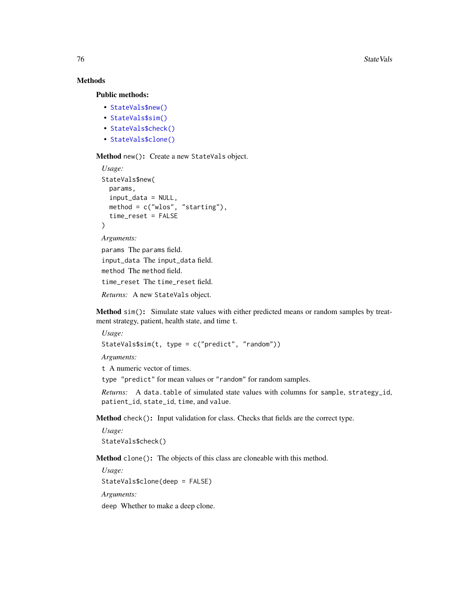# Methods

Public methods:

- [StateVals\\$new\(\)](#page-7-0)
- [StateVals\\$sim\(\)](#page-75-0)
- [StateVals\\$check\(\)](#page-44-0)
- [StateVals\\$clone\(\)](#page-9-0)

Method new(): Create a new StateVals object.

```
Usage:
StateVals$new(
  params,
  input_data = NULL,
  method = c("wlos", "starting"),
  time_reset = FALSE
\lambdaArguments:
params The params field.
```
input\_data The input\_data field. method The method field. time\_reset The time\_reset field. *Returns:* A new StateVals object.

<span id="page-75-0"></span>Method sim(): Simulate state values with either predicted means or random samples by treatment strategy, patient, health state, and time t.

```
Usage:
StateVals$sim(t, type = c("predict", "random"))
```
*Arguments:*

t A numeric vector of times.

type "predict" for mean values or "random" for random samples.

*Returns:* A data.table of simulated state values with columns for sample, strategy\_id, patient\_id, state\_id, time, and value.

Method check(): Input validation for class. Checks that fields are the correct type.

*Usage:* StateVals\$check()

Method clone(): The objects of this class are cloneable with this method.

*Usage:* StateVals\$clone(deep = FALSE) *Arguments:* deep Whether to make a deep clone.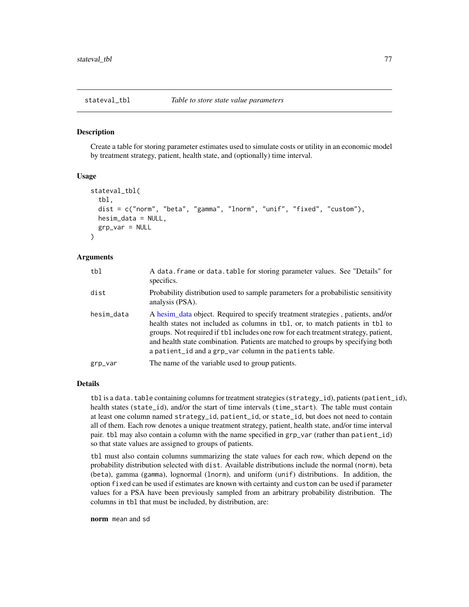#### Description

Create a table for storing parameter estimates used to simulate costs or utility in an economic model by treatment strategy, patient, health state, and (optionally) time interval.

## Usage

```
stateval_tbl(
  tbl,
  dist = c("norm", "beta", "gamma", "lnorm", "unif", "fixed", "custom"),
  hesim_data = NULL,
  grp_var = NULL
\mathcal{L}
```
## Arguments

| tbl        | A data frame or data. table for storing parameter values. See "Details" for<br>specifics.                                                                                                                                                                                                                                                                                                             |
|------------|-------------------------------------------------------------------------------------------------------------------------------------------------------------------------------------------------------------------------------------------------------------------------------------------------------------------------------------------------------------------------------------------------------|
| dist       | Probability distribution used to sample parameters for a probabilistic sensitivity<br>analysis (PSA).                                                                                                                                                                                                                                                                                                 |
| hesim_data | A hesim_data object. Required to specify treatment strategies, patients, and/or<br>health states not included as columns in tbl, or, to match patients in tbl to<br>groups. Not required if tbl includes one row for each treatment strategy, patient,<br>and health state combination. Patients are matched to groups by specifying both<br>a patient id and a grp_var column in the patients table. |
| grp_var    | The name of the variable used to group patients.                                                                                                                                                                                                                                                                                                                                                      |

## Details

tbl is a data.table containing columns for treatment strategies (strategy\_id), patients (patient\_id), health states (state\_id), and/or the start of time intervals (time\_start). The table must contain at least one column named strategy\_id, patient\_id, or state\_id, but does not need to contain all of them. Each row denotes a unique treatment strategy, patient, health state, and/or time interval pair. tbl may also contain a column with the name specified in grp\_var (rather than patient\_id) so that state values are assigned to groups of patients.

tbl must also contain columns summarizing the state values for each row, which depend on the probability distribution selected with dist. Available distributions include the normal (norm), beta (beta), gamma (gamma), lognormal (lnorm), and uniform (unif) distributions. In addition, the option fixed can be used if estimates are known with certainty and custom can be used if parameter values for a PSA have been previously sampled from an arbitrary probability distribution. The columns in tbl that must be included, by distribution, are:

norm mean and sd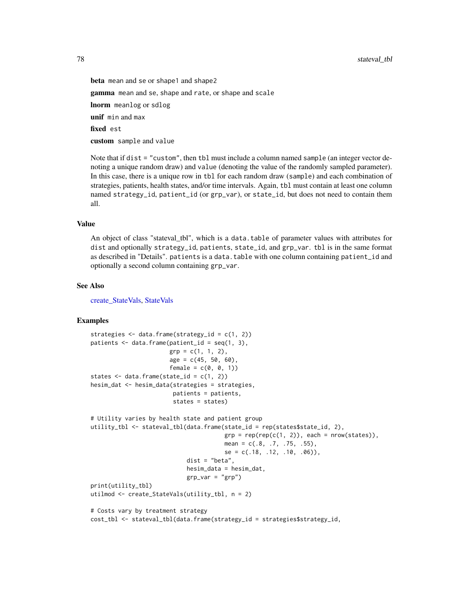<span id="page-77-0"></span>78 stateval\_tbl  $\frac{1}{2}$  stateval\_tbl  $\frac{1}{2}$  stateval\_tbl  $\frac{1}{2}$  stateval\_tbl  $\frac{1}{2}$ 

beta mean and se or shape1 and shape2 gamma mean and se, shape and rate, or shape and scale lnorm meanlog or sdlog unif min and max fixed est custom sample and value

Note that if dist = "custom", then tbl must include a column named sample (an integer vector denoting a unique random draw) and value (denoting the value of the randomly sampled parameter). In this case, there is a unique row in tbl for each random draw (sample) and each combination of strategies, patients, health states, and/or time intervals. Again, tbl must contain at least one column named strategy\_id, patient\_id (or grp\_var), or state\_id, but does not need to contain them all.

#### Value

An object of class "stateval\_tbl", which is a data.table of parameter values with attributes for dist and optionally strategy\_id, patients, state\_id, and grp\_var. tbl is in the same format as described in "Details". patients is a data.table with one column containing patient\_id and optionally a second column containing grp\_var.

#### See Also

[create\\_StateVals,](#page-20-0) [StateVals](#page-74-0)

# Examples

```
strategies <- data.frame(strategy_id = c(1, 2))
patients \leq data.frame(patient_id = seq(1, 3),
                       grp = c(1, 1, 2),age = c(45, 50, 60),
                       female = c(0, 0, 1))states \leq data.frame(state_id = c(1, 2))
hesim_dat <- hesim_data(strategies = strategies,
                        patients = patients,
                        states = states)
# Utility varies by health state and patient group
utility_tbl <- stateval_tbl(data.frame(state_id = rep(states$state_id, 2),
                                       grp = rep(rep(c(1, 2)), each = nrow(states)),mean = c(.8, .7, .75, .55),
                                       se = c(.18, .12, .10, .06),
                            dist = "beta",
                            hesim_data = hesim_dat,
                            grp\_var = "grp")print(utility_tbl)
utilmod <- create_StateVals(utility_tbl, n = 2)
# Costs vary by treatment strategy
cost_tbl <- stateval_tbl(data.frame(strategy_id = strategies$strategy_id,
```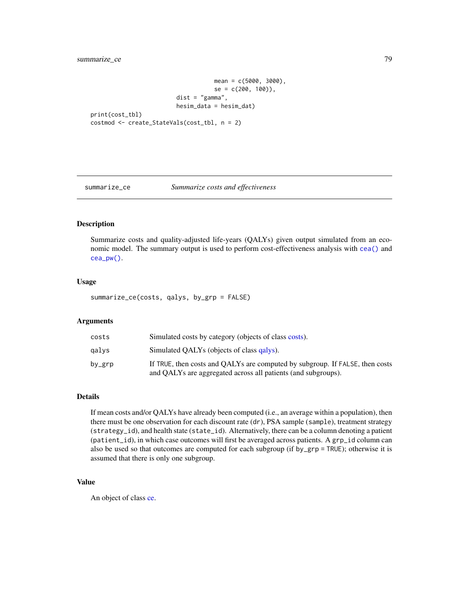```
mean = c(5000, 3000),
                                    se = c(200, 100),
                         dist = "gamma",
                        hesim_data = hesim_dat)
print(cost_tbl)
costmod <- create_StateVals(cost_tbl, n = 2)
```
## summarize\_ce *Summarize costs and effectiveness*

# Description

Summarize costs and quality-adjusted life-years (QALYs) given output simulated from an economic model. The summary output is used to perform cost-effectiveness analysis with [cea\(\)](#page-4-0) and [cea\\_pw\(\)](#page-4-1).

# Usage

summarize\_ce(costs, qalys, by\_grp = FALSE)

#### Arguments

| costs  | Simulated costs by category (objects of class costs).                                                                                         |
|--------|-----------------------------------------------------------------------------------------------------------------------------------------------|
| qalvs  | Simulated OALYs (objects of class galys).                                                                                                     |
| by_grp | If TRUE, then costs and OALYs are computed by subgroup. If FALSE, then costs<br>and QALYs are aggregated across all patients (and subgroups). |

## Details

If mean costs and/or QALYs have already been computed (i.e., an average within a population), then there must be one observation for each discount rate (dr), PSA sample (sample), treatment strategy (strategy\_id), and health state (state\_id). Alternatively, there can be a column denoting a patient (patient\_id), in which case outcomes will first be averaged across patients. A grp\_id column can also be used so that outcomes are computed for each subgroup (if by\_grp = TRUE); otherwise it is assumed that there is only one subgroup.

# Value

An object of class [ce.](#page-3-0)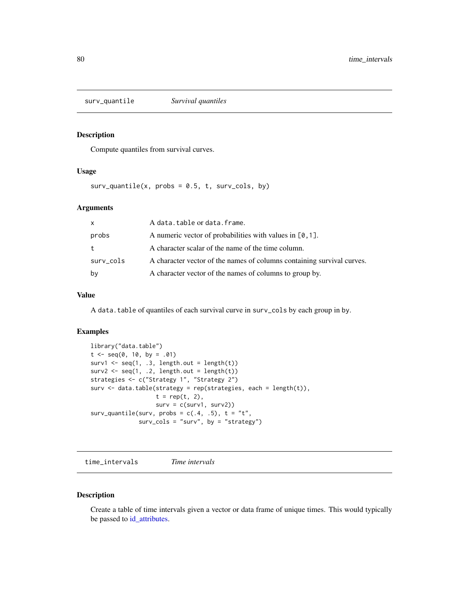<span id="page-79-1"></span>surv\_quantile *Survival quantiles*

# Description

Compute quantiles from survival curves.

#### Usage

 $surv_quantile(x, probs = 0.5, t, surv_cols, by)$ 

### Arguments

| $\mathsf{x}$ | A data.table or data.frame.                                            |
|--------------|------------------------------------------------------------------------|
| probs        | A numeric vector of probabilities with values in $[0, 1]$ .            |
| t            | A character scalar of the name of the time column.                     |
| surv_cols    | A character vector of the names of columns containing survival curves. |
| bν           | A character vector of the names of columns to group by.                |

# Value

A data.table of quantiles of each survival curve in surv\_cols by each group in by.

## Examples

```
library("data.table")
t \leq - \text{seq}(0, 10, \text{ by } = .01)surv1 \leftarrow seq(1, .3, length.out = length(t))surv2 < -seq(1, .2, length.out = length(t))strategies <- c("Strategy 1", "Strategy 2")
surv <- data.table(strategy = rep(strategies, each = length(t)),
                    t = rep(t, 2),surv = c(surv1, surv2)surv_quantile(surv, probs = c(.4, .5), t = "t",
              surv_cols = "surv", by = "strategy")
```
<span id="page-79-0"></span>time\_intervals *Time intervals*

## Description

Create a table of time intervals given a vector or data frame of unique times. This would typically be passed to [id\\_attributes.](#page-35-0)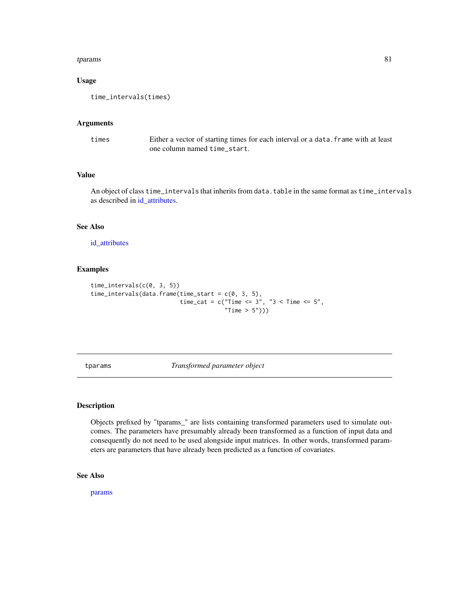#### <span id="page-80-1"></span>tparams 81

# Usage

```
time_intervals(times)
```
#### Arguments

times Either a vector of starting times for each interval or a data.frame with at least one column named time\_start.

# Value

An object of class time\_intervals that inherits from data.table in the same format as time\_intervals as described in [id\\_attributes.](#page-35-0)

## See Also

[id\\_attributes](#page-35-0)

# Examples

```
time_intervals(c(0, 3, 5))
time_intervals(data.frame(time_start = c(0, 3, 5),
                          time_cat = c("Time <= 3", "3 < Time <= 5",
                                       "Time > 5"))
```
<span id="page-80-0"></span>tparams *Transformed parameter object*

## Description

Objects prefixed by "tparams\_" are lists containing transformed parameters used to simulate outcomes. The parameters have presumably already been transformed as a function of input data and consequently do not need to be used alongside input matrices. In other words, transformed parameters are parameters that have already been predicted as a function of covariates.

# See Also

[params](#page-52-0)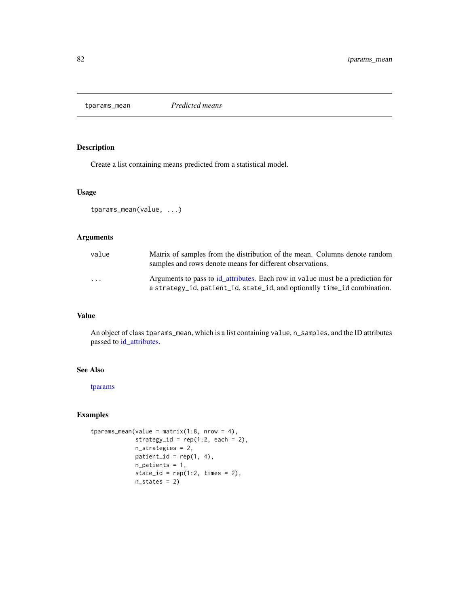<span id="page-81-1"></span><span id="page-81-0"></span>tparams\_mean *Predicted means*

# Description

Create a list containing means predicted from a statistical model.

## Usage

```
tparams_mean(value, ...)
```
## Arguments

| value                   | Matrix of samples from the distribution of the mean. Columns denote random<br>samples and rows denote means for different observations.                    |
|-------------------------|------------------------------------------------------------------------------------------------------------------------------------------------------------|
| $\cdot$ $\cdot$ $\cdot$ | Arguments to pass to id_attributes. Each row in value must be a prediction for<br>a strategy_id, patient_id, state_id, and optionally time_id combination. |

# Value

An object of class tparams\_mean, which is a list containing value, n\_samples, and the ID attributes passed to [id\\_attributes.](#page-35-0)

## See Also

[tparams](#page-80-0)

# Examples

```
tparams_mean(value = matrix(1:8, nrow = 4),strategy_id = rep(1:2, each = 2),
            n_strategies = 2,
            patient_id = rep(1, 4),n_patients = 1,
            state_id = rep(1:2, times = 2),
            n_states = 2)
```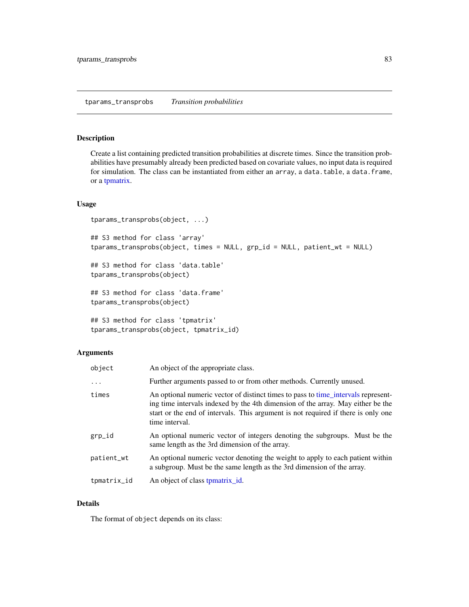#### <span id="page-82-1"></span><span id="page-82-0"></span>Description

Create a list containing predicted transition probabilities at discrete times. Since the transition probabilities have presumably already been predicted based on covariate values, no input data is required for simulation. The class can be instantiated from either an array, a data.table, a data.frame, or a [tpmatrix.](#page-83-0)

#### Usage

```
tparams_transprobs(object, ...)
```

```
## S3 method for class 'array'
tparams_transprobs(object, times = NULL, grp_id = NULL, patient_wt = NULL)
## S3 method for class 'data.table'
tparams_transprobs(object)
## S3 method for class 'data.frame'
tparams_transprobs(object)
## S3 method for class 'tpmatrix'
tparams_transprobs(object, tpmatrix_id)
```
## Arguments

| object      | An object of the appropriate class.                                                                                                                                                                                                                                         |
|-------------|-----------------------------------------------------------------------------------------------------------------------------------------------------------------------------------------------------------------------------------------------------------------------------|
| $\ddots$    | Further arguments passed to or from other methods. Currently unused.                                                                                                                                                                                                        |
| times       | An optional numeric vector of distinct times to pass to time_intervals represent-<br>ing time intervals indexed by the 4th dimension of the array. May either be the<br>start or the end of intervals. This argument is not required if there is only one<br>time interval. |
| grp_id      | An optional numeric vector of integers denoting the subgroups. Must be the<br>same length as the 3rd dimension of the array.                                                                                                                                                |
| patient_wt  | An optional numeric vector denoting the weight to apply to each patient within<br>a subgroup. Must be the same length as the 3rd dimension of the array.                                                                                                                    |
| tpmatrix_id | An object of class to <i>pmatrix_id.</i>                                                                                                                                                                                                                                    |

# Details

The format of object depends on its class: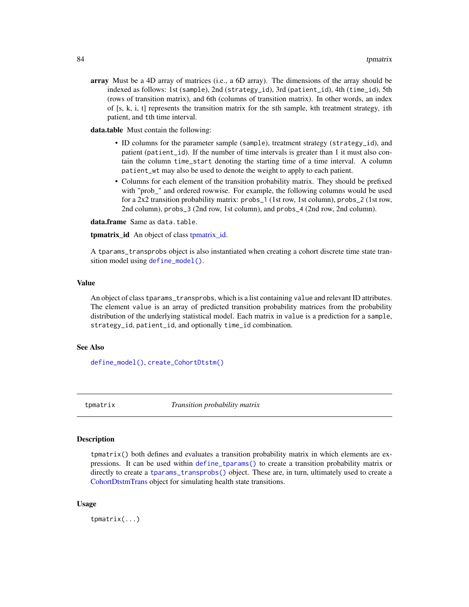<span id="page-83-1"></span>array Must be a 4D array of matrices (i.e., a 6D array). The dimensions of the array should be indexed as follows: 1st (sample), 2nd (strategy\_id), 3rd (patient\_id), 4th (time\_id), 5th (rows of transition matrix), and 6th (columns of transition matrix). In other words, an index of  $[s, k, i, t]$  represents the transition matrix for the sth sample, kth treatment strategy, ith patient, and tth time interval.

data.table Must contain the following:

- ID columns for the parameter sample (sample), treatment strategy (strategy\_id), and patient (patient\_id). If the number of time intervals is greater than 1 it must also contain the column time\_start denoting the starting time of a time interval. A column patient\_wt may also be used to denote the weight to apply to each patient.
- Columns for each element of the transition probability matrix. They should be prefixed with "prob" and ordered rowwise. For example, the following columns would be used for a 2x2 transition probability matrix: probs\_1 (1st row, 1st column), probs\_2 (1st row, 2nd column), probs\_3 (2nd row, 1st column), and probs\_4 (2nd row, 2nd column).

data.frame Same as data.table.

tpmatrix id An object of class tpmatrix id.

A tparams\_transprobs object is also instantiated when creating a cohort discrete time state transition model using [define\\_model\(\)](#page-22-0).

## Value

An object of class tparams\_transprobs, which is a list containing value and relevant ID attributes. The element value is an array of predicted transition probability matrices from the probability distribution of the underlying statistical model. Each matrix in value is a prediction for a sample, strategy\_id, patient\_id, and optionally time\_id combination.

## See Also

[define\\_model\(\)](#page-22-0), [create\\_CohortDtstm\(\)](#page-13-0)

<span id="page-83-0"></span>tpmatrix *Transition probability matrix*

#### Description

tpmatrix() both defines and evaluates a transition probability matrix in which elements are expressions. It can be used within [define\\_tparams\(\)](#page-26-0) to create a transition probability matrix or directly to create a [tparams\\_transprobs\(\)](#page-82-0) object. These are, in turn, ultimately used to create a [CohortDtstmTrans](#page-10-0) object for simulating health state transitions.

#### Usage

tpmatrix(...)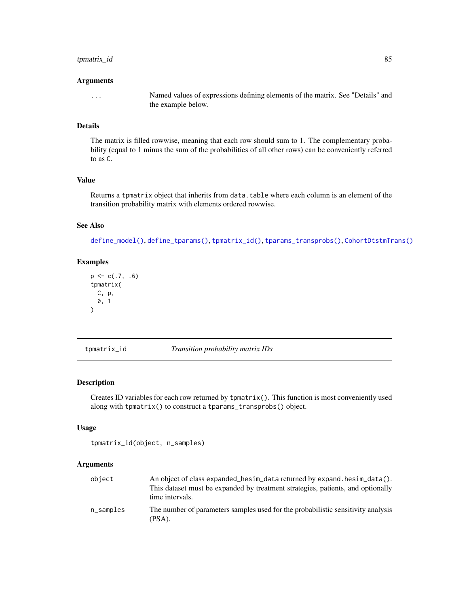# <span id="page-84-1"></span>tpmatrix\_id 85

#### Arguments

... Named values of expressions defining elements of the matrix. See "Details" and the example below.

## Details

The matrix is filled rowwise, meaning that each row should sum to 1. The complementary probability (equal to 1 minus the sum of the probabilities of all other rows) can be conveniently referred to as C.

# Value

Returns a tpmatrix object that inherits from data.table where each column is an element of the transition probability matrix with elements ordered rowwise.

## See Also

[define\\_model\(\)](#page-22-0), [define\\_tparams\(\)](#page-26-0), [tpmatrix\\_id\(\)](#page-84-0), [tparams\\_transprobs\(\)](#page-82-0), [CohortDtstmTrans\(\)](#page-10-0)

# Examples

```
p \leftarrow c(.7, .6)tpmatrix(
  C, p,
  0, 1
)
```
<span id="page-84-0"></span>tpmatrix\_id *Transition probability matrix IDs*

## Description

Creates ID variables for each row returned by tpmatrix(). This function is most conveniently used along with tpmatrix() to construct a tparams\_transprobs() object.

# Usage

```
tpmatrix_id(object, n_samples)
```
## Arguments

| object    | An object of class expanded_hesim_data returned by expand.hesim_data().<br>This dataset must be expanded by treatment strategies, patients, and optionally<br>time intervals. |
|-----------|-------------------------------------------------------------------------------------------------------------------------------------------------------------------------------|
| n_samples | The number of parameters samples used for the probabilistic sensitivity analysis<br>(PSA).                                                                                    |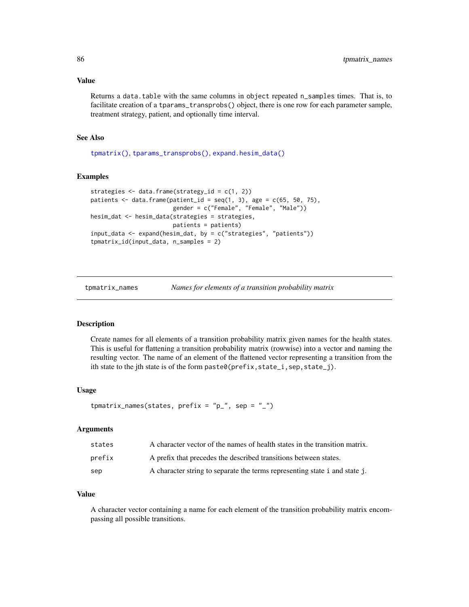## <span id="page-85-0"></span>Value

Returns a data.table with the same columns in object repeated n\_samples times. That is, to facilitate creation of a tparams\_transprobs() object, there is one row for each parameter sample, treatment strategy, patient, and optionally time interval.

## See Also

[tpmatrix\(\)](#page-83-0), [tparams\\_transprobs\(\)](#page-82-0), [expand.hesim\\_data\(\)](#page-29-0)

# Examples

```
strategies <- data.frame(strategy_id = c(1, 2))
patients \leq data.frame(patient_id = seq(1, 3), age = c(65, 50, 75),
                        gender = c("Female", "Female", "Male"))
hesim_dat <- hesim_data(strategies = strategies,
                        patients = patients)
input_data <- expand(hesim_dat, by = c("strategies", "patients"))
tpmatrix_id(input_data, n_samples = 2)
```
tpmatrix\_names *Names for elements of a transition probability matrix*

# Description

Create names for all elements of a transition probability matrix given names for the health states. This is useful for flattening a transition probability matrix (rowwise) into a vector and naming the resulting vector. The name of an element of the flattened vector representing a transition from the ith state to the jth state is of the form paste0(prefix, state\_i, sep, state\_j).

## Usage

```
tpmatrix_names(states, prefix = "p", sep = "_")
```
#### Arguments

| states | A character vector of the names of health states in the transition matrix. |
|--------|----------------------------------------------------------------------------|
| prefix | A prefix that precedes the described transitions between states.           |
| sep    | A character string to separate the terms representing state i and state j. |

# Value

A character vector containing a name for each element of the transition probability matrix encompassing all possible transitions.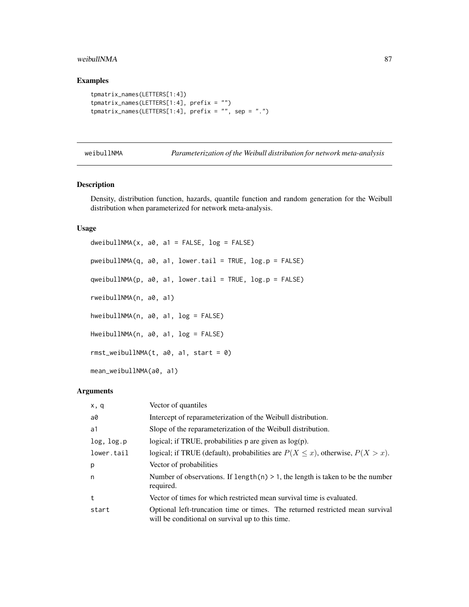#### <span id="page-86-0"></span>weibullNMA  $87$

# Examples

```
tpmatrix_names(LETTERS[1:4])
tpmatrix_names(LETTERS[1:4], prefix = "")
tpmatrix_names(LETTERS[1:4], prefix = ", sep = ".")
```
weibullNMA *Parameterization of the Weibull distribution for network meta-analysis*

#### Description

Density, distribution function, hazards, quantile function and random generation for the Weibull distribution when parameterized for network meta-analysis.

## Usage

```
dweibullNMA(x, a0, a1 = FALSE, log = FALSE)pweibullNMA(q, a0, a1, lower.tail = TRUE, log.p = FALSE)
qweibullNMA(p, a0, a1, lower.tail = TRUE, log.p = FALSE)
rweibullNMA(n, a0, a1)
hweibullNMA(n, a0, a1, log = FALSE)
HweibullNMA(n, a0, a1, log = FALSE)
rmst_weibullNMA(t, a0, a1, start = 0)mean_weibullNMA(a0, a1)
```
# Arguments

| x, q       | Vector of quantiles                                                                                                               |
|------------|-----------------------------------------------------------------------------------------------------------------------------------|
| a0         | Intercept of reparameterization of the Weibull distribution.                                                                      |
| a1         | Slope of the reparameterization of the Weibull distribution.                                                                      |
| log, log.p | logical; if TRUE, probabilities $p$ are given as $log(p)$ .                                                                       |
| lower.tail | logical; if TRUE (default), probabilities are $P(X \le x)$ , otherwise, $P(X > x)$ .                                              |
| p          | Vector of probabilities                                                                                                           |
| n          | Number of observations. If length(n) $> 1$ , the length is taken to be the number<br>required.                                    |
| t          | Vector of times for which restricted mean survival time is evaluated.                                                             |
| start      | Optional left-truncation time or times. The returned restricted mean survival<br>will be conditional on survival up to this time. |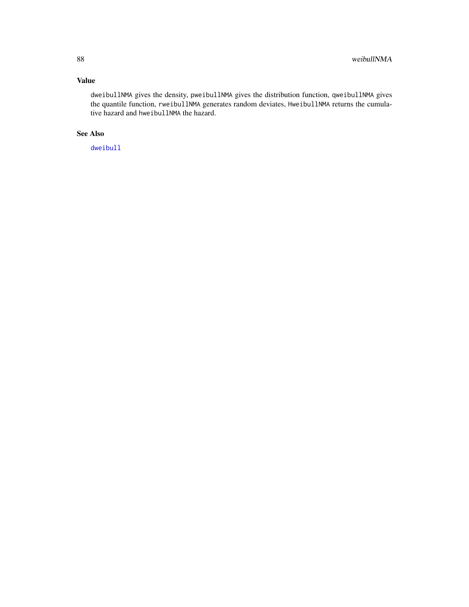# <span id="page-87-0"></span>Value

dweibullNMA gives the density, pweibullNMA gives the distribution function, qweibullNMA gives the quantile function, rweibullNMA generates random deviates, HweibullNMA returns the cumulative hazard and hweibullNMA the hazard.

# See Also

[dweibull](#page-0-0)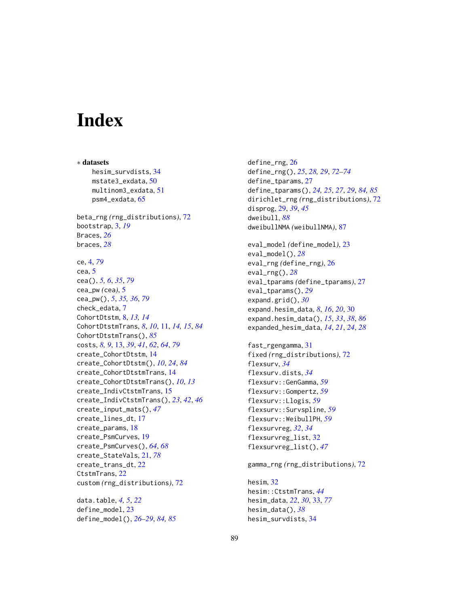# **Index**

∗ datasets hesim\_survdists, [34](#page-33-0) mstate3\_exdata, [50](#page-49-0) multinom3\_exdata, [51](#page-50-0) psm4\_exdata, [65](#page-64-0) beta\_rng *(*rng\_distributions*)*, [72](#page-71-0) bootstrap, [3,](#page-2-0) *[19](#page-18-0)* Braces, *[26](#page-25-1)* braces, *[28](#page-27-0)* ce, [4,](#page-3-1) *[79](#page-78-0)* cea, [5](#page-4-2) cea(), *[5,](#page-4-2) [6](#page-5-0)*, *[35](#page-34-0)*, *[79](#page-78-0)* cea\_pw *(*cea*)*, [5](#page-4-2) cea\_pw(), *[5](#page-4-2)*, *[35,](#page-34-0) [36](#page-35-1)*, *[79](#page-78-0)* check\_edata, [7](#page-6-0) CohortDtstm, [8,](#page-7-1) *[13,](#page-12-1) [14](#page-13-1)* CohortDtstmTrans, *[8](#page-7-1)*, *[10](#page-9-1)*, [11,](#page-10-1) *[14,](#page-13-1) [15](#page-14-0)*, *[84](#page-83-1)* CohortDtstmTrans(), *[85](#page-84-1)* costs, *[8,](#page-7-1) [9](#page-8-0)*, [13,](#page-12-1) *[39](#page-38-0)*, *[41](#page-40-0)*, *[62](#page-61-0)*, *[64](#page-63-0)*, *[79](#page-78-0)* create\_CohortDtstm, [14](#page-13-1) create\_CohortDtstm(), *[10](#page-9-1)*, *[24](#page-23-0)*, *[84](#page-83-1)* create\_CohortDtstmTrans, [14](#page-13-1) create\_CohortDtstmTrans(), *[10](#page-9-1)*, *[13](#page-12-1)* create\_IndivCtstmTrans, [15](#page-14-0) create\_IndivCtstmTrans(), *[23](#page-22-1)*, *[42](#page-41-0)*, *[46](#page-45-0)* create\_input\_mats(), *[47](#page-46-1)* create\_lines\_dt, [17](#page-16-0) create\_params, [18](#page-17-0) create\_PsmCurves, [19](#page-18-0) create\_PsmCurves(), *[64](#page-63-0)*, *[68](#page-67-0)* create\_StateVals, [21,](#page-20-1) *[78](#page-77-0)* create\_trans\_dt, [22](#page-21-0) CtstmTrans, [22](#page-21-0) custom *(*rng\_distributions*)*, [72](#page-71-0) data.table, *[4,](#page-3-1) [5](#page-4-2)*, *[22](#page-21-0)*

define\_model, [23](#page-22-1) define\_model(), *[26](#page-25-1)[–29](#page-28-0)*, *[84,](#page-83-1) [85](#page-84-1)* define\_rng, [26](#page-25-1) define\_rng(), *[25](#page-24-0)*, *[28,](#page-27-0) [29](#page-28-0)*, *[72](#page-71-0)[–74](#page-73-0)* define\_tparams, [27](#page-26-1) define\_tparams(), *[24,](#page-23-0) [25](#page-24-0)*, *[27](#page-26-1)*, *[29](#page-28-0)*, *[84,](#page-83-1) [85](#page-84-1)* dirichlet\_rng *(*rng\_distributions*)*, [72](#page-71-0) disprog, [29,](#page-28-0) *[39](#page-38-0)*, *[45](#page-44-1)* dweibull, *[88](#page-87-0)* dweibullNMA *(*weibullNMA*)*, [87](#page-86-0) eval\_model *(*define\_model*)*, [23](#page-22-1) eval\_model(), *[28](#page-27-0)* eval\_rng *(*define\_rng*)*, [26](#page-25-1) eval\_rng(), *[28](#page-27-0)* eval\_tparams *(*define\_tparams*)*, [27](#page-26-1) eval\_tparams(), *[29](#page-28-0)* expand.grid(), *[30](#page-29-1)* expand.hesim\_data, *[8](#page-7-1)*, *[16](#page-15-0)*, *[20](#page-19-0)*, [30](#page-29-1) expand.hesim\_data(), *[15](#page-14-0)*, *[33](#page-32-1)*, *[38](#page-37-0)*, *[86](#page-85-0)* expanded\_hesim\_data, *[14](#page-13-1)*, *[21](#page-20-1)*, *[24](#page-23-0)*, *[28](#page-27-0)* fast\_rgengamma, [31](#page-30-0) fixed *(*rng\_distributions*)*, [72](#page-71-0) flexsurv, *[34](#page-33-0)* flexsurv.dists, *[34](#page-33-0)* flexsurv::GenGamma, *[59](#page-58-0)* flexsurv::Gompertz, *[59](#page-58-0)* flexsurv::Llogis, *[59](#page-58-0)* flexsurv::Survspline, *[59](#page-58-0)* flexsurv::WeibullPH, *[59](#page-58-0)* flexsurvreg, *[32](#page-31-0)*, *[34](#page-33-0)* flexsurvreg\_list, [32](#page-31-0) flexsurvreg\_list(), *[47](#page-46-1)* gamma\_rng *(*rng\_distributions*)*, [72](#page-71-0) hesim, [32](#page-31-0) hesim::CtstmTrans, *[44](#page-43-0)* hesim\_data, *[22](#page-21-0)*, *[30](#page-29-1)*, [33,](#page-32-1) *[77](#page-76-0)* hesim\_data(), *[38](#page-37-0)* hesim\_survdists, [34](#page-33-0)